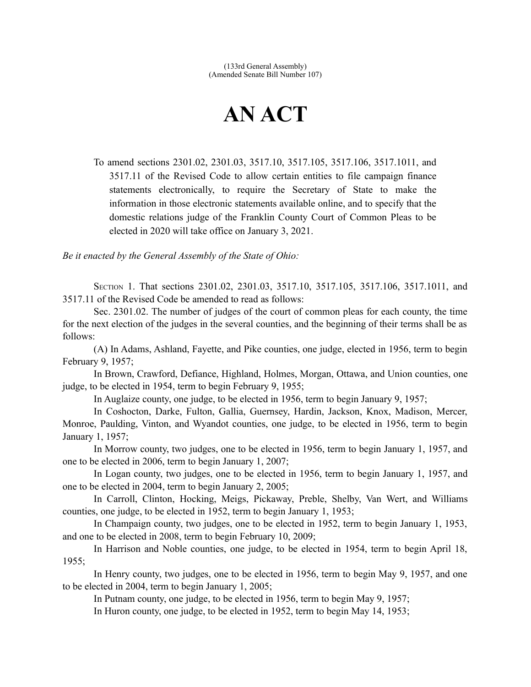## **AN ACT**

To amend sections 2301.02, 2301.03, 3517.10, 3517.105, 3517.106, 3517.1011, and 3517.11 of the Revised Code to allow certain entities to file campaign finance statements electronically, to require the Secretary of State to make the information in those electronic statements available online, and to specify that the domestic relations judge of the Franklin County Court of Common Pleas to be elected in 2020 will take office on January 3, 2021.

*Be it enacted by the General Assembly of the State of Ohio:*

SECTION 1. That sections 2301.02, 2301.03, 3517.10, 3517.105, 3517.106, 3517.1011, and 3517.11 of the Revised Code be amended to read as follows:

Sec. 2301.02. The number of judges of the court of common pleas for each county, the time for the next election of the judges in the several counties, and the beginning of their terms shall be as follows:

(A) In Adams, Ashland, Fayette, and Pike counties, one judge, elected in 1956, term to begin February 9, 1957;

In Brown, Crawford, Defiance, Highland, Holmes, Morgan, Ottawa, and Union counties, one judge, to be elected in 1954, term to begin February 9, 1955;

In Auglaize county, one judge, to be elected in 1956, term to begin January 9, 1957;

In Coshocton, Darke, Fulton, Gallia, Guernsey, Hardin, Jackson, Knox, Madison, Mercer, Monroe, Paulding, Vinton, and Wyandot counties, one judge, to be elected in 1956, term to begin January 1, 1957;

In Morrow county, two judges, one to be elected in 1956, term to begin January 1, 1957, and one to be elected in 2006, term to begin January 1, 2007;

In Logan county, two judges, one to be elected in 1956, term to begin January 1, 1957, and one to be elected in 2004, term to begin January 2, 2005;

In Carroll, Clinton, Hocking, Meigs, Pickaway, Preble, Shelby, Van Wert, and Williams counties, one judge, to be elected in 1952, term to begin January 1, 1953;

In Champaign county, two judges, one to be elected in 1952, term to begin January 1, 1953, and one to be elected in 2008, term to begin February 10, 2009;

In Harrison and Noble counties, one judge, to be elected in 1954, term to begin April 18, 1955;

In Henry county, two judges, one to be elected in 1956, term to begin May 9, 1957, and one to be elected in 2004, term to begin January 1, 2005;

In Putnam county, one judge, to be elected in 1956, term to begin May 9, 1957;

In Huron county, one judge, to be elected in 1952, term to begin May 14, 1953;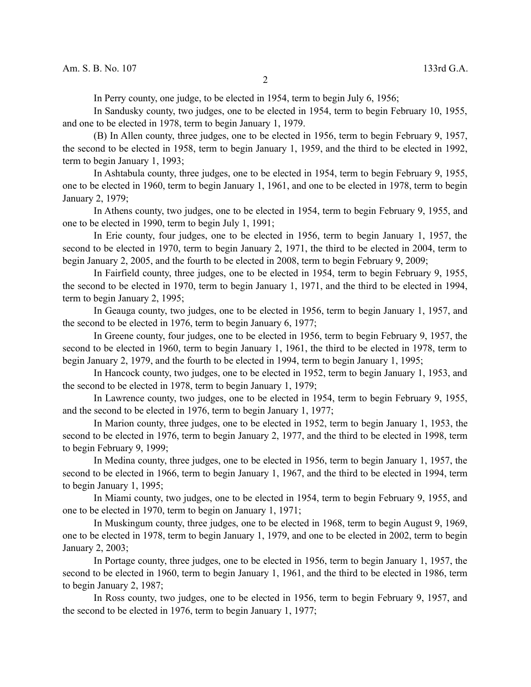In Perry county, one judge, to be elected in 1954, term to begin July 6, 1956;

In Sandusky county, two judges, one to be elected in 1954, term to begin February 10, 1955, and one to be elected in 1978, term to begin January 1, 1979.

(B) In Allen county, three judges, one to be elected in 1956, term to begin February 9, 1957, the second to be elected in 1958, term to begin January 1, 1959, and the third to be elected in 1992, term to begin January 1, 1993;

In Ashtabula county, three judges, one to be elected in 1954, term to begin February 9, 1955, one to be elected in 1960, term to begin January 1, 1961, and one to be elected in 1978, term to begin January 2, 1979;

In Athens county, two judges, one to be elected in 1954, term to begin February 9, 1955, and one to be elected in 1990, term to begin July 1, 1991;

In Erie county, four judges, one to be elected in 1956, term to begin January 1, 1957, the second to be elected in 1970, term to begin January 2, 1971, the third to be elected in 2004, term to begin January 2, 2005, and the fourth to be elected in 2008, term to begin February 9, 2009;

In Fairfield county, three judges, one to be elected in 1954, term to begin February 9, 1955, the second to be elected in 1970, term to begin January 1, 1971, and the third to be elected in 1994, term to begin January 2, 1995;

In Geauga county, two judges, one to be elected in 1956, term to begin January 1, 1957, and the second to be elected in 1976, term to begin January 6, 1977;

In Greene county, four judges, one to be elected in 1956, term to begin February 9, 1957, the second to be elected in 1960, term to begin January 1, 1961, the third to be elected in 1978, term to begin January 2, 1979, and the fourth to be elected in 1994, term to begin January 1, 1995;

In Hancock county, two judges, one to be elected in 1952, term to begin January 1, 1953, and the second to be elected in 1978, term to begin January 1, 1979;

In Lawrence county, two judges, one to be elected in 1954, term to begin February 9, 1955, and the second to be elected in 1976, term to begin January 1, 1977;

In Marion county, three judges, one to be elected in 1952, term to begin January 1, 1953, the second to be elected in 1976, term to begin January 2, 1977, and the third to be elected in 1998, term to begin February 9, 1999;

In Medina county, three judges, one to be elected in 1956, term to begin January 1, 1957, the second to be elected in 1966, term to begin January 1, 1967, and the third to be elected in 1994, term to begin January 1, 1995;

In Miami county, two judges, one to be elected in 1954, term to begin February 9, 1955, and one to be elected in 1970, term to begin on January 1, 1971;

In Muskingum county, three judges, one to be elected in 1968, term to begin August 9, 1969, one to be elected in 1978, term to begin January 1, 1979, and one to be elected in 2002, term to begin January 2, 2003;

In Portage county, three judges, one to be elected in 1956, term to begin January 1, 1957, the second to be elected in 1960, term to begin January 1, 1961, and the third to be elected in 1986, term to begin January 2, 1987;

In Ross county, two judges, one to be elected in 1956, term to begin February 9, 1957, and the second to be elected in 1976, term to begin January 1, 1977;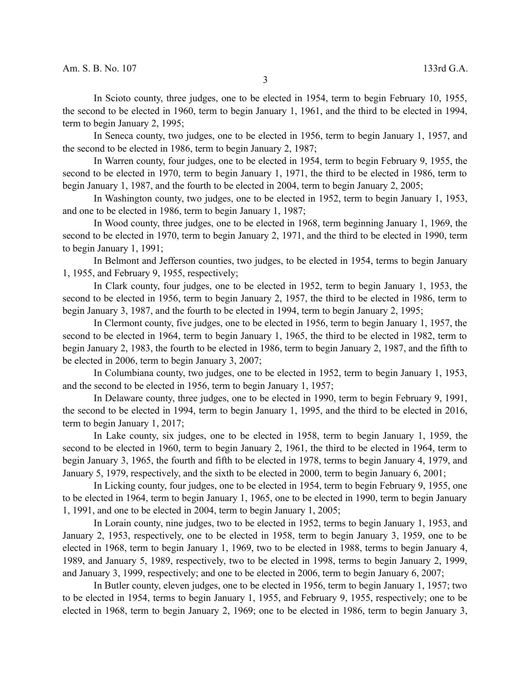In Scioto county, three judges, one to be elected in 1954, term to begin February 10, 1955, the second to be elected in 1960, term to begin January 1, 1961, and the third to be elected in 1994, term to begin January 2, 1995;

In Seneca county, two judges, one to be elected in 1956, term to begin January 1, 1957, and the second to be elected in 1986, term to begin January 2, 1987;

In Warren county, four judges, one to be elected in 1954, term to begin February 9, 1955, the second to be elected in 1970, term to begin January 1, 1971, the third to be elected in 1986, term to begin January 1, 1987, and the fourth to be elected in 2004, term to begin January 2, 2005;

In Washington county, two judges, one to be elected in 1952, term to begin January 1, 1953, and one to be elected in 1986, term to begin January 1, 1987;

In Wood county, three judges, one to be elected in 1968, term beginning January 1, 1969, the second to be elected in 1970, term to begin January 2, 1971, and the third to be elected in 1990, term to begin January 1, 1991;

In Belmont and Jefferson counties, two judges, to be elected in 1954, terms to begin January 1, 1955, and February 9, 1955, respectively;

In Clark county, four judges, one to be elected in 1952, term to begin January 1, 1953, the second to be elected in 1956, term to begin January 2, 1957, the third to be elected in 1986, term to begin January 3, 1987, and the fourth to be elected in 1994, term to begin January 2, 1995;

In Clermont county, five judges, one to be elected in 1956, term to begin January 1, 1957, the second to be elected in 1964, term to begin January 1, 1965, the third to be elected in 1982, term to begin January 2, 1983, the fourth to be elected in 1986, term to begin January 2, 1987, and the fifth to be elected in 2006, term to begin January 3, 2007;

In Columbiana county, two judges, one to be elected in 1952, term to begin January 1, 1953, and the second to be elected in 1956, term to begin January 1, 1957;

In Delaware county, three judges, one to be elected in 1990, term to begin February 9, 1991, the second to be elected in 1994, term to begin January 1, 1995, and the third to be elected in 2016, term to begin January 1, 2017;

In Lake county, six judges, one to be elected in 1958, term to begin January 1, 1959, the second to be elected in 1960, term to begin January 2, 1961, the third to be elected in 1964, term to begin January 3, 1965, the fourth and fifth to be elected in 1978, terms to begin January 4, 1979, and January 5, 1979, respectively, and the sixth to be elected in 2000, term to begin January 6, 2001;

In Licking county, four judges, one to be elected in 1954, term to begin February 9, 1955, one to be elected in 1964, term to begin January 1, 1965, one to be elected in 1990, term to begin January 1, 1991, and one to be elected in 2004, term to begin January 1, 2005;

In Lorain county, nine judges, two to be elected in 1952, terms to begin January 1, 1953, and January 2, 1953, respectively, one to be elected in 1958, term to begin January 3, 1959, one to be elected in 1968, term to begin January 1, 1969, two to be elected in 1988, terms to begin January 4, 1989, and January 5, 1989, respectively, two to be elected in 1998, terms to begin January 2, 1999, and January 3, 1999, respectively; and one to be elected in 2006, term to begin January 6, 2007;

In Butler county, eleven judges, one to be elected in 1956, term to begin January 1, 1957; two to be elected in 1954, terms to begin January 1, 1955, and February 9, 1955, respectively; one to be elected in 1968, term to begin January 2, 1969; one to be elected in 1986, term to begin January 3,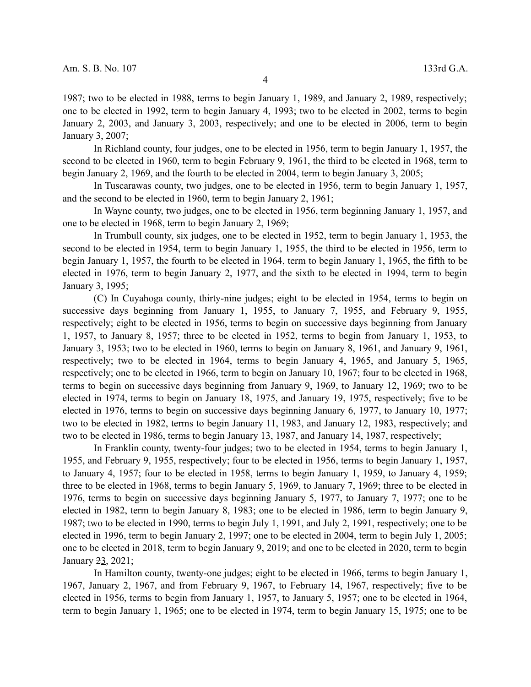1987; two to be elected in 1988, terms to begin January 1, 1989, and January 2, 1989, respectively; one to be elected in 1992, term to begin January 4, 1993; two to be elected in 2002, terms to begin January 2, 2003, and January 3, 2003, respectively; and one to be elected in 2006, term to begin January 3, 2007;

In Richland county, four judges, one to be elected in 1956, term to begin January 1, 1957, the second to be elected in 1960, term to begin February 9, 1961, the third to be elected in 1968, term to begin January 2, 1969, and the fourth to be elected in 2004, term to begin January 3, 2005;

In Tuscarawas county, two judges, one to be elected in 1956, term to begin January 1, 1957, and the second to be elected in 1960, term to begin January 2, 1961;

In Wayne county, two judges, one to be elected in 1956, term beginning January 1, 1957, and one to be elected in 1968, term to begin January 2, 1969;

In Trumbull county, six judges, one to be elected in 1952, term to begin January 1, 1953, the second to be elected in 1954, term to begin January 1, 1955, the third to be elected in 1956, term to begin January 1, 1957, the fourth to be elected in 1964, term to begin January 1, 1965, the fifth to be elected in 1976, term to begin January 2, 1977, and the sixth to be elected in 1994, term to begin January 3, 1995;

(C) In Cuyahoga county, thirty-nine judges; eight to be elected in 1954, terms to begin on successive days beginning from January 1, 1955, to January 7, 1955, and February 9, 1955, respectively; eight to be elected in 1956, terms to begin on successive days beginning from January 1, 1957, to January 8, 1957; three to be elected in 1952, terms to begin from January 1, 1953, to January 3, 1953; two to be elected in 1960, terms to begin on January 8, 1961, and January 9, 1961, respectively; two to be elected in 1964, terms to begin January 4, 1965, and January 5, 1965, respectively; one to be elected in 1966, term to begin on January 10, 1967; four to be elected in 1968, terms to begin on successive days beginning from January 9, 1969, to January 12, 1969; two to be elected in 1974, terms to begin on January 18, 1975, and January 19, 1975, respectively; five to be elected in 1976, terms to begin on successive days beginning January 6, 1977, to January 10, 1977; two to be elected in 1982, terms to begin January 11, 1983, and January 12, 1983, respectively; and two to be elected in 1986, terms to begin January 13, 1987, and January 14, 1987, respectively;

In Franklin county, twenty-four judges; two to be elected in 1954, terms to begin January 1, 1955, and February 9, 1955, respectively; four to be elected in 1956, terms to begin January 1, 1957, to January 4, 1957; four to be elected in 1958, terms to begin January 1, 1959, to January 4, 1959; three to be elected in 1968, terms to begin January 5, 1969, to January 7, 1969; three to be elected in 1976, terms to begin on successive days beginning January 5, 1977, to January 7, 1977; one to be elected in 1982, term to begin January 8, 1983; one to be elected in 1986, term to begin January 9, 1987; two to be elected in 1990, terms to begin July 1, 1991, and July 2, 1991, respectively; one to be elected in 1996, term to begin January 2, 1997; one to be elected in 2004, term to begin July 1, 2005; one to be elected in 2018, term to begin January 9, 2019; and one to be elected in 2020, term to begin January 23, 2021;

In Hamilton county, twenty-one judges; eight to be elected in 1966, terms to begin January 1, 1967, January 2, 1967, and from February 9, 1967, to February 14, 1967, respectively; five to be elected in 1956, terms to begin from January 1, 1957, to January 5, 1957; one to be elected in 1964, term to begin January 1, 1965; one to be elected in 1974, term to begin January 15, 1975; one to be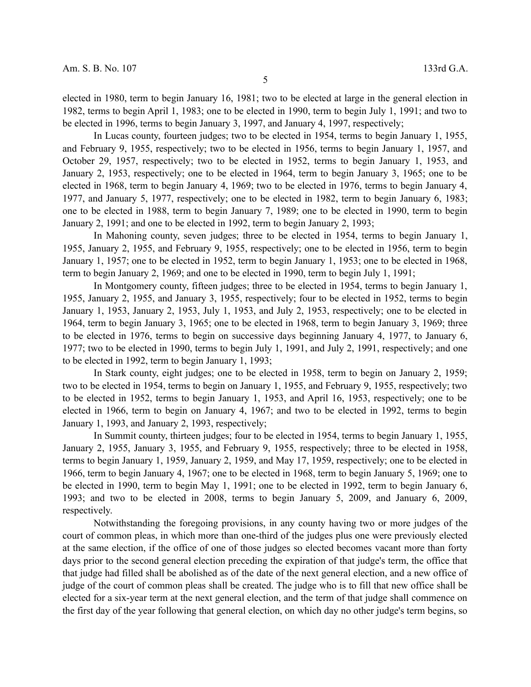elected in 1980, term to begin January 16, 1981; two to be elected at large in the general election in 1982, terms to begin April 1, 1983; one to be elected in 1990, term to begin July 1, 1991; and two to be elected in 1996, terms to begin January 3, 1997, and January 4, 1997, respectively;

In Lucas county, fourteen judges; two to be elected in 1954, terms to begin January 1, 1955, and February 9, 1955, respectively; two to be elected in 1956, terms to begin January 1, 1957, and October 29, 1957, respectively; two to be elected in 1952, terms to begin January 1, 1953, and January 2, 1953, respectively; one to be elected in 1964, term to begin January 3, 1965; one to be elected in 1968, term to begin January 4, 1969; two to be elected in 1976, terms to begin January 4, 1977, and January 5, 1977, respectively; one to be elected in 1982, term to begin January 6, 1983; one to be elected in 1988, term to begin January 7, 1989; one to be elected in 1990, term to begin January 2, 1991; and one to be elected in 1992, term to begin January 2, 1993;

In Mahoning county, seven judges; three to be elected in 1954, terms to begin January 1, 1955, January 2, 1955, and February 9, 1955, respectively; one to be elected in 1956, term to begin January 1, 1957; one to be elected in 1952, term to begin January 1, 1953; one to be elected in 1968, term to begin January 2, 1969; and one to be elected in 1990, term to begin July 1, 1991;

In Montgomery county, fifteen judges; three to be elected in 1954, terms to begin January 1, 1955, January 2, 1955, and January 3, 1955, respectively; four to be elected in 1952, terms to begin January 1, 1953, January 2, 1953, July 1, 1953, and July 2, 1953, respectively; one to be elected in 1964, term to begin January 3, 1965; one to be elected in 1968, term to begin January 3, 1969; three to be elected in 1976, terms to begin on successive days beginning January 4, 1977, to January 6, 1977; two to be elected in 1990, terms to begin July 1, 1991, and July 2, 1991, respectively; and one to be elected in 1992, term to begin January 1, 1993;

In Stark county, eight judges; one to be elected in 1958, term to begin on January 2, 1959; two to be elected in 1954, terms to begin on January 1, 1955, and February 9, 1955, respectively; two to be elected in 1952, terms to begin January 1, 1953, and April 16, 1953, respectively; one to be elected in 1966, term to begin on January 4, 1967; and two to be elected in 1992, terms to begin January 1, 1993, and January 2, 1993, respectively;

In Summit county, thirteen judges; four to be elected in 1954, terms to begin January 1, 1955, January 2, 1955, January 3, 1955, and February 9, 1955, respectively; three to be elected in 1958, terms to begin January 1, 1959, January 2, 1959, and May 17, 1959, respectively; one to be elected in 1966, term to begin January 4, 1967; one to be elected in 1968, term to begin January 5, 1969; one to be elected in 1990, term to begin May 1, 1991; one to be elected in 1992, term to begin January 6, 1993; and two to be elected in 2008, terms to begin January 5, 2009, and January 6, 2009, respectively.

Notwithstanding the foregoing provisions, in any county having two or more judges of the court of common pleas, in which more than one-third of the judges plus one were previously elected at the same election, if the office of one of those judges so elected becomes vacant more than forty days prior to the second general election preceding the expiration of that judge's term, the office that that judge had filled shall be abolished as of the date of the next general election, and a new office of judge of the court of common pleas shall be created. The judge who is to fill that new office shall be elected for a six-year term at the next general election, and the term of that judge shall commence on the first day of the year following that general election, on which day no other judge's term begins, so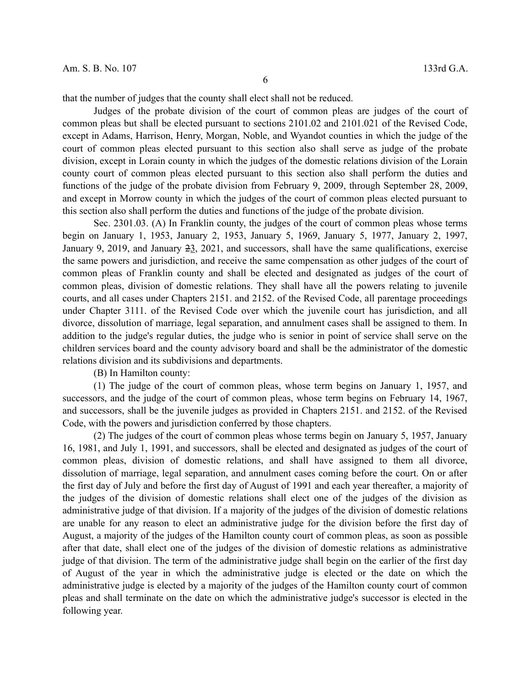that the number of judges that the county shall elect shall not be reduced.

Judges of the probate division of the court of common pleas are judges of the court of common pleas but shall be elected pursuant to sections 2101.02 and 2101.021 of the Revised Code, except in Adams, Harrison, Henry, Morgan, Noble, and Wyandot counties in which the judge of the court of common pleas elected pursuant to this section also shall serve as judge of the probate division, except in Lorain county in which the judges of the domestic relations division of the Lorain county court of common pleas elected pursuant to this section also shall perform the duties and functions of the judge of the probate division from February 9, 2009, through September 28, 2009, and except in Morrow county in which the judges of the court of common pleas elected pursuant to this section also shall perform the duties and functions of the judge of the probate division.

Sec. 2301.03. (A) In Franklin county, the judges of the court of common pleas whose terms begin on January 1, 1953, January 2, 1953, January 5, 1969, January 5, 1977, January 2, 1997, January 9, 2019, and January 23, 2021, and successors, shall have the same qualifications, exercise the same powers and jurisdiction, and receive the same compensation as other judges of the court of common pleas of Franklin county and shall be elected and designated as judges of the court of common pleas, division of domestic relations. They shall have all the powers relating to juvenile courts, and all cases under Chapters 2151. and 2152. of the Revised Code, all parentage proceedings under Chapter 3111. of the Revised Code over which the juvenile court has jurisdiction, and all divorce, dissolution of marriage, legal separation, and annulment cases shall be assigned to them. In addition to the judge's regular duties, the judge who is senior in point of service shall serve on the children services board and the county advisory board and shall be the administrator of the domestic relations division and its subdivisions and departments.

(B) In Hamilton county:

(1) The judge of the court of common pleas, whose term begins on January 1, 1957, and successors, and the judge of the court of common pleas, whose term begins on February 14, 1967, and successors, shall be the juvenile judges as provided in Chapters 2151. and 2152. of the Revised Code, with the powers and jurisdiction conferred by those chapters.

(2) The judges of the court of common pleas whose terms begin on January 5, 1957, January 16, 1981, and July 1, 1991, and successors, shall be elected and designated as judges of the court of common pleas, division of domestic relations, and shall have assigned to them all divorce, dissolution of marriage, legal separation, and annulment cases coming before the court. On or after the first day of July and before the first day of August of 1991 and each year thereafter, a majority of the judges of the division of domestic relations shall elect one of the judges of the division as administrative judge of that division. If a majority of the judges of the division of domestic relations are unable for any reason to elect an administrative judge for the division before the first day of August, a majority of the judges of the Hamilton county court of common pleas, as soon as possible after that date, shall elect one of the judges of the division of domestic relations as administrative judge of that division. The term of the administrative judge shall begin on the earlier of the first day of August of the year in which the administrative judge is elected or the date on which the administrative judge is elected by a majority of the judges of the Hamilton county court of common pleas and shall terminate on the date on which the administrative judge's successor is elected in the following year.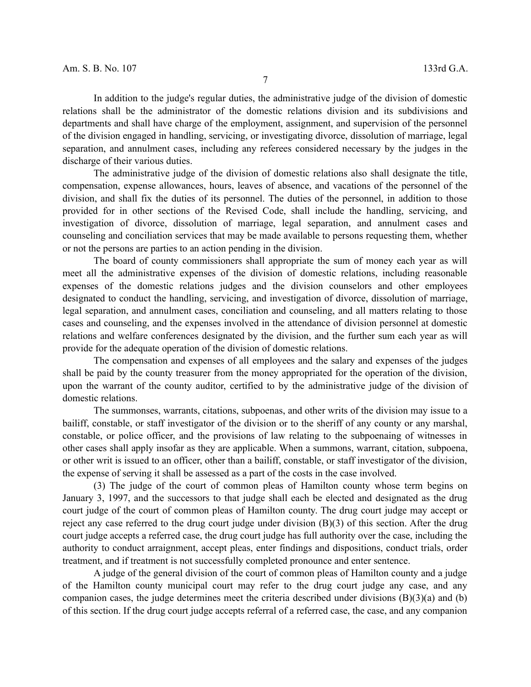In addition to the judge's regular duties, the administrative judge of the division of domestic relations shall be the administrator of the domestic relations division and its subdivisions and departments and shall have charge of the employment, assignment, and supervision of the personnel of the division engaged in handling, servicing, or investigating divorce, dissolution of marriage, legal separation, and annulment cases, including any referees considered necessary by the judges in the discharge of their various duties.

The administrative judge of the division of domestic relations also shall designate the title, compensation, expense allowances, hours, leaves of absence, and vacations of the personnel of the division, and shall fix the duties of its personnel. The duties of the personnel, in addition to those provided for in other sections of the Revised Code, shall include the handling, servicing, and investigation of divorce, dissolution of marriage, legal separation, and annulment cases and counseling and conciliation services that may be made available to persons requesting them, whether or not the persons are parties to an action pending in the division.

The board of county commissioners shall appropriate the sum of money each year as will meet all the administrative expenses of the division of domestic relations, including reasonable expenses of the domestic relations judges and the division counselors and other employees designated to conduct the handling, servicing, and investigation of divorce, dissolution of marriage, legal separation, and annulment cases, conciliation and counseling, and all matters relating to those cases and counseling, and the expenses involved in the attendance of division personnel at domestic relations and welfare conferences designated by the division, and the further sum each year as will provide for the adequate operation of the division of domestic relations.

The compensation and expenses of all employees and the salary and expenses of the judges shall be paid by the county treasurer from the money appropriated for the operation of the division, upon the warrant of the county auditor, certified to by the administrative judge of the division of domestic relations.

The summonses, warrants, citations, subpoenas, and other writs of the division may issue to a bailiff, constable, or staff investigator of the division or to the sheriff of any county or any marshal, constable, or police officer, and the provisions of law relating to the subpoenaing of witnesses in other cases shall apply insofar as they are applicable. When a summons, warrant, citation, subpoena, or other writ is issued to an officer, other than a bailiff, constable, or staff investigator of the division, the expense of serving it shall be assessed as a part of the costs in the case involved.

(3) The judge of the court of common pleas of Hamilton county whose term begins on January 3, 1997, and the successors to that judge shall each be elected and designated as the drug court judge of the court of common pleas of Hamilton county. The drug court judge may accept or reject any case referred to the drug court judge under division (B)(3) of this section. After the drug court judge accepts a referred case, the drug court judge has full authority over the case, including the authority to conduct arraignment, accept pleas, enter findings and dispositions, conduct trials, order treatment, and if treatment is not successfully completed pronounce and enter sentence.

A judge of the general division of the court of common pleas of Hamilton county and a judge of the Hamilton county municipal court may refer to the drug court judge any case, and any companion cases, the judge determines meet the criteria described under divisions (B)(3)(a) and (b) of this section. If the drug court judge accepts referral of a referred case, the case, and any companion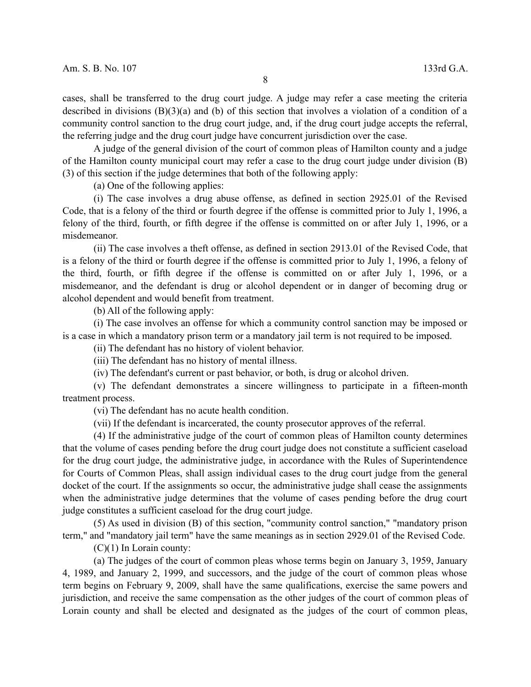cases, shall be transferred to the drug court judge. A judge may refer a case meeting the criteria described in divisions (B)(3)(a) and (b) of this section that involves a violation of a condition of a community control sanction to the drug court judge, and, if the drug court judge accepts the referral, the referring judge and the drug court judge have concurrent jurisdiction over the case.

A judge of the general division of the court of common pleas of Hamilton county and a judge of the Hamilton county municipal court may refer a case to the drug court judge under division (B) (3) of this section if the judge determines that both of the following apply:

(a) One of the following applies:

(i) The case involves a drug abuse offense, as defined in section 2925.01 of the Revised Code, that is a felony of the third or fourth degree if the offense is committed prior to July 1, 1996, a felony of the third, fourth, or fifth degree if the offense is committed on or after July 1, 1996, or a misdemeanor.

(ii) The case involves a theft offense, as defined in section 2913.01 of the Revised Code, that is a felony of the third or fourth degree if the offense is committed prior to July 1, 1996, a felony of the third, fourth, or fifth degree if the offense is committed on or after July 1, 1996, or a misdemeanor, and the defendant is drug or alcohol dependent or in danger of becoming drug or alcohol dependent and would benefit from treatment.

(b) All of the following apply:

(i) The case involves an offense for which a community control sanction may be imposed or is a case in which a mandatory prison term or a mandatory jail term is not required to be imposed.

(ii) The defendant has no history of violent behavior.

(iii) The defendant has no history of mental illness.

(iv) The defendant's current or past behavior, or both, is drug or alcohol driven.

(v) The defendant demonstrates a sincere willingness to participate in a fifteen-month treatment process.

(vi) The defendant has no acute health condition.

(vii) If the defendant is incarcerated, the county prosecutor approves of the referral.

(4) If the administrative judge of the court of common pleas of Hamilton county determines that the volume of cases pending before the drug court judge does not constitute a sufficient caseload for the drug court judge, the administrative judge, in accordance with the Rules of Superintendence for Courts of Common Pleas, shall assign individual cases to the drug court judge from the general docket of the court. If the assignments so occur, the administrative judge shall cease the assignments when the administrative judge determines that the volume of cases pending before the drug court judge constitutes a sufficient caseload for the drug court judge.

(5) As used in division (B) of this section, "community control sanction," "mandatory prison term," and "mandatory jail term" have the same meanings as in section 2929.01 of the Revised Code.

(C)(1) In Lorain county:

(a) The judges of the court of common pleas whose terms begin on January 3, 1959, January 4, 1989, and January 2, 1999, and successors, and the judge of the court of common pleas whose term begins on February 9, 2009, shall have the same qualifications, exercise the same powers and jurisdiction, and receive the same compensation as the other judges of the court of common pleas of Lorain county and shall be elected and designated as the judges of the court of common pleas,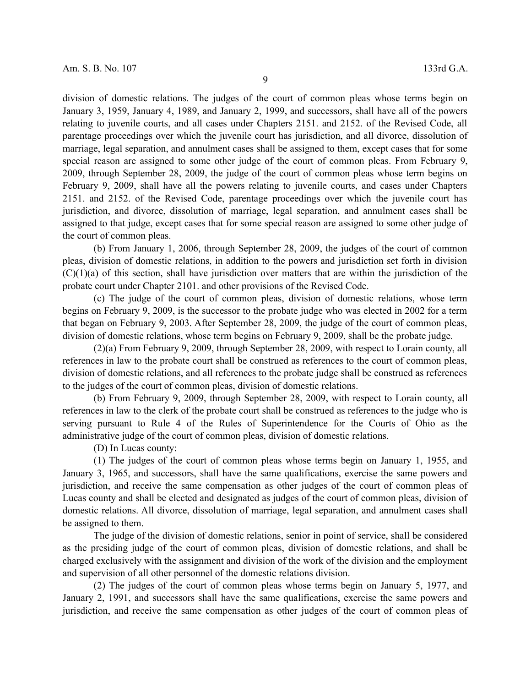division of domestic relations. The judges of the court of common pleas whose terms begin on January 3, 1959, January 4, 1989, and January 2, 1999, and successors, shall have all of the powers relating to juvenile courts, and all cases under Chapters 2151. and 2152. of the Revised Code, all parentage proceedings over which the juvenile court has jurisdiction, and all divorce, dissolution of marriage, legal separation, and annulment cases shall be assigned to them, except cases that for some special reason are assigned to some other judge of the court of common pleas. From February 9, 2009, through September 28, 2009, the judge of the court of common pleas whose term begins on February 9, 2009, shall have all the powers relating to juvenile courts, and cases under Chapters 2151. and 2152. of the Revised Code, parentage proceedings over which the juvenile court has jurisdiction, and divorce, dissolution of marriage, legal separation, and annulment cases shall be assigned to that judge, except cases that for some special reason are assigned to some other judge of the court of common pleas.

(b) From January 1, 2006, through September 28, 2009, the judges of the court of common pleas, division of domestic relations, in addition to the powers and jurisdiction set forth in division  $(C)(1)(a)$  of this section, shall have jurisdiction over matters that are within the jurisdiction of the probate court under Chapter 2101. and other provisions of the Revised Code.

(c) The judge of the court of common pleas, division of domestic relations, whose term begins on February 9, 2009, is the successor to the probate judge who was elected in 2002 for a term that began on February 9, 2003. After September 28, 2009, the judge of the court of common pleas, division of domestic relations, whose term begins on February 9, 2009, shall be the probate judge.

(2)(a) From February 9, 2009, through September 28, 2009, with respect to Lorain county, all references in law to the probate court shall be construed as references to the court of common pleas, division of domestic relations, and all references to the probate judge shall be construed as references to the judges of the court of common pleas, division of domestic relations.

(b) From February 9, 2009, through September 28, 2009, with respect to Lorain county, all references in law to the clerk of the probate court shall be construed as references to the judge who is serving pursuant to Rule 4 of the Rules of Superintendence for the Courts of Ohio as the administrative judge of the court of common pleas, division of domestic relations.

(D) In Lucas county:

(1) The judges of the court of common pleas whose terms begin on January 1, 1955, and January 3, 1965, and successors, shall have the same qualifications, exercise the same powers and jurisdiction, and receive the same compensation as other judges of the court of common pleas of Lucas county and shall be elected and designated as judges of the court of common pleas, division of domestic relations. All divorce, dissolution of marriage, legal separation, and annulment cases shall be assigned to them.

The judge of the division of domestic relations, senior in point of service, shall be considered as the presiding judge of the court of common pleas, division of domestic relations, and shall be charged exclusively with the assignment and division of the work of the division and the employment and supervision of all other personnel of the domestic relations division.

(2) The judges of the court of common pleas whose terms begin on January 5, 1977, and January 2, 1991, and successors shall have the same qualifications, exercise the same powers and jurisdiction, and receive the same compensation as other judges of the court of common pleas of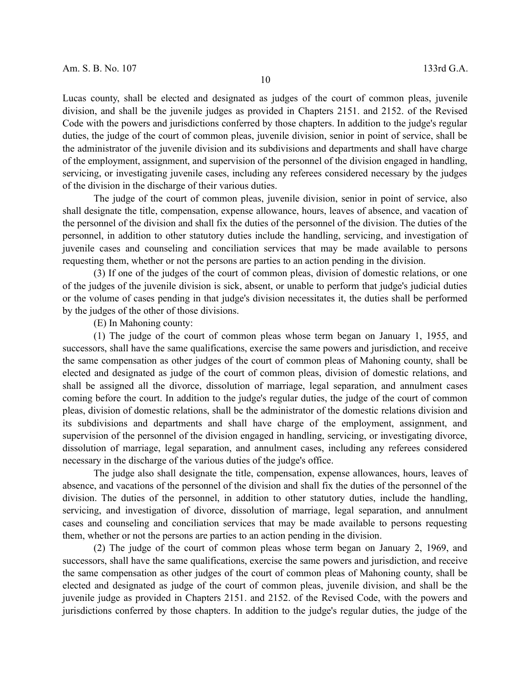Lucas county, shall be elected and designated as judges of the court of common pleas, juvenile division, and shall be the juvenile judges as provided in Chapters 2151. and 2152. of the Revised Code with the powers and jurisdictions conferred by those chapters. In addition to the judge's regular duties, the judge of the court of common pleas, juvenile division, senior in point of service, shall be the administrator of the juvenile division and its subdivisions and departments and shall have charge of the employment, assignment, and supervision of the personnel of the division engaged in handling, servicing, or investigating juvenile cases, including any referees considered necessary by the judges of the division in the discharge of their various duties.

The judge of the court of common pleas, juvenile division, senior in point of service, also shall designate the title, compensation, expense allowance, hours, leaves of absence, and vacation of the personnel of the division and shall fix the duties of the personnel of the division. The duties of the personnel, in addition to other statutory duties include the handling, servicing, and investigation of juvenile cases and counseling and conciliation services that may be made available to persons requesting them, whether or not the persons are parties to an action pending in the division.

(3) If one of the judges of the court of common pleas, division of domestic relations, or one of the judges of the juvenile division is sick, absent, or unable to perform that judge's judicial duties or the volume of cases pending in that judge's division necessitates it, the duties shall be performed by the judges of the other of those divisions.

(E) In Mahoning county:

(1) The judge of the court of common pleas whose term began on January 1, 1955, and successors, shall have the same qualifications, exercise the same powers and jurisdiction, and receive the same compensation as other judges of the court of common pleas of Mahoning county, shall be elected and designated as judge of the court of common pleas, division of domestic relations, and shall be assigned all the divorce, dissolution of marriage, legal separation, and annulment cases coming before the court. In addition to the judge's regular duties, the judge of the court of common pleas, division of domestic relations, shall be the administrator of the domestic relations division and its subdivisions and departments and shall have charge of the employment, assignment, and supervision of the personnel of the division engaged in handling, servicing, or investigating divorce, dissolution of marriage, legal separation, and annulment cases, including any referees considered necessary in the discharge of the various duties of the judge's office.

The judge also shall designate the title, compensation, expense allowances, hours, leaves of absence, and vacations of the personnel of the division and shall fix the duties of the personnel of the division. The duties of the personnel, in addition to other statutory duties, include the handling, servicing, and investigation of divorce, dissolution of marriage, legal separation, and annulment cases and counseling and conciliation services that may be made available to persons requesting them, whether or not the persons are parties to an action pending in the division.

(2) The judge of the court of common pleas whose term began on January 2, 1969, and successors, shall have the same qualifications, exercise the same powers and jurisdiction, and receive the same compensation as other judges of the court of common pleas of Mahoning county, shall be elected and designated as judge of the court of common pleas, juvenile division, and shall be the juvenile judge as provided in Chapters 2151. and 2152. of the Revised Code, with the powers and jurisdictions conferred by those chapters. In addition to the judge's regular duties, the judge of the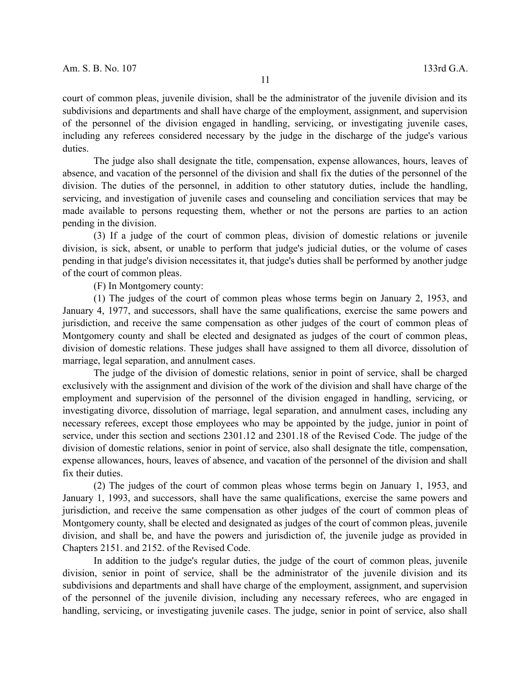court of common pleas, juvenile division, shall be the administrator of the juvenile division and its subdivisions and departments and shall have charge of the employment, assignment, and supervision of the personnel of the division engaged in handling, servicing, or investigating juvenile cases, including any referees considered necessary by the judge in the discharge of the judge's various duties.

The judge also shall designate the title, compensation, expense allowances, hours, leaves of absence, and vacation of the personnel of the division and shall fix the duties of the personnel of the division. The duties of the personnel, in addition to other statutory duties, include the handling, servicing, and investigation of juvenile cases and counseling and conciliation services that may be made available to persons requesting them, whether or not the persons are parties to an action pending in the division.

(3) If a judge of the court of common pleas, division of domestic relations or juvenile division, is sick, absent, or unable to perform that judge's judicial duties, or the volume of cases pending in that judge's division necessitates it, that judge's duties shall be performed by another judge of the court of common pleas.

(F) In Montgomery county:

(1) The judges of the court of common pleas whose terms begin on January 2, 1953, and January 4, 1977, and successors, shall have the same qualifications, exercise the same powers and jurisdiction, and receive the same compensation as other judges of the court of common pleas of Montgomery county and shall be elected and designated as judges of the court of common pleas, division of domestic relations. These judges shall have assigned to them all divorce, dissolution of marriage, legal separation, and annulment cases.

The judge of the division of domestic relations, senior in point of service, shall be charged exclusively with the assignment and division of the work of the division and shall have charge of the employment and supervision of the personnel of the division engaged in handling, servicing, or investigating divorce, dissolution of marriage, legal separation, and annulment cases, including any necessary referees, except those employees who may be appointed by the judge, junior in point of service, under this section and sections 2301.12 and 2301.18 of the Revised Code. The judge of the division of domestic relations, senior in point of service, also shall designate the title, compensation, expense allowances, hours, leaves of absence, and vacation of the personnel of the division and shall fix their duties.

(2) The judges of the court of common pleas whose terms begin on January 1, 1953, and January 1, 1993, and successors, shall have the same qualifications, exercise the same powers and jurisdiction, and receive the same compensation as other judges of the court of common pleas of Montgomery county, shall be elected and designated as judges of the court of common pleas, juvenile division, and shall be, and have the powers and jurisdiction of, the juvenile judge as provided in Chapters 2151. and 2152. of the Revised Code.

In addition to the judge's regular duties, the judge of the court of common pleas, juvenile division, senior in point of service, shall be the administrator of the juvenile division and its subdivisions and departments and shall have charge of the employment, assignment, and supervision of the personnel of the juvenile division, including any necessary referees, who are engaged in handling, servicing, or investigating juvenile cases. The judge, senior in point of service, also shall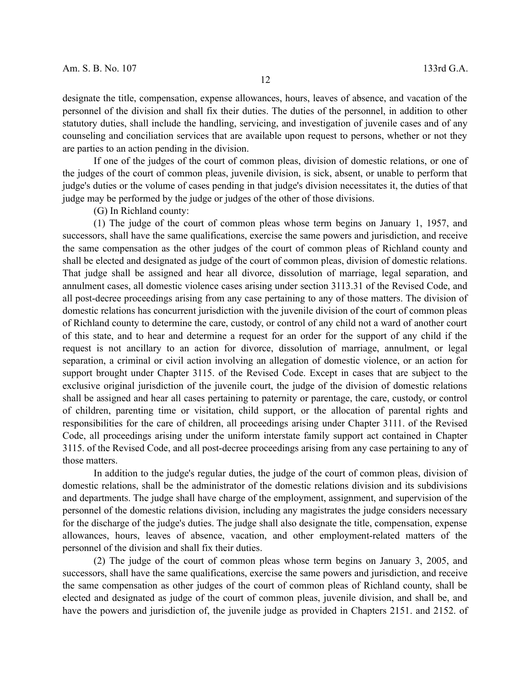designate the title, compensation, expense allowances, hours, leaves of absence, and vacation of the personnel of the division and shall fix their duties. The duties of the personnel, in addition to other statutory duties, shall include the handling, servicing, and investigation of juvenile cases and of any counseling and conciliation services that are available upon request to persons, whether or not they are parties to an action pending in the division.

If one of the judges of the court of common pleas, division of domestic relations, or one of the judges of the court of common pleas, juvenile division, is sick, absent, or unable to perform that judge's duties or the volume of cases pending in that judge's division necessitates it, the duties of that judge may be performed by the judge or judges of the other of those divisions.

(G) In Richland county:

(1) The judge of the court of common pleas whose term begins on January 1, 1957, and successors, shall have the same qualifications, exercise the same powers and jurisdiction, and receive the same compensation as the other judges of the court of common pleas of Richland county and shall be elected and designated as judge of the court of common pleas, division of domestic relations. That judge shall be assigned and hear all divorce, dissolution of marriage, legal separation, and annulment cases, all domestic violence cases arising under section 3113.31 of the Revised Code, and all post-decree proceedings arising from any case pertaining to any of those matters. The division of domestic relations has concurrent jurisdiction with the juvenile division of the court of common pleas of Richland county to determine the care, custody, or control of any child not a ward of another court of this state, and to hear and determine a request for an order for the support of any child if the request is not ancillary to an action for divorce, dissolution of marriage, annulment, or legal separation, a criminal or civil action involving an allegation of domestic violence, or an action for support brought under Chapter 3115. of the Revised Code. Except in cases that are subject to the exclusive original jurisdiction of the juvenile court, the judge of the division of domestic relations shall be assigned and hear all cases pertaining to paternity or parentage, the care, custody, or control of children, parenting time or visitation, child support, or the allocation of parental rights and responsibilities for the care of children, all proceedings arising under Chapter 3111. of the Revised Code, all proceedings arising under the uniform interstate family support act contained in Chapter 3115. of the Revised Code, and all post-decree proceedings arising from any case pertaining to any of those matters.

In addition to the judge's regular duties, the judge of the court of common pleas, division of domestic relations, shall be the administrator of the domestic relations division and its subdivisions and departments. The judge shall have charge of the employment, assignment, and supervision of the personnel of the domestic relations division, including any magistrates the judge considers necessary for the discharge of the judge's duties. The judge shall also designate the title, compensation, expense allowances, hours, leaves of absence, vacation, and other employment-related matters of the personnel of the division and shall fix their duties.

(2) The judge of the court of common pleas whose term begins on January 3, 2005, and successors, shall have the same qualifications, exercise the same powers and jurisdiction, and receive the same compensation as other judges of the court of common pleas of Richland county, shall be elected and designated as judge of the court of common pleas, juvenile division, and shall be, and have the powers and jurisdiction of, the juvenile judge as provided in Chapters 2151. and 2152. of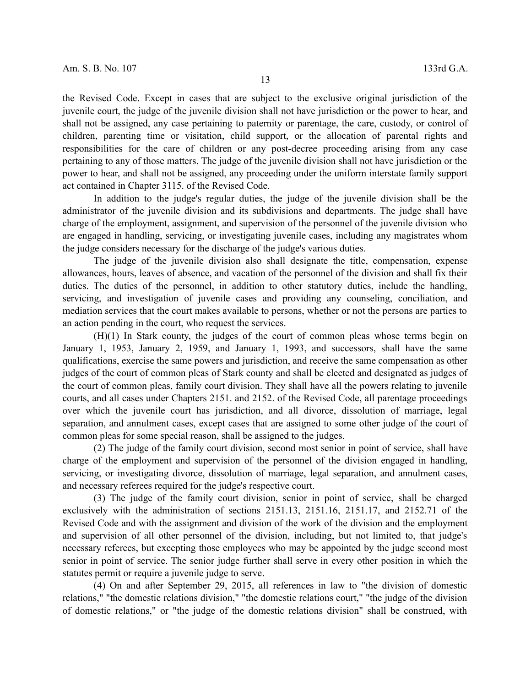the Revised Code. Except in cases that are subject to the exclusive original jurisdiction of the juvenile court, the judge of the juvenile division shall not have jurisdiction or the power to hear, and shall not be assigned, any case pertaining to paternity or parentage, the care, custody, or control of children, parenting time or visitation, child support, or the allocation of parental rights and responsibilities for the care of children or any post-decree proceeding arising from any case pertaining to any of those matters. The judge of the juvenile division shall not have jurisdiction or the power to hear, and shall not be assigned, any proceeding under the uniform interstate family support act contained in Chapter 3115. of the Revised Code.

In addition to the judge's regular duties, the judge of the juvenile division shall be the administrator of the juvenile division and its subdivisions and departments. The judge shall have charge of the employment, assignment, and supervision of the personnel of the juvenile division who are engaged in handling, servicing, or investigating juvenile cases, including any magistrates whom the judge considers necessary for the discharge of the judge's various duties.

The judge of the juvenile division also shall designate the title, compensation, expense allowances, hours, leaves of absence, and vacation of the personnel of the division and shall fix their duties. The duties of the personnel, in addition to other statutory duties, include the handling, servicing, and investigation of juvenile cases and providing any counseling, conciliation, and mediation services that the court makes available to persons, whether or not the persons are parties to an action pending in the court, who request the services.

(H)(1) In Stark county, the judges of the court of common pleas whose terms begin on January 1, 1953, January 2, 1959, and January 1, 1993, and successors, shall have the same qualifications, exercise the same powers and jurisdiction, and receive the same compensation as other judges of the court of common pleas of Stark county and shall be elected and designated as judges of the court of common pleas, family court division. They shall have all the powers relating to juvenile courts, and all cases under Chapters 2151. and 2152. of the Revised Code, all parentage proceedings over which the juvenile court has jurisdiction, and all divorce, dissolution of marriage, legal separation, and annulment cases, except cases that are assigned to some other judge of the court of common pleas for some special reason, shall be assigned to the judges.

(2) The judge of the family court division, second most senior in point of service, shall have charge of the employment and supervision of the personnel of the division engaged in handling, servicing, or investigating divorce, dissolution of marriage, legal separation, and annulment cases, and necessary referees required for the judge's respective court.

(3) The judge of the family court division, senior in point of service, shall be charged exclusively with the administration of sections 2151.13, 2151.16, 2151.17, and 2152.71 of the Revised Code and with the assignment and division of the work of the division and the employment and supervision of all other personnel of the division, including, but not limited to, that judge's necessary referees, but excepting those employees who may be appointed by the judge second most senior in point of service. The senior judge further shall serve in every other position in which the statutes permit or require a juvenile judge to serve.

(4) On and after September 29, 2015, all references in law to "the division of domestic relations," "the domestic relations division," "the domestic relations court," "the judge of the division of domestic relations," or "the judge of the domestic relations division" shall be construed, with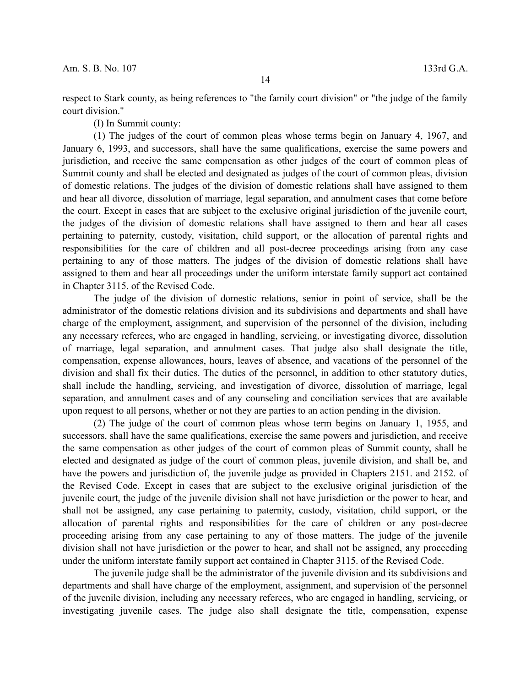respect to Stark county, as being references to "the family court division" or "the judge of the family court division."

(I) In Summit county:

(1) The judges of the court of common pleas whose terms begin on January 4, 1967, and January 6, 1993, and successors, shall have the same qualifications, exercise the same powers and jurisdiction, and receive the same compensation as other judges of the court of common pleas of Summit county and shall be elected and designated as judges of the court of common pleas, division of domestic relations. The judges of the division of domestic relations shall have assigned to them and hear all divorce, dissolution of marriage, legal separation, and annulment cases that come before the court. Except in cases that are subject to the exclusive original jurisdiction of the juvenile court, the judges of the division of domestic relations shall have assigned to them and hear all cases pertaining to paternity, custody, visitation, child support, or the allocation of parental rights and responsibilities for the care of children and all post-decree proceedings arising from any case pertaining to any of those matters. The judges of the division of domestic relations shall have assigned to them and hear all proceedings under the uniform interstate family support act contained in Chapter 3115. of the Revised Code.

The judge of the division of domestic relations, senior in point of service, shall be the administrator of the domestic relations division and its subdivisions and departments and shall have charge of the employment, assignment, and supervision of the personnel of the division, including any necessary referees, who are engaged in handling, servicing, or investigating divorce, dissolution of marriage, legal separation, and annulment cases. That judge also shall designate the title, compensation, expense allowances, hours, leaves of absence, and vacations of the personnel of the division and shall fix their duties. The duties of the personnel, in addition to other statutory duties, shall include the handling, servicing, and investigation of divorce, dissolution of marriage, legal separation, and annulment cases and of any counseling and conciliation services that are available upon request to all persons, whether or not they are parties to an action pending in the division.

(2) The judge of the court of common pleas whose term begins on January 1, 1955, and successors, shall have the same qualifications, exercise the same powers and jurisdiction, and receive the same compensation as other judges of the court of common pleas of Summit county, shall be elected and designated as judge of the court of common pleas, juvenile division, and shall be, and have the powers and jurisdiction of, the juvenile judge as provided in Chapters 2151. and 2152. of the Revised Code. Except in cases that are subject to the exclusive original jurisdiction of the juvenile court, the judge of the juvenile division shall not have jurisdiction or the power to hear, and shall not be assigned, any case pertaining to paternity, custody, visitation, child support, or the allocation of parental rights and responsibilities for the care of children or any post-decree proceeding arising from any case pertaining to any of those matters. The judge of the juvenile division shall not have jurisdiction or the power to hear, and shall not be assigned, any proceeding under the uniform interstate family support act contained in Chapter 3115. of the Revised Code.

The juvenile judge shall be the administrator of the juvenile division and its subdivisions and departments and shall have charge of the employment, assignment, and supervision of the personnel of the juvenile division, including any necessary referees, who are engaged in handling, servicing, or investigating juvenile cases. The judge also shall designate the title, compensation, expense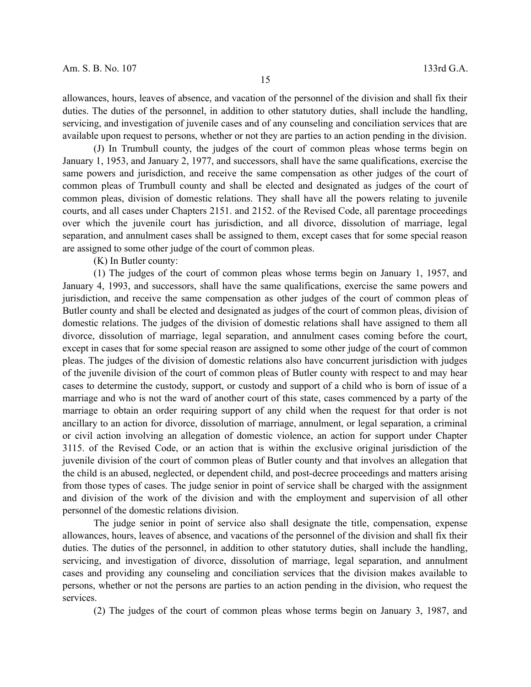allowances, hours, leaves of absence, and vacation of the personnel of the division and shall fix their duties. The duties of the personnel, in addition to other statutory duties, shall include the handling, servicing, and investigation of juvenile cases and of any counseling and conciliation services that are available upon request to persons, whether or not they are parties to an action pending in the division.

(J) In Trumbull county, the judges of the court of common pleas whose terms begin on January 1, 1953, and January 2, 1977, and successors, shall have the same qualifications, exercise the same powers and jurisdiction, and receive the same compensation as other judges of the court of common pleas of Trumbull county and shall be elected and designated as judges of the court of common pleas, division of domestic relations. They shall have all the powers relating to juvenile courts, and all cases under Chapters 2151. and 2152. of the Revised Code, all parentage proceedings over which the juvenile court has jurisdiction, and all divorce, dissolution of marriage, legal separation, and annulment cases shall be assigned to them, except cases that for some special reason are assigned to some other judge of the court of common pleas.

(K) In Butler county:

(1) The judges of the court of common pleas whose terms begin on January 1, 1957, and January 4, 1993, and successors, shall have the same qualifications, exercise the same powers and jurisdiction, and receive the same compensation as other judges of the court of common pleas of Butler county and shall be elected and designated as judges of the court of common pleas, division of domestic relations. The judges of the division of domestic relations shall have assigned to them all divorce, dissolution of marriage, legal separation, and annulment cases coming before the court, except in cases that for some special reason are assigned to some other judge of the court of common pleas. The judges of the division of domestic relations also have concurrent jurisdiction with judges of the juvenile division of the court of common pleas of Butler county with respect to and may hear cases to determine the custody, support, or custody and support of a child who is born of issue of a marriage and who is not the ward of another court of this state, cases commenced by a party of the marriage to obtain an order requiring support of any child when the request for that order is not ancillary to an action for divorce, dissolution of marriage, annulment, or legal separation, a criminal or civil action involving an allegation of domestic violence, an action for support under Chapter 3115. of the Revised Code, or an action that is within the exclusive original jurisdiction of the juvenile division of the court of common pleas of Butler county and that involves an allegation that the child is an abused, neglected, or dependent child, and post-decree proceedings and matters arising from those types of cases. The judge senior in point of service shall be charged with the assignment and division of the work of the division and with the employment and supervision of all other personnel of the domestic relations division.

The judge senior in point of service also shall designate the title, compensation, expense allowances, hours, leaves of absence, and vacations of the personnel of the division and shall fix their duties. The duties of the personnel, in addition to other statutory duties, shall include the handling, servicing, and investigation of divorce, dissolution of marriage, legal separation, and annulment cases and providing any counseling and conciliation services that the division makes available to persons, whether or not the persons are parties to an action pending in the division, who request the services.

(2) The judges of the court of common pleas whose terms begin on January 3, 1987, and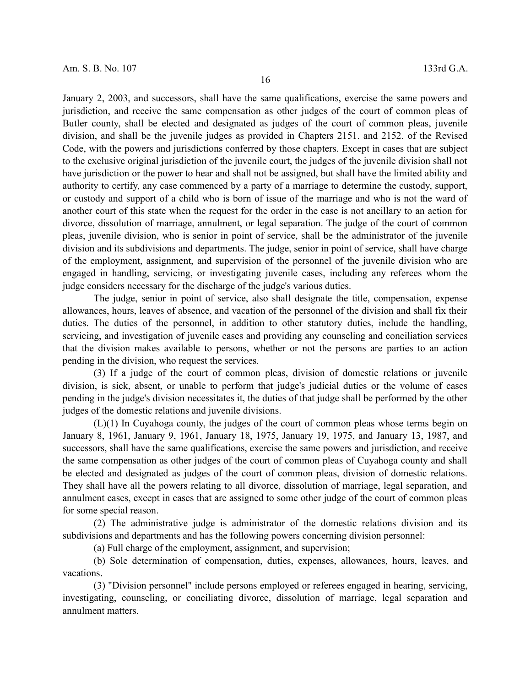January 2, 2003, and successors, shall have the same qualifications, exercise the same powers and jurisdiction, and receive the same compensation as other judges of the court of common pleas of Butler county, shall be elected and designated as judges of the court of common pleas, juvenile division, and shall be the juvenile judges as provided in Chapters 2151. and 2152. of the Revised Code, with the powers and jurisdictions conferred by those chapters. Except in cases that are subject to the exclusive original jurisdiction of the juvenile court, the judges of the juvenile division shall not have jurisdiction or the power to hear and shall not be assigned, but shall have the limited ability and authority to certify, any case commenced by a party of a marriage to determine the custody, support, or custody and support of a child who is born of issue of the marriage and who is not the ward of another court of this state when the request for the order in the case is not ancillary to an action for divorce, dissolution of marriage, annulment, or legal separation. The judge of the court of common pleas, juvenile division, who is senior in point of service, shall be the administrator of the juvenile division and its subdivisions and departments. The judge, senior in point of service, shall have charge of the employment, assignment, and supervision of the personnel of the juvenile division who are engaged in handling, servicing, or investigating juvenile cases, including any referees whom the judge considers necessary for the discharge of the judge's various duties.

The judge, senior in point of service, also shall designate the title, compensation, expense allowances, hours, leaves of absence, and vacation of the personnel of the division and shall fix their duties. The duties of the personnel, in addition to other statutory duties, include the handling, servicing, and investigation of juvenile cases and providing any counseling and conciliation services that the division makes available to persons, whether or not the persons are parties to an action pending in the division, who request the services.

(3) If a judge of the court of common pleas, division of domestic relations or juvenile division, is sick, absent, or unable to perform that judge's judicial duties or the volume of cases pending in the judge's division necessitates it, the duties of that judge shall be performed by the other judges of the domestic relations and juvenile divisions.

(L)(1) In Cuyahoga county, the judges of the court of common pleas whose terms begin on January 8, 1961, January 9, 1961, January 18, 1975, January 19, 1975, and January 13, 1987, and successors, shall have the same qualifications, exercise the same powers and jurisdiction, and receive the same compensation as other judges of the court of common pleas of Cuyahoga county and shall be elected and designated as judges of the court of common pleas, division of domestic relations. They shall have all the powers relating to all divorce, dissolution of marriage, legal separation, and annulment cases, except in cases that are assigned to some other judge of the court of common pleas for some special reason.

(2) The administrative judge is administrator of the domestic relations division and its subdivisions and departments and has the following powers concerning division personnel:

(a) Full charge of the employment, assignment, and supervision;

(b) Sole determination of compensation, duties, expenses, allowances, hours, leaves, and vacations.

(3) "Division personnel" include persons employed or referees engaged in hearing, servicing, investigating, counseling, or conciliating divorce, dissolution of marriage, legal separation and annulment matters.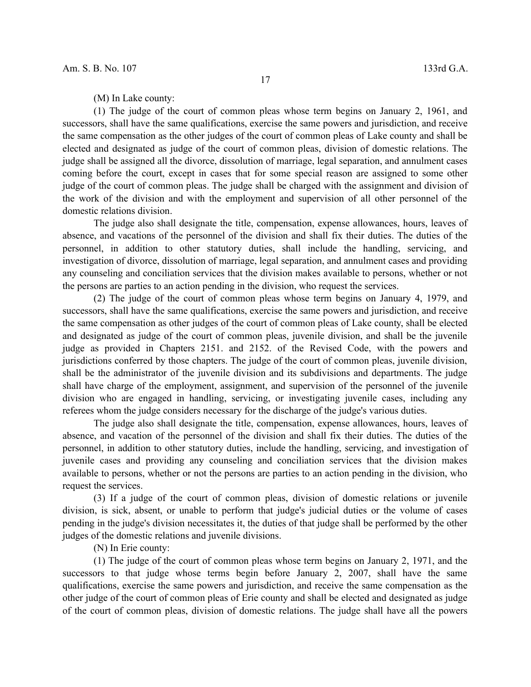(1) The judge of the court of common pleas whose term begins on January 2, 1961, and successors, shall have the same qualifications, exercise the same powers and jurisdiction, and receive the same compensation as the other judges of the court of common pleas of Lake county and shall be elected and designated as judge of the court of common pleas, division of domestic relations. The judge shall be assigned all the divorce, dissolution of marriage, legal separation, and annulment cases coming before the court, except in cases that for some special reason are assigned to some other judge of the court of common pleas. The judge shall be charged with the assignment and division of the work of the division and with the employment and supervision of all other personnel of the domestic relations division.

The judge also shall designate the title, compensation, expense allowances, hours, leaves of absence, and vacations of the personnel of the division and shall fix their duties. The duties of the personnel, in addition to other statutory duties, shall include the handling, servicing, and investigation of divorce, dissolution of marriage, legal separation, and annulment cases and providing any counseling and conciliation services that the division makes available to persons, whether or not the persons are parties to an action pending in the division, who request the services.

(2) The judge of the court of common pleas whose term begins on January 4, 1979, and successors, shall have the same qualifications, exercise the same powers and jurisdiction, and receive the same compensation as other judges of the court of common pleas of Lake county, shall be elected and designated as judge of the court of common pleas, juvenile division, and shall be the juvenile judge as provided in Chapters 2151. and 2152. of the Revised Code, with the powers and jurisdictions conferred by those chapters. The judge of the court of common pleas, juvenile division, shall be the administrator of the juvenile division and its subdivisions and departments. The judge shall have charge of the employment, assignment, and supervision of the personnel of the juvenile division who are engaged in handling, servicing, or investigating juvenile cases, including any referees whom the judge considers necessary for the discharge of the judge's various duties.

The judge also shall designate the title, compensation, expense allowances, hours, leaves of absence, and vacation of the personnel of the division and shall fix their duties. The duties of the personnel, in addition to other statutory duties, include the handling, servicing, and investigation of juvenile cases and providing any counseling and conciliation services that the division makes available to persons, whether or not the persons are parties to an action pending in the division, who request the services.

(3) If a judge of the court of common pleas, division of domestic relations or juvenile division, is sick, absent, or unable to perform that judge's judicial duties or the volume of cases pending in the judge's division necessitates it, the duties of that judge shall be performed by the other judges of the domestic relations and juvenile divisions.

(N) In Erie county:

(1) The judge of the court of common pleas whose term begins on January 2, 1971, and the successors to that judge whose terms begin before January 2, 2007, shall have the same qualifications, exercise the same powers and jurisdiction, and receive the same compensation as the other judge of the court of common pleas of Erie county and shall be elected and designated as judge of the court of common pleas, division of domestic relations. The judge shall have all the powers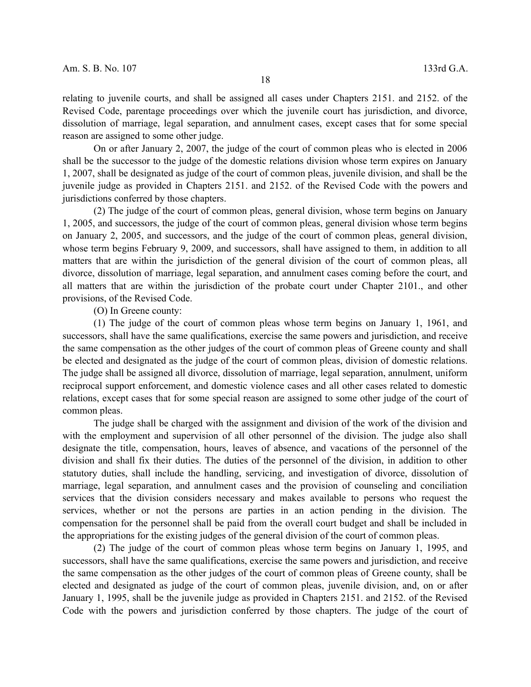relating to juvenile courts, and shall be assigned all cases under Chapters 2151. and 2152. of the Revised Code, parentage proceedings over which the juvenile court has jurisdiction, and divorce, dissolution of marriage, legal separation, and annulment cases, except cases that for some special reason are assigned to some other judge.

On or after January 2, 2007, the judge of the court of common pleas who is elected in 2006 shall be the successor to the judge of the domestic relations division whose term expires on January 1, 2007, shall be designated as judge of the court of common pleas, juvenile division, and shall be the juvenile judge as provided in Chapters 2151. and 2152. of the Revised Code with the powers and jurisdictions conferred by those chapters.

(2) The judge of the court of common pleas, general division, whose term begins on January 1, 2005, and successors, the judge of the court of common pleas, general division whose term begins on January 2, 2005, and successors, and the judge of the court of common pleas, general division, whose term begins February 9, 2009, and successors, shall have assigned to them, in addition to all matters that are within the jurisdiction of the general division of the court of common pleas, all divorce, dissolution of marriage, legal separation, and annulment cases coming before the court, and all matters that are within the jurisdiction of the probate court under Chapter 2101., and other provisions, of the Revised Code.

(O) In Greene county:

(1) The judge of the court of common pleas whose term begins on January 1, 1961, and successors, shall have the same qualifications, exercise the same powers and jurisdiction, and receive the same compensation as the other judges of the court of common pleas of Greene county and shall be elected and designated as the judge of the court of common pleas, division of domestic relations. The judge shall be assigned all divorce, dissolution of marriage, legal separation, annulment, uniform reciprocal support enforcement, and domestic violence cases and all other cases related to domestic relations, except cases that for some special reason are assigned to some other judge of the court of common pleas.

The judge shall be charged with the assignment and division of the work of the division and with the employment and supervision of all other personnel of the division. The judge also shall designate the title, compensation, hours, leaves of absence, and vacations of the personnel of the division and shall fix their duties. The duties of the personnel of the division, in addition to other statutory duties, shall include the handling, servicing, and investigation of divorce, dissolution of marriage, legal separation, and annulment cases and the provision of counseling and conciliation services that the division considers necessary and makes available to persons who request the services, whether or not the persons are parties in an action pending in the division. The compensation for the personnel shall be paid from the overall court budget and shall be included in the appropriations for the existing judges of the general division of the court of common pleas.

(2) The judge of the court of common pleas whose term begins on January 1, 1995, and successors, shall have the same qualifications, exercise the same powers and jurisdiction, and receive the same compensation as the other judges of the court of common pleas of Greene county, shall be elected and designated as judge of the court of common pleas, juvenile division, and, on or after January 1, 1995, shall be the juvenile judge as provided in Chapters 2151. and 2152. of the Revised Code with the powers and jurisdiction conferred by those chapters. The judge of the court of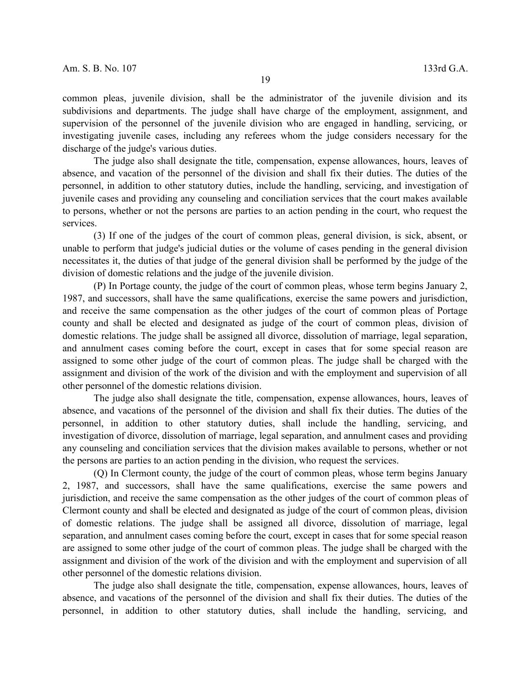common pleas, juvenile division, shall be the administrator of the juvenile division and its subdivisions and departments. The judge shall have charge of the employment, assignment, and supervision of the personnel of the juvenile division who are engaged in handling, servicing, or investigating juvenile cases, including any referees whom the judge considers necessary for the discharge of the judge's various duties.

The judge also shall designate the title, compensation, expense allowances, hours, leaves of absence, and vacation of the personnel of the division and shall fix their duties. The duties of the personnel, in addition to other statutory duties, include the handling, servicing, and investigation of juvenile cases and providing any counseling and conciliation services that the court makes available to persons, whether or not the persons are parties to an action pending in the court, who request the services.

(3) If one of the judges of the court of common pleas, general division, is sick, absent, or unable to perform that judge's judicial duties or the volume of cases pending in the general division necessitates it, the duties of that judge of the general division shall be performed by the judge of the division of domestic relations and the judge of the juvenile division.

(P) In Portage county, the judge of the court of common pleas, whose term begins January 2, 1987, and successors, shall have the same qualifications, exercise the same powers and jurisdiction, and receive the same compensation as the other judges of the court of common pleas of Portage county and shall be elected and designated as judge of the court of common pleas, division of domestic relations. The judge shall be assigned all divorce, dissolution of marriage, legal separation, and annulment cases coming before the court, except in cases that for some special reason are assigned to some other judge of the court of common pleas. The judge shall be charged with the assignment and division of the work of the division and with the employment and supervision of all other personnel of the domestic relations division.

The judge also shall designate the title, compensation, expense allowances, hours, leaves of absence, and vacations of the personnel of the division and shall fix their duties. The duties of the personnel, in addition to other statutory duties, shall include the handling, servicing, and investigation of divorce, dissolution of marriage, legal separation, and annulment cases and providing any counseling and conciliation services that the division makes available to persons, whether or not the persons are parties to an action pending in the division, who request the services.

(Q) In Clermont county, the judge of the court of common pleas, whose term begins January 2, 1987, and successors, shall have the same qualifications, exercise the same powers and jurisdiction, and receive the same compensation as the other judges of the court of common pleas of Clermont county and shall be elected and designated as judge of the court of common pleas, division of domestic relations. The judge shall be assigned all divorce, dissolution of marriage, legal separation, and annulment cases coming before the court, except in cases that for some special reason are assigned to some other judge of the court of common pleas. The judge shall be charged with the assignment and division of the work of the division and with the employment and supervision of all other personnel of the domestic relations division.

The judge also shall designate the title, compensation, expense allowances, hours, leaves of absence, and vacations of the personnel of the division and shall fix their duties. The duties of the personnel, in addition to other statutory duties, shall include the handling, servicing, and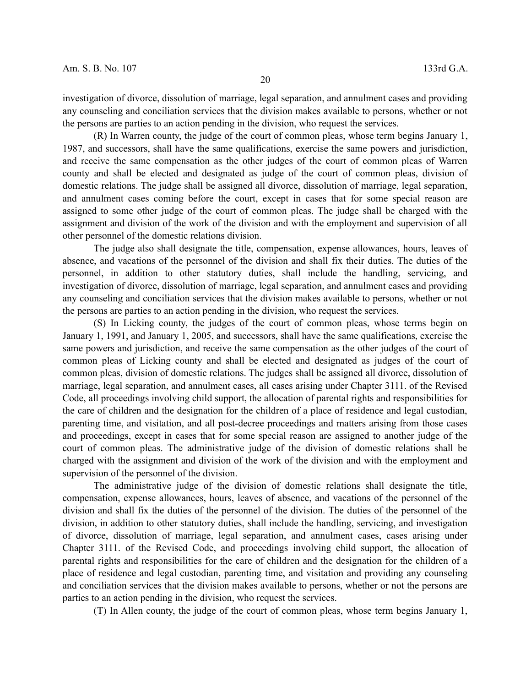the persons are parties to an action pending in the division, who request the services.

(R) In Warren county, the judge of the court of common pleas, whose term begins January 1, 1987, and successors, shall have the same qualifications, exercise the same powers and jurisdiction, and receive the same compensation as the other judges of the court of common pleas of Warren county and shall be elected and designated as judge of the court of common pleas, division of domestic relations. The judge shall be assigned all divorce, dissolution of marriage, legal separation, and annulment cases coming before the court, except in cases that for some special reason are assigned to some other judge of the court of common pleas. The judge shall be charged with the assignment and division of the work of the division and with the employment and supervision of all other personnel of the domestic relations division.

The judge also shall designate the title, compensation, expense allowances, hours, leaves of absence, and vacations of the personnel of the division and shall fix their duties. The duties of the personnel, in addition to other statutory duties, shall include the handling, servicing, and investigation of divorce, dissolution of marriage, legal separation, and annulment cases and providing any counseling and conciliation services that the division makes available to persons, whether or not the persons are parties to an action pending in the division, who request the services.

(S) In Licking county, the judges of the court of common pleas, whose terms begin on January 1, 1991, and January 1, 2005, and successors, shall have the same qualifications, exercise the same powers and jurisdiction, and receive the same compensation as the other judges of the court of common pleas of Licking county and shall be elected and designated as judges of the court of common pleas, division of domestic relations. The judges shall be assigned all divorce, dissolution of marriage, legal separation, and annulment cases, all cases arising under Chapter 3111. of the Revised Code, all proceedings involving child support, the allocation of parental rights and responsibilities for the care of children and the designation for the children of a place of residence and legal custodian, parenting time, and visitation, and all post-decree proceedings and matters arising from those cases and proceedings, except in cases that for some special reason are assigned to another judge of the court of common pleas. The administrative judge of the division of domestic relations shall be charged with the assignment and division of the work of the division and with the employment and supervision of the personnel of the division.

The administrative judge of the division of domestic relations shall designate the title, compensation, expense allowances, hours, leaves of absence, and vacations of the personnel of the division and shall fix the duties of the personnel of the division. The duties of the personnel of the division, in addition to other statutory duties, shall include the handling, servicing, and investigation of divorce, dissolution of marriage, legal separation, and annulment cases, cases arising under Chapter 3111. of the Revised Code, and proceedings involving child support, the allocation of parental rights and responsibilities for the care of children and the designation for the children of a place of residence and legal custodian, parenting time, and visitation and providing any counseling and conciliation services that the division makes available to persons, whether or not the persons are parties to an action pending in the division, who request the services.

(T) In Allen county, the judge of the court of common pleas, whose term begins January 1,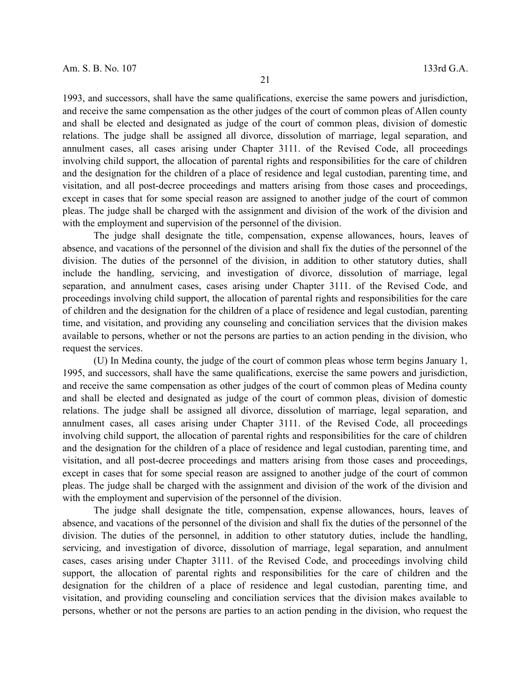1993, and successors, shall have the same qualifications, exercise the same powers and jurisdiction, and receive the same compensation as the other judges of the court of common pleas of Allen county and shall be elected and designated as judge of the court of common pleas, division of domestic relations. The judge shall be assigned all divorce, dissolution of marriage, legal separation, and annulment cases, all cases arising under Chapter 3111. of the Revised Code, all proceedings involving child support, the allocation of parental rights and responsibilities for the care of children and the designation for the children of a place of residence and legal custodian, parenting time, and visitation, and all post-decree proceedings and matters arising from those cases and proceedings, except in cases that for some special reason are assigned to another judge of the court of common pleas. The judge shall be charged with the assignment and division of the work of the division and with the employment and supervision of the personnel of the division.

The judge shall designate the title, compensation, expense allowances, hours, leaves of absence, and vacations of the personnel of the division and shall fix the duties of the personnel of the division. The duties of the personnel of the division, in addition to other statutory duties, shall include the handling, servicing, and investigation of divorce, dissolution of marriage, legal separation, and annulment cases, cases arising under Chapter 3111. of the Revised Code, and proceedings involving child support, the allocation of parental rights and responsibilities for the care of children and the designation for the children of a place of residence and legal custodian, parenting time, and visitation, and providing any counseling and conciliation services that the division makes available to persons, whether or not the persons are parties to an action pending in the division, who request the services.

(U) In Medina county, the judge of the court of common pleas whose term begins January 1, 1995, and successors, shall have the same qualifications, exercise the same powers and jurisdiction, and receive the same compensation as other judges of the court of common pleas of Medina county and shall be elected and designated as judge of the court of common pleas, division of domestic relations. The judge shall be assigned all divorce, dissolution of marriage, legal separation, and annulment cases, all cases arising under Chapter 3111. of the Revised Code, all proceedings involving child support, the allocation of parental rights and responsibilities for the care of children and the designation for the children of a place of residence and legal custodian, parenting time, and visitation, and all post-decree proceedings and matters arising from those cases and proceedings, except in cases that for some special reason are assigned to another judge of the court of common pleas. The judge shall be charged with the assignment and division of the work of the division and with the employment and supervision of the personnel of the division.

The judge shall designate the title, compensation, expense allowances, hours, leaves of absence, and vacations of the personnel of the division and shall fix the duties of the personnel of the division. The duties of the personnel, in addition to other statutory duties, include the handling, servicing, and investigation of divorce, dissolution of marriage, legal separation, and annulment cases, cases arising under Chapter 3111. of the Revised Code, and proceedings involving child support, the allocation of parental rights and responsibilities for the care of children and the designation for the children of a place of residence and legal custodian, parenting time, and visitation, and providing counseling and conciliation services that the division makes available to persons, whether or not the persons are parties to an action pending in the division, who request the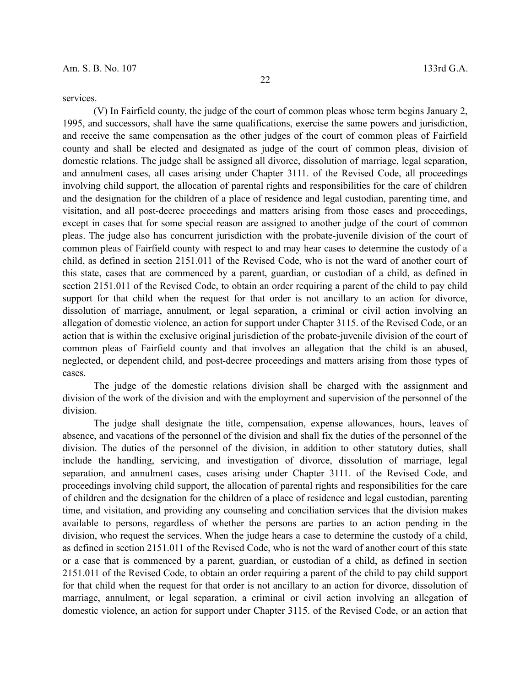services.

(V) In Fairfield county, the judge of the court of common pleas whose term begins January 2, 1995, and successors, shall have the same qualifications, exercise the same powers and jurisdiction, and receive the same compensation as the other judges of the court of common pleas of Fairfield county and shall be elected and designated as judge of the court of common pleas, division of domestic relations. The judge shall be assigned all divorce, dissolution of marriage, legal separation, and annulment cases, all cases arising under Chapter 3111. of the Revised Code, all proceedings involving child support, the allocation of parental rights and responsibilities for the care of children and the designation for the children of a place of residence and legal custodian, parenting time, and visitation, and all post-decree proceedings and matters arising from those cases and proceedings, except in cases that for some special reason are assigned to another judge of the court of common pleas. The judge also has concurrent jurisdiction with the probate-juvenile division of the court of common pleas of Fairfield county with respect to and may hear cases to determine the custody of a child, as defined in section 2151.011 of the Revised Code, who is not the ward of another court of this state, cases that are commenced by a parent, guardian, or custodian of a child, as defined in section 2151.011 of the Revised Code, to obtain an order requiring a parent of the child to pay child support for that child when the request for that order is not ancillary to an action for divorce, dissolution of marriage, annulment, or legal separation, a criminal or civil action involving an allegation of domestic violence, an action for support under Chapter 3115. of the Revised Code, or an action that is within the exclusive original jurisdiction of the probate-juvenile division of the court of common pleas of Fairfield county and that involves an allegation that the child is an abused, neglected, or dependent child, and post-decree proceedings and matters arising from those types of cases.

The judge of the domestic relations division shall be charged with the assignment and division of the work of the division and with the employment and supervision of the personnel of the division.

The judge shall designate the title, compensation, expense allowances, hours, leaves of absence, and vacations of the personnel of the division and shall fix the duties of the personnel of the division. The duties of the personnel of the division, in addition to other statutory duties, shall include the handling, servicing, and investigation of divorce, dissolution of marriage, legal separation, and annulment cases, cases arising under Chapter 3111. of the Revised Code, and proceedings involving child support, the allocation of parental rights and responsibilities for the care of children and the designation for the children of a place of residence and legal custodian, parenting time, and visitation, and providing any counseling and conciliation services that the division makes available to persons, regardless of whether the persons are parties to an action pending in the division, who request the services. When the judge hears a case to determine the custody of a child, as defined in section 2151.011 of the Revised Code, who is not the ward of another court of this state or a case that is commenced by a parent, guardian, or custodian of a child, as defined in section 2151.011 of the Revised Code, to obtain an order requiring a parent of the child to pay child support for that child when the request for that order is not ancillary to an action for divorce, dissolution of marriage, annulment, or legal separation, a criminal or civil action involving an allegation of domestic violence, an action for support under Chapter 3115. of the Revised Code, or an action that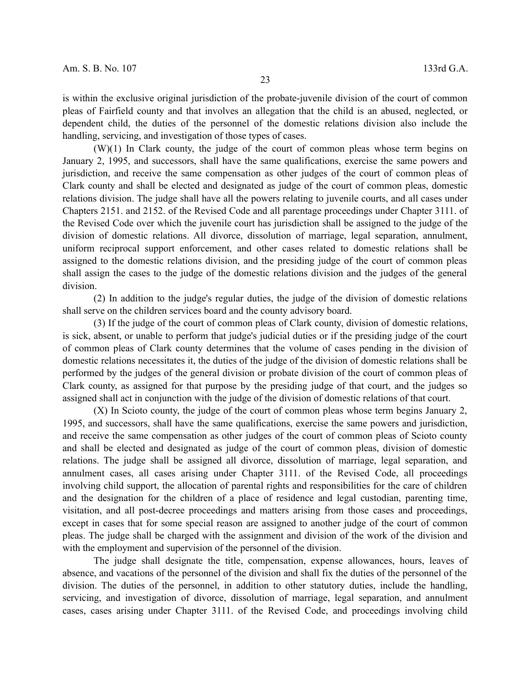is within the exclusive original jurisdiction of the probate-juvenile division of the court of common pleas of Fairfield county and that involves an allegation that the child is an abused, neglected, or dependent child, the duties of the personnel of the domestic relations division also include the handling, servicing, and investigation of those types of cases.

(W)(1) In Clark county, the judge of the court of common pleas whose term begins on January 2, 1995, and successors, shall have the same qualifications, exercise the same powers and jurisdiction, and receive the same compensation as other judges of the court of common pleas of Clark county and shall be elected and designated as judge of the court of common pleas, domestic relations division. The judge shall have all the powers relating to juvenile courts, and all cases under Chapters 2151. and 2152. of the Revised Code and all parentage proceedings under Chapter 3111. of the Revised Code over which the juvenile court has jurisdiction shall be assigned to the judge of the division of domestic relations. All divorce, dissolution of marriage, legal separation, annulment, uniform reciprocal support enforcement, and other cases related to domestic relations shall be assigned to the domestic relations division, and the presiding judge of the court of common pleas shall assign the cases to the judge of the domestic relations division and the judges of the general division.

(2) In addition to the judge's regular duties, the judge of the division of domestic relations shall serve on the children services board and the county advisory board.

(3) If the judge of the court of common pleas of Clark county, division of domestic relations, is sick, absent, or unable to perform that judge's judicial duties or if the presiding judge of the court of common pleas of Clark county determines that the volume of cases pending in the division of domestic relations necessitates it, the duties of the judge of the division of domestic relations shall be performed by the judges of the general division or probate division of the court of common pleas of Clark county, as assigned for that purpose by the presiding judge of that court, and the judges so assigned shall act in conjunction with the judge of the division of domestic relations of that court.

(X) In Scioto county, the judge of the court of common pleas whose term begins January 2, 1995, and successors, shall have the same qualifications, exercise the same powers and jurisdiction, and receive the same compensation as other judges of the court of common pleas of Scioto county and shall be elected and designated as judge of the court of common pleas, division of domestic relations. The judge shall be assigned all divorce, dissolution of marriage, legal separation, and annulment cases, all cases arising under Chapter 3111. of the Revised Code, all proceedings involving child support, the allocation of parental rights and responsibilities for the care of children and the designation for the children of a place of residence and legal custodian, parenting time, visitation, and all post-decree proceedings and matters arising from those cases and proceedings, except in cases that for some special reason are assigned to another judge of the court of common pleas. The judge shall be charged with the assignment and division of the work of the division and with the employment and supervision of the personnel of the division.

The judge shall designate the title, compensation, expense allowances, hours, leaves of absence, and vacations of the personnel of the division and shall fix the duties of the personnel of the division. The duties of the personnel, in addition to other statutory duties, include the handling, servicing, and investigation of divorce, dissolution of marriage, legal separation, and annulment cases, cases arising under Chapter 3111. of the Revised Code, and proceedings involving child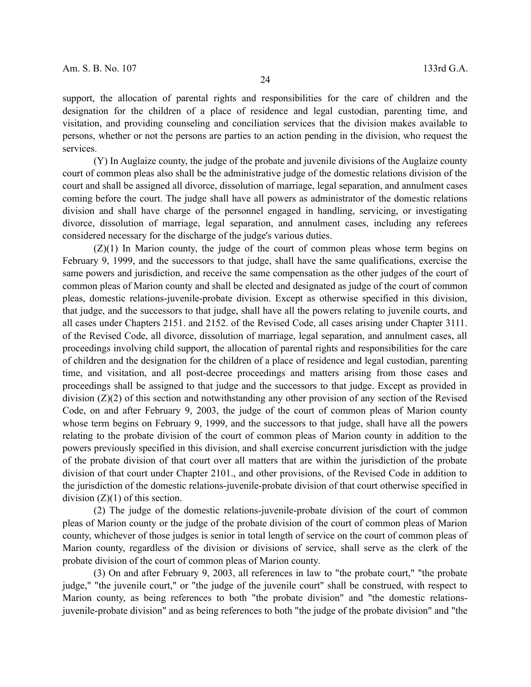support, the allocation of parental rights and responsibilities for the care of children and the designation for the children of a place of residence and legal custodian, parenting time, and visitation, and providing counseling and conciliation services that the division makes available to persons, whether or not the persons are parties to an action pending in the division, who request the services.

(Y) In Auglaize county, the judge of the probate and juvenile divisions of the Auglaize county court of common pleas also shall be the administrative judge of the domestic relations division of the court and shall be assigned all divorce, dissolution of marriage, legal separation, and annulment cases coming before the court. The judge shall have all powers as administrator of the domestic relations division and shall have charge of the personnel engaged in handling, servicing, or investigating divorce, dissolution of marriage, legal separation, and annulment cases, including any referees considered necessary for the discharge of the judge's various duties.

(Z)(1) In Marion county, the judge of the court of common pleas whose term begins on February 9, 1999, and the successors to that judge, shall have the same qualifications, exercise the same powers and jurisdiction, and receive the same compensation as the other judges of the court of common pleas of Marion county and shall be elected and designated as judge of the court of common pleas, domestic relations-juvenile-probate division. Except as otherwise specified in this division, that judge, and the successors to that judge, shall have all the powers relating to juvenile courts, and all cases under Chapters 2151. and 2152. of the Revised Code, all cases arising under Chapter 3111. of the Revised Code, all divorce, dissolution of marriage, legal separation, and annulment cases, all proceedings involving child support, the allocation of parental rights and responsibilities for the care of children and the designation for the children of a place of residence and legal custodian, parenting time, and visitation, and all post-decree proceedings and matters arising from those cases and proceedings shall be assigned to that judge and the successors to that judge. Except as provided in division (Z)(2) of this section and notwithstanding any other provision of any section of the Revised Code, on and after February 9, 2003, the judge of the court of common pleas of Marion county whose term begins on February 9, 1999, and the successors to that judge, shall have all the powers relating to the probate division of the court of common pleas of Marion county in addition to the powers previously specified in this division, and shall exercise concurrent jurisdiction with the judge of the probate division of that court over all matters that are within the jurisdiction of the probate division of that court under Chapter 2101., and other provisions, of the Revised Code in addition to the jurisdiction of the domestic relations-juvenile-probate division of that court otherwise specified in division  $(Z)(1)$  of this section.

(2) The judge of the domestic relations-juvenile-probate division of the court of common pleas of Marion county or the judge of the probate division of the court of common pleas of Marion county, whichever of those judges is senior in total length of service on the court of common pleas of Marion county, regardless of the division or divisions of service, shall serve as the clerk of the probate division of the court of common pleas of Marion county.

(3) On and after February 9, 2003, all references in law to "the probate court," "the probate judge," "the juvenile court," or "the judge of the juvenile court" shall be construed, with respect to Marion county, as being references to both "the probate division" and "the domestic relationsjuvenile-probate division" and as being references to both "the judge of the probate division" and "the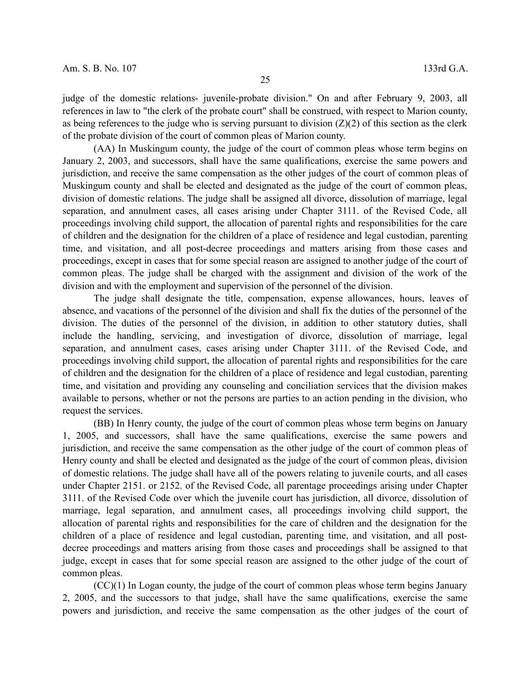judge of the domestic relations- juvenile-probate division." On and after February 9, 2003, all references in law to "the clerk of the probate court" shall be construed, with respect to Marion county, as being references to the judge who is serving pursuant to division  $(Z)(2)$  of this section as the clerk of the probate division of the court of common pleas of Marion county.

(AA) In Muskingum county, the judge of the court of common pleas whose term begins on January 2, 2003, and successors, shall have the same qualifications, exercise the same powers and jurisdiction, and receive the same compensation as the other judges of the court of common pleas of Muskingum county and shall be elected and designated as the judge of the court of common pleas, division of domestic relations. The judge shall be assigned all divorce, dissolution of marriage, legal separation, and annulment cases, all cases arising under Chapter 3111. of the Revised Code, all proceedings involving child support, the allocation of parental rights and responsibilities for the care of children and the designation for the children of a place of residence and legal custodian, parenting time, and visitation, and all post-decree proceedings and matters arising from those cases and proceedings, except in cases that for some special reason are assigned to another judge of the court of common pleas. The judge shall be charged with the assignment and division of the work of the division and with the employment and supervision of the personnel of the division.

The judge shall designate the title, compensation, expense allowances, hours, leaves of absence, and vacations of the personnel of the division and shall fix the duties of the personnel of the division. The duties of the personnel of the division, in addition to other statutory duties, shall include the handling, servicing, and investigation of divorce, dissolution of marriage, legal separation, and annulment cases, cases arising under Chapter 3111. of the Revised Code, and proceedings involving child support, the allocation of parental rights and responsibilities for the care of children and the designation for the children of a place of residence and legal custodian, parenting time, and visitation and providing any counseling and conciliation services that the division makes available to persons, whether or not the persons are parties to an action pending in the division, who request the services.

(BB) In Henry county, the judge of the court of common pleas whose term begins on January 1, 2005, and successors, shall have the same qualifications, exercise the same powers and jurisdiction, and receive the same compensation as the other judge of the court of common pleas of Henry county and shall be elected and designated as the judge of the court of common pleas, division of domestic relations. The judge shall have all of the powers relating to juvenile courts, and all cases under Chapter 2151. or 2152. of the Revised Code, all parentage proceedings arising under Chapter 3111. of the Revised Code over which the juvenile court has jurisdiction, all divorce, dissolution of marriage, legal separation, and annulment cases, all proceedings involving child support, the allocation of parental rights and responsibilities for the care of children and the designation for the children of a place of residence and legal custodian, parenting time, and visitation, and all postdecree proceedings and matters arising from those cases and proceedings shall be assigned to that judge, except in cases that for some special reason are assigned to the other judge of the court of common pleas.

(CC)(1) In Logan county, the judge of the court of common pleas whose term begins January 2, 2005, and the successors to that judge, shall have the same qualifications, exercise the same powers and jurisdiction, and receive the same compensation as the other judges of the court of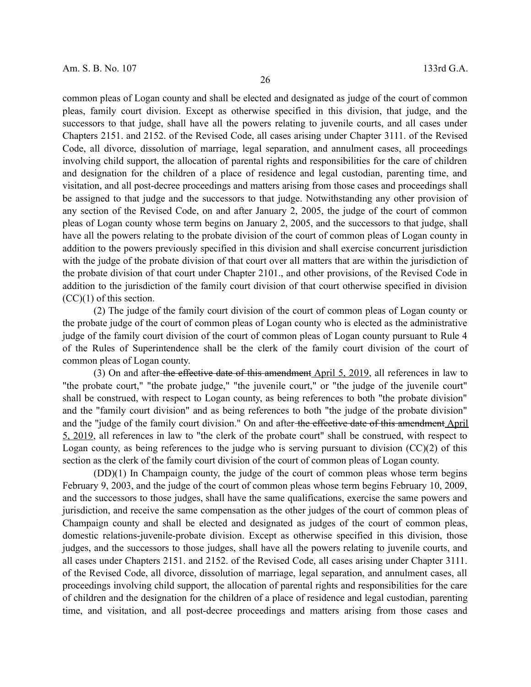common pleas of Logan county and shall be elected and designated as judge of the court of common pleas, family court division. Except as otherwise specified in this division, that judge, and the successors to that judge, shall have all the powers relating to juvenile courts, and all cases under Chapters 2151. and 2152. of the Revised Code, all cases arising under Chapter 3111. of the Revised Code, all divorce, dissolution of marriage, legal separation, and annulment cases, all proceedings involving child support, the allocation of parental rights and responsibilities for the care of children and designation for the children of a place of residence and legal custodian, parenting time, and visitation, and all post-decree proceedings and matters arising from those cases and proceedings shall be assigned to that judge and the successors to that judge. Notwithstanding any other provision of any section of the Revised Code, on and after January 2, 2005, the judge of the court of common pleas of Logan county whose term begins on January 2, 2005, and the successors to that judge, shall have all the powers relating to the probate division of the court of common pleas of Logan county in addition to the powers previously specified in this division and shall exercise concurrent jurisdiction with the judge of the probate division of that court over all matters that are within the jurisdiction of the probate division of that court under Chapter 2101., and other provisions, of the Revised Code in addition to the jurisdiction of the family court division of that court otherwise specified in division (CC)(1) of this section.

(2) The judge of the family court division of the court of common pleas of Logan county or the probate judge of the court of common pleas of Logan county who is elected as the administrative judge of the family court division of the court of common pleas of Logan county pursuant to Rule 4 of the Rules of Superintendence shall be the clerk of the family court division of the court of common pleas of Logan county.

(3) On and after the effective date of this amendment April 5, 2019, all references in law to "the probate court," "the probate judge," "the juvenile court," or "the judge of the juvenile court" shall be construed, with respect to Logan county, as being references to both "the probate division" and the "family court division" and as being references to both "the judge of the probate division" and the "judge of the family court division." On and after the effective date of this amendment April 5, 2019, all references in law to "the clerk of the probate court" shall be construed, with respect to Logan county, as being references to the judge who is serving pursuant to division  $(CC)(2)$  of this section as the clerk of the family court division of the court of common pleas of Logan county.

(DD)(1) In Champaign county, the judge of the court of common pleas whose term begins February 9, 2003, and the judge of the court of common pleas whose term begins February 10, 2009, and the successors to those judges, shall have the same qualifications, exercise the same powers and jurisdiction, and receive the same compensation as the other judges of the court of common pleas of Champaign county and shall be elected and designated as judges of the court of common pleas, domestic relations-juvenile-probate division. Except as otherwise specified in this division, those judges, and the successors to those judges, shall have all the powers relating to juvenile courts, and all cases under Chapters 2151. and 2152. of the Revised Code, all cases arising under Chapter 3111. of the Revised Code, all divorce, dissolution of marriage, legal separation, and annulment cases, all proceedings involving child support, the allocation of parental rights and responsibilities for the care of children and the designation for the children of a place of residence and legal custodian, parenting time, and visitation, and all post-decree proceedings and matters arising from those cases and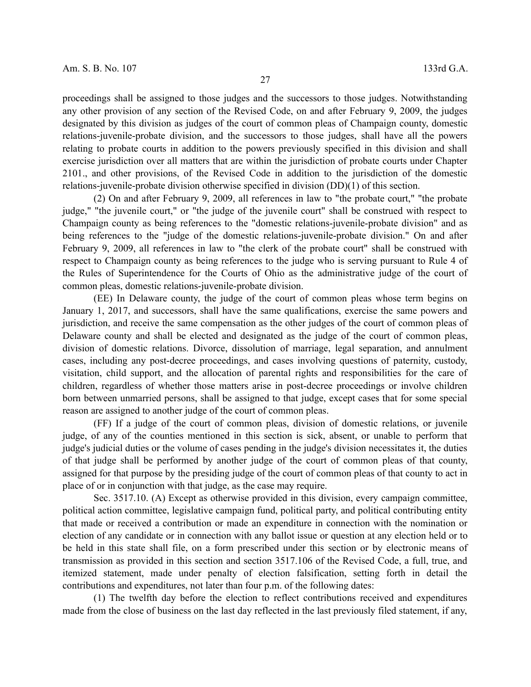proceedings shall be assigned to those judges and the successors to those judges. Notwithstanding any other provision of any section of the Revised Code, on and after February 9, 2009, the judges designated by this division as judges of the court of common pleas of Champaign county, domestic relations-juvenile-probate division, and the successors to those judges, shall have all the powers relating to probate courts in addition to the powers previously specified in this division and shall exercise jurisdiction over all matters that are within the jurisdiction of probate courts under Chapter 2101., and other provisions, of the Revised Code in addition to the jurisdiction of the domestic relations-juvenile-probate division otherwise specified in division (DD)(1) of this section.

(2) On and after February 9, 2009, all references in law to "the probate court," "the probate judge," "the juvenile court," or "the judge of the juvenile court" shall be construed with respect to Champaign county as being references to the "domestic relations-juvenile-probate division" and as being references to the "judge of the domestic relations-juvenile-probate division." On and after February 9, 2009, all references in law to "the clerk of the probate court" shall be construed with respect to Champaign county as being references to the judge who is serving pursuant to Rule 4 of the Rules of Superintendence for the Courts of Ohio as the administrative judge of the court of common pleas, domestic relations-juvenile-probate division.

(EE) In Delaware county, the judge of the court of common pleas whose term begins on January 1, 2017, and successors, shall have the same qualifications, exercise the same powers and jurisdiction, and receive the same compensation as the other judges of the court of common pleas of Delaware county and shall be elected and designated as the judge of the court of common pleas, division of domestic relations. Divorce, dissolution of marriage, legal separation, and annulment cases, including any post-decree proceedings, and cases involving questions of paternity, custody, visitation, child support, and the allocation of parental rights and responsibilities for the care of children, regardless of whether those matters arise in post-decree proceedings or involve children born between unmarried persons, shall be assigned to that judge, except cases that for some special reason are assigned to another judge of the court of common pleas.

(FF) If a judge of the court of common pleas, division of domestic relations, or juvenile judge, of any of the counties mentioned in this section is sick, absent, or unable to perform that judge's judicial duties or the volume of cases pending in the judge's division necessitates it, the duties of that judge shall be performed by another judge of the court of common pleas of that county, assigned for that purpose by the presiding judge of the court of common pleas of that county to act in place of or in conjunction with that judge, as the case may require.

Sec. 3517.10. (A) Except as otherwise provided in this division, every campaign committee, political action committee, legislative campaign fund, political party, and political contributing entity that made or received a contribution or made an expenditure in connection with the nomination or election of any candidate or in connection with any ballot issue or question at any election held or to be held in this state shall file, on a form prescribed under this section or by electronic means of transmission as provided in this section and section 3517.106 of the Revised Code, a full, true, and itemized statement, made under penalty of election falsification, setting forth in detail the contributions and expenditures, not later than four p.m. of the following dates:

(1) The twelfth day before the election to reflect contributions received and expenditures made from the close of business on the last day reflected in the last previously filed statement, if any,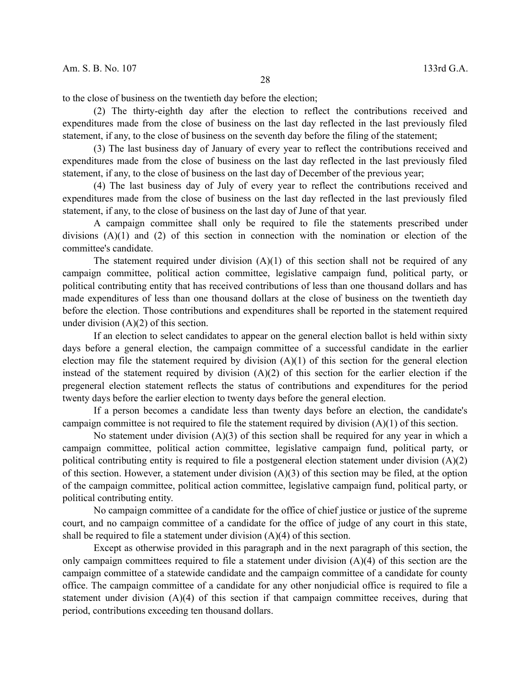to the close of business on the twentieth day before the election;

(2) The thirty-eighth day after the election to reflect the contributions received and expenditures made from the close of business on the last day reflected in the last previously filed statement, if any, to the close of business on the seventh day before the filing of the statement;

(3) The last business day of January of every year to reflect the contributions received and expenditures made from the close of business on the last day reflected in the last previously filed statement, if any, to the close of business on the last day of December of the previous year;

(4) The last business day of July of every year to reflect the contributions received and expenditures made from the close of business on the last day reflected in the last previously filed statement, if any, to the close of business on the last day of June of that year.

A campaign committee shall only be required to file the statements prescribed under divisions (A)(1) and (2) of this section in connection with the nomination or election of the committee's candidate.

The statement required under division  $(A)(1)$  of this section shall not be required of any campaign committee, political action committee, legislative campaign fund, political party, or political contributing entity that has received contributions of less than one thousand dollars and has made expenditures of less than one thousand dollars at the close of business on the twentieth day before the election. Those contributions and expenditures shall be reported in the statement required under division (A)(2) of this section.

If an election to select candidates to appear on the general election ballot is held within sixty days before a general election, the campaign committee of a successful candidate in the earlier election may file the statement required by division  $(A)(1)$  of this section for the general election instead of the statement required by division (A)(2) of this section for the earlier election if the pregeneral election statement reflects the status of contributions and expenditures for the period twenty days before the earlier election to twenty days before the general election.

If a person becomes a candidate less than twenty days before an election, the candidate's campaign committee is not required to file the statement required by division (A)(1) of this section.

No statement under division (A)(3) of this section shall be required for any year in which a campaign committee, political action committee, legislative campaign fund, political party, or political contributing entity is required to file a postgeneral election statement under division (A)(2) of this section. However, a statement under division (A)(3) of this section may be filed, at the option of the campaign committee, political action committee, legislative campaign fund, political party, or political contributing entity.

No campaign committee of a candidate for the office of chief justice or justice of the supreme court, and no campaign committee of a candidate for the office of judge of any court in this state, shall be required to file a statement under division (A)(4) of this section.

Except as otherwise provided in this paragraph and in the next paragraph of this section, the only campaign committees required to file a statement under division (A)(4) of this section are the campaign committee of a statewide candidate and the campaign committee of a candidate for county office. The campaign committee of a candidate for any other nonjudicial office is required to file a statement under division (A)(4) of this section if that campaign committee receives, during that period, contributions exceeding ten thousand dollars.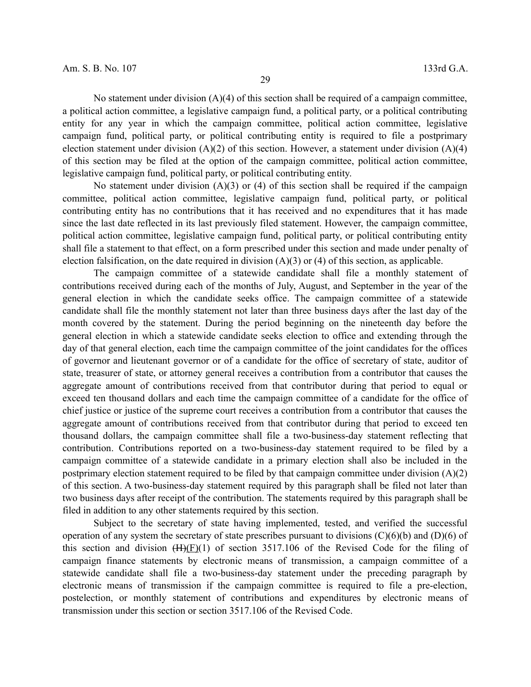No statement under division  $(A)(4)$  of this section shall be required of a campaign committee, a political action committee, a legislative campaign fund, a political party, or a political contributing entity for any year in which the campaign committee, political action committee, legislative campaign fund, political party, or political contributing entity is required to file a postprimary election statement under division (A)(2) of this section. However, a statement under division (A)(4) of this section may be filed at the option of the campaign committee, political action committee, legislative campaign fund, political party, or political contributing entity.

No statement under division  $(A)(3)$  or  $(4)$  of this section shall be required if the campaign committee, political action committee, legislative campaign fund, political party, or political contributing entity has no contributions that it has received and no expenditures that it has made since the last date reflected in its last previously filed statement. However, the campaign committee, political action committee, legislative campaign fund, political party, or political contributing entity shall file a statement to that effect, on a form prescribed under this section and made under penalty of election falsification, on the date required in division  $(A)(3)$  or  $(A)$  of this section, as applicable.

The campaign committee of a statewide candidate shall file a monthly statement of contributions received during each of the months of July, August, and September in the year of the general election in which the candidate seeks office. The campaign committee of a statewide candidate shall file the monthly statement not later than three business days after the last day of the month covered by the statement. During the period beginning on the nineteenth day before the general election in which a statewide candidate seeks election to office and extending through the day of that general election, each time the campaign committee of the joint candidates for the offices of governor and lieutenant governor or of a candidate for the office of secretary of state, auditor of state, treasurer of state, or attorney general receives a contribution from a contributor that causes the aggregate amount of contributions received from that contributor during that period to equal or exceed ten thousand dollars and each time the campaign committee of a candidate for the office of chief justice or justice of the supreme court receives a contribution from a contributor that causes the aggregate amount of contributions received from that contributor during that period to exceed ten thousand dollars, the campaign committee shall file a two-business-day statement reflecting that contribution. Contributions reported on a two-business-day statement required to be filed by a campaign committee of a statewide candidate in a primary election shall also be included in the postprimary election statement required to be filed by that campaign committee under division (A)(2) of this section. A two-business-day statement required by this paragraph shall be filed not later than two business days after receipt of the contribution. The statements required by this paragraph shall be filed in addition to any other statements required by this section.

Subject to the secretary of state having implemented, tested, and verified the successful operation of any system the secretary of state prescribes pursuant to divisions (C)(6)(b) and (D)(6) of this section and division  $(H)(E)(1)$  of section 3517.106 of the Revised Code for the filing of campaign finance statements by electronic means of transmission, a campaign committee of a statewide candidate shall file a two-business-day statement under the preceding paragraph by electronic means of transmission if the campaign committee is required to file a pre-election, postelection, or monthly statement of contributions and expenditures by electronic means of transmission under this section or section 3517.106 of the Revised Code.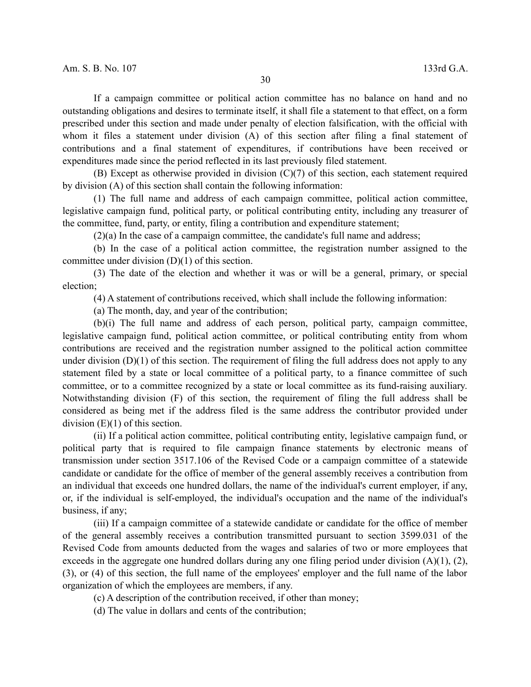If a campaign committee or political action committee has no balance on hand and no outstanding obligations and desires to terminate itself, it shall file a statement to that effect, on a form prescribed under this section and made under penalty of election falsification, with the official with whom it files a statement under division (A) of this section after filing a final statement of contributions and a final statement of expenditures, if contributions have been received or expenditures made since the period reflected in its last previously filed statement.

(B) Except as otherwise provided in division (C)(7) of this section, each statement required by division (A) of this section shall contain the following information:

(1) The full name and address of each campaign committee, political action committee, legislative campaign fund, political party, or political contributing entity, including any treasurer of the committee, fund, party, or entity, filing a contribution and expenditure statement;

(2)(a) In the case of a campaign committee, the candidate's full name and address;

(b) In the case of a political action committee, the registration number assigned to the committee under division  $(D)(1)$  of this section.

(3) The date of the election and whether it was or will be a general, primary, or special election;

(4) A statement of contributions received, which shall include the following information:

(a) The month, day, and year of the contribution;

(b)(i) The full name and address of each person, political party, campaign committee, legislative campaign fund, political action committee, or political contributing entity from whom contributions are received and the registration number assigned to the political action committee under division  $(D)(1)$  of this section. The requirement of filing the full address does not apply to any statement filed by a state or local committee of a political party, to a finance committee of such committee, or to a committee recognized by a state or local committee as its fund-raising auxiliary. Notwithstanding division (F) of this section, the requirement of filing the full address shall be considered as being met if the address filed is the same address the contributor provided under division (E)(1) of this section.

(ii) If a political action committee, political contributing entity, legislative campaign fund, or political party that is required to file campaign finance statements by electronic means of transmission under section 3517.106 of the Revised Code or a campaign committee of a statewide candidate or candidate for the office of member of the general assembly receives a contribution from an individual that exceeds one hundred dollars, the name of the individual's current employer, if any, or, if the individual is self-employed, the individual's occupation and the name of the individual's business, if any;

(iii) If a campaign committee of a statewide candidate or candidate for the office of member of the general assembly receives a contribution transmitted pursuant to section 3599.031 of the Revised Code from amounts deducted from the wages and salaries of two or more employees that exceeds in the aggregate one hundred dollars during any one filing period under division  $(A)(1), (2),$ (3), or (4) of this section, the full name of the employees' employer and the full name of the labor organization of which the employees are members, if any.

(c) A description of the contribution received, if other than money;

(d) The value in dollars and cents of the contribution;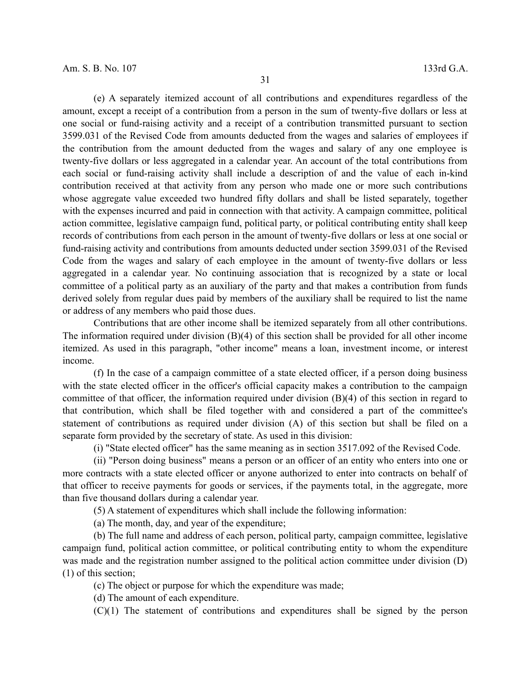(e) A separately itemized account of all contributions and expenditures regardless of the amount, except a receipt of a contribution from a person in the sum of twenty-five dollars or less at one social or fund-raising activity and a receipt of a contribution transmitted pursuant to section 3599.031 of the Revised Code from amounts deducted from the wages and salaries of employees if the contribution from the amount deducted from the wages and salary of any one employee is twenty-five dollars or less aggregated in a calendar year. An account of the total contributions from each social or fund-raising activity shall include a description of and the value of each in-kind contribution received at that activity from any person who made one or more such contributions whose aggregate value exceeded two hundred fifty dollars and shall be listed separately, together with the expenses incurred and paid in connection with that activity. A campaign committee, political action committee, legislative campaign fund, political party, or political contributing entity shall keep records of contributions from each person in the amount of twenty-five dollars or less at one social or fund-raising activity and contributions from amounts deducted under section 3599.031 of the Revised Code from the wages and salary of each employee in the amount of twenty-five dollars or less aggregated in a calendar year. No continuing association that is recognized by a state or local committee of a political party as an auxiliary of the party and that makes a contribution from funds derived solely from regular dues paid by members of the auxiliary shall be required to list the name or address of any members who paid those dues.

Contributions that are other income shall be itemized separately from all other contributions. The information required under division  $(B)(4)$  of this section shall be provided for all other income itemized. As used in this paragraph, "other income" means a loan, investment income, or interest income.

(f) In the case of a campaign committee of a state elected officer, if a person doing business with the state elected officer in the officer's official capacity makes a contribution to the campaign committee of that officer, the information required under division (B)(4) of this section in regard to that contribution, which shall be filed together with and considered a part of the committee's statement of contributions as required under division (A) of this section but shall be filed on a separate form provided by the secretary of state. As used in this division:

(i) "State elected officer" has the same meaning as in section 3517.092 of the Revised Code.

(ii) "Person doing business" means a person or an officer of an entity who enters into one or more contracts with a state elected officer or anyone authorized to enter into contracts on behalf of that officer to receive payments for goods or services, if the payments total, in the aggregate, more than five thousand dollars during a calendar year.

(5) A statement of expenditures which shall include the following information:

(a) The month, day, and year of the expenditure;

(b) The full name and address of each person, political party, campaign committee, legislative campaign fund, political action committee, or political contributing entity to whom the expenditure was made and the registration number assigned to the political action committee under division (D) (1) of this section;

(c) The object or purpose for which the expenditure was made;

(d) The amount of each expenditure.

(C)(1) The statement of contributions and expenditures shall be signed by the person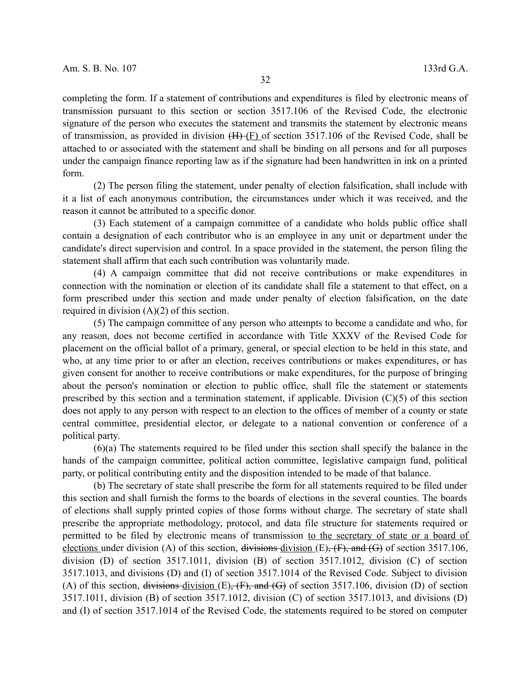completing the form. If a statement of contributions and expenditures is filed by electronic means of transmission pursuant to this section or section 3517.106 of the Revised Code, the electronic signature of the person who executes the statement and transmits the statement by electronic means of transmission, as provided in division  $(H)(F)$  of section 3517.106 of the Revised Code, shall be attached to or associated with the statement and shall be binding on all persons and for all purposes under the campaign finance reporting law as if the signature had been handwritten in ink on a printed form.

(2) The person filing the statement, under penalty of election falsification, shall include with it a list of each anonymous contribution, the circumstances under which it was received, and the reason it cannot be attributed to a specific donor.

(3) Each statement of a campaign committee of a candidate who holds public office shall contain a designation of each contributor who is an employee in any unit or department under the candidate's direct supervision and control. In a space provided in the statement, the person filing the statement shall affirm that each such contribution was voluntarily made.

(4) A campaign committee that did not receive contributions or make expenditures in connection with the nomination or election of its candidate shall file a statement to that effect, on a form prescribed under this section and made under penalty of election falsification, on the date required in division (A)(2) of this section.

(5) The campaign committee of any person who attempts to become a candidate and who, for any reason, does not become certified in accordance with Title XXXV of the Revised Code for placement on the official ballot of a primary, general, or special election to be held in this state, and who, at any time prior to or after an election, receives contributions or makes expenditures, or has given consent for another to receive contributions or make expenditures, for the purpose of bringing about the person's nomination or election to public office, shall file the statement or statements prescribed by this section and a termination statement, if applicable. Division  $(C)(5)$  of this section does not apply to any person with respect to an election to the offices of member of a county or state central committee, presidential elector, or delegate to a national convention or conference of a political party.

(6)(a) The statements required to be filed under this section shall specify the balance in the hands of the campaign committee, political action committee, legislative campaign fund, political party, or political contributing entity and the disposition intended to be made of that balance.

(b) The secretary of state shall prescribe the form for all statements required to be filed under this section and shall furnish the forms to the boards of elections in the several counties. The boards of elections shall supply printed copies of those forms without charge. The secretary of state shall prescribe the appropriate methodology, protocol, and data file structure for statements required or permitted to be filed by electronic means of transmission to the secretary of state or a board of elections under division (A) of this section, divisions division  $(E)$ ,  $(F)$ , and  $(G)$  of section 3517.106, division (D) of section 3517.1011, division (B) of section 3517.1012, division (C) of section 3517.1013, and divisions (D) and (I) of section 3517.1014 of the Revised Code. Subject to division (A) of this section, divisions-division  $(E)$ ,  $(F)$ , and  $(G)$  of section 3517.106, division  $(D)$  of section 3517.1011, division (B) of section 3517.1012, division (C) of section 3517.1013, and divisions (D) and (I) of section 3517.1014 of the Revised Code, the statements required to be stored on computer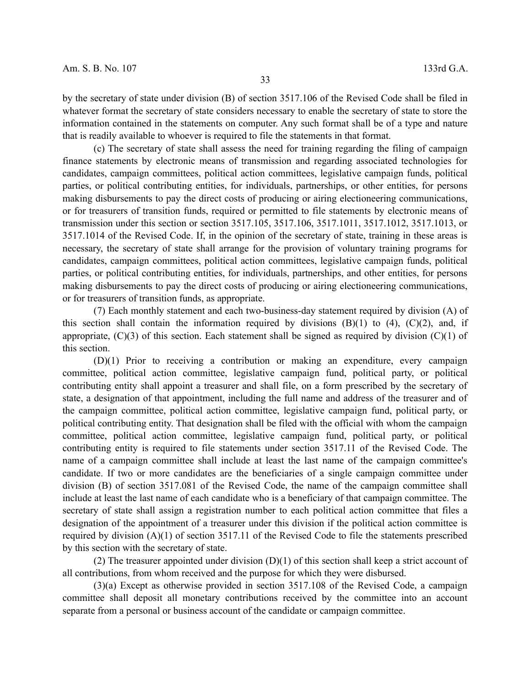by the secretary of state under division (B) of section 3517.106 of the Revised Code shall be filed in whatever format the secretary of state considers necessary to enable the secretary of state to store the information contained in the statements on computer. Any such format shall be of a type and nature that is readily available to whoever is required to file the statements in that format.

(c) The secretary of state shall assess the need for training regarding the filing of campaign finance statements by electronic means of transmission and regarding associated technologies for candidates, campaign committees, political action committees, legislative campaign funds, political parties, or political contributing entities, for individuals, partnerships, or other entities, for persons making disbursements to pay the direct costs of producing or airing electioneering communications, or for treasurers of transition funds, required or permitted to file statements by electronic means of transmission under this section or section 3517.105, 3517.106, 3517.1011, 3517.1012, 3517.1013, or 3517.1014 of the Revised Code. If, in the opinion of the secretary of state, training in these areas is necessary, the secretary of state shall arrange for the provision of voluntary training programs for candidates, campaign committees, political action committees, legislative campaign funds, political parties, or political contributing entities, for individuals, partnerships, and other entities, for persons making disbursements to pay the direct costs of producing or airing electioneering communications, or for treasurers of transition funds, as appropriate.

(7) Each monthly statement and each two-business-day statement required by division (A) of this section shall contain the information required by divisions  $(B)(1)$  to  $(4)$ ,  $(C)(2)$ , and, if appropriate,  $(C)(3)$  of this section. Each statement shall be signed as required by division  $(C)(1)$  of this section.

(D)(1) Prior to receiving a contribution or making an expenditure, every campaign committee, political action committee, legislative campaign fund, political party, or political contributing entity shall appoint a treasurer and shall file, on a form prescribed by the secretary of state, a designation of that appointment, including the full name and address of the treasurer and of the campaign committee, political action committee, legislative campaign fund, political party, or political contributing entity. That designation shall be filed with the official with whom the campaign committee, political action committee, legislative campaign fund, political party, or political contributing entity is required to file statements under section 3517.11 of the Revised Code. The name of a campaign committee shall include at least the last name of the campaign committee's candidate. If two or more candidates are the beneficiaries of a single campaign committee under division (B) of section 3517.081 of the Revised Code, the name of the campaign committee shall include at least the last name of each candidate who is a beneficiary of that campaign committee. The secretary of state shall assign a registration number to each political action committee that files a designation of the appointment of a treasurer under this division if the political action committee is required by division (A)(1) of section 3517.11 of the Revised Code to file the statements prescribed by this section with the secretary of state.

(2) The treasurer appointed under division  $(D)(1)$  of this section shall keep a strict account of all contributions, from whom received and the purpose for which they were disbursed.

(3)(a) Except as otherwise provided in section 3517.108 of the Revised Code, a campaign committee shall deposit all monetary contributions received by the committee into an account separate from a personal or business account of the candidate or campaign committee.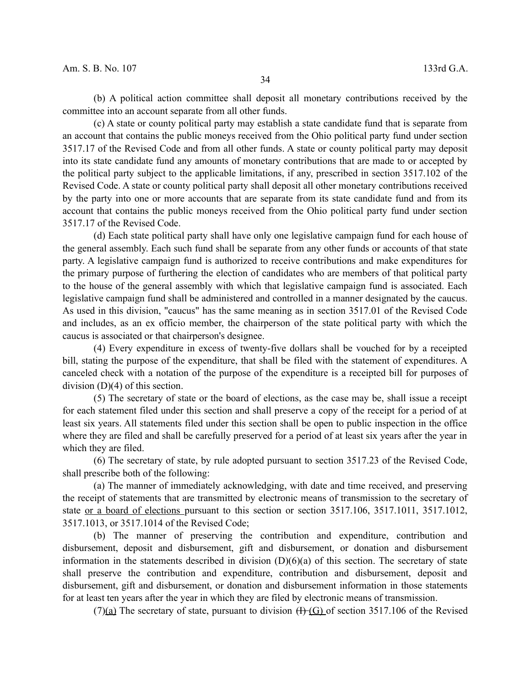(b) A political action committee shall deposit all monetary contributions received by the committee into an account separate from all other funds.

(c) A state or county political party may establish a state candidate fund that is separate from an account that contains the public moneys received from the Ohio political party fund under section 3517.17 of the Revised Code and from all other funds. A state or county political party may deposit into its state candidate fund any amounts of monetary contributions that are made to or accepted by the political party subject to the applicable limitations, if any, prescribed in section 3517.102 of the Revised Code. A state or county political party shall deposit all other monetary contributions received by the party into one or more accounts that are separate from its state candidate fund and from its account that contains the public moneys received from the Ohio political party fund under section 3517.17 of the Revised Code.

(d) Each state political party shall have only one legislative campaign fund for each house of the general assembly. Each such fund shall be separate from any other funds or accounts of that state party. A legislative campaign fund is authorized to receive contributions and make expenditures for the primary purpose of furthering the election of candidates who are members of that political party to the house of the general assembly with which that legislative campaign fund is associated. Each legislative campaign fund shall be administered and controlled in a manner designated by the caucus. As used in this division, "caucus" has the same meaning as in section 3517.01 of the Revised Code and includes, as an ex officio member, the chairperson of the state political party with which the caucus is associated or that chairperson's designee.

(4) Every expenditure in excess of twenty-five dollars shall be vouched for by a receipted bill, stating the purpose of the expenditure, that shall be filed with the statement of expenditures. A canceled check with a notation of the purpose of the expenditure is a receipted bill for purposes of division (D)(4) of this section.

(5) The secretary of state or the board of elections, as the case may be, shall issue a receipt for each statement filed under this section and shall preserve a copy of the receipt for a period of at least six years. All statements filed under this section shall be open to public inspection in the office where they are filed and shall be carefully preserved for a period of at least six years after the year in which they are filed.

(6) The secretary of state, by rule adopted pursuant to section 3517.23 of the Revised Code, shall prescribe both of the following:

(a) The manner of immediately acknowledging, with date and time received, and preserving the receipt of statements that are transmitted by electronic means of transmission to the secretary of state or a board of elections pursuant to this section or section 3517.106, 3517.1011, 3517.1012, 3517.1013, or 3517.1014 of the Revised Code;

(b) The manner of preserving the contribution and expenditure, contribution and disbursement, deposit and disbursement, gift and disbursement, or donation and disbursement information in the statements described in division  $(D)(6)(a)$  of this section. The secretary of state shall preserve the contribution and expenditure, contribution and disbursement, deposit and disbursement, gift and disbursement, or donation and disbursement information in those statements for at least ten years after the year in which they are filed by electronic means of transmission.

(7)(a) The secretary of state, pursuant to division  $(H)(G)$  of section 3517.106 of the Revised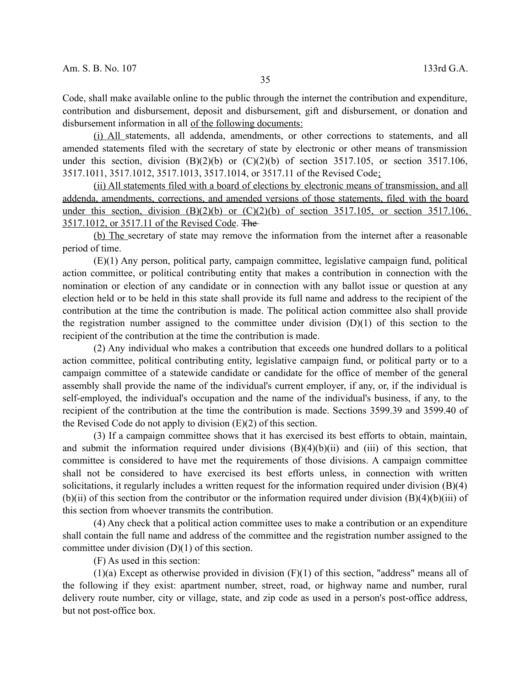Code, shall make available online to the public through the internet the contribution and expenditure, contribution and disbursement, deposit and disbursement, gift and disbursement, or donation and disbursement information in all of the following documents:

(i) All statements, all addenda, amendments, or other corrections to statements, and all amended statements filed with the secretary of state by electronic or other means of transmission under this section, division  $(B)(2)(b)$  or  $(C)(2)(b)$  of section 3517.105, or section 3517.106, 3517.1011, 3517.1012, 3517.1013, 3517.1014, or 3517.11 of the Revised Code;

 (ii) All statements filed with a board of elections by electronic means of transmission, and all addenda, amendments, corrections, and amended versions of those statements, filed with the board under this section, division  $(B)(2)(b)$  or  $(C)(2)(b)$  of section 3517.105, or section 3517.106, 3517.1012, or 3517.11 of the Revised Code. The

 (b) The secretary of state may remove the information from the internet after a reasonable period of time.

(E)(1) Any person, political party, campaign committee, legislative campaign fund, political action committee, or political contributing entity that makes a contribution in connection with the nomination or election of any candidate or in connection with any ballot issue or question at any election held or to be held in this state shall provide its full name and address to the recipient of the contribution at the time the contribution is made. The political action committee also shall provide the registration number assigned to the committee under division  $(D)(1)$  of this section to the recipient of the contribution at the time the contribution is made.

(2) Any individual who makes a contribution that exceeds one hundred dollars to a political action committee, political contributing entity, legislative campaign fund, or political party or to a campaign committee of a statewide candidate or candidate for the office of member of the general assembly shall provide the name of the individual's current employer, if any, or, if the individual is self-employed, the individual's occupation and the name of the individual's business, if any, to the recipient of the contribution at the time the contribution is made. Sections 3599.39 and 3599.40 of the Revised Code do not apply to division  $(E)(2)$  of this section.

(3) If a campaign committee shows that it has exercised its best efforts to obtain, maintain, and submit the information required under divisions  $(B)(4)(b)(ii)$  and  $(iii)$  of this section, that committee is considered to have met the requirements of those divisions. A campaign committee shall not be considered to have exercised its best efforts unless, in connection with written solicitations, it regularly includes a written request for the information required under division (B)(4)  $(b)(ii)$  of this section from the contributor or the information required under division  $(B)(4)(b)(iii)$  of this section from whoever transmits the contribution.

(4) Any check that a political action committee uses to make a contribution or an expenditure shall contain the full name and address of the committee and the registration number assigned to the committee under division  $(D)(1)$  of this section.

(F) As used in this section:

 $(1)(a)$  Except as otherwise provided in division  $(F)(1)$  of this section, "address" means all of the following if they exist: apartment number, street, road, or highway name and number, rural delivery route number, city or village, state, and zip code as used in a person's post-office address, but not post-office box.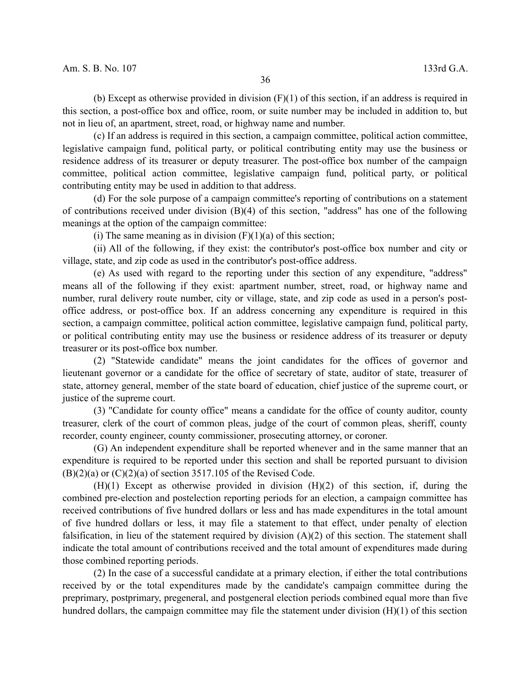(b) Except as otherwise provided in division  $(F)(1)$  of this section, if an address is required in this section, a post-office box and office, room, or suite number may be included in addition to, but not in lieu of, an apartment, street, road, or highway name and number.

(c) If an address is required in this section, a campaign committee, political action committee, legislative campaign fund, political party, or political contributing entity may use the business or residence address of its treasurer or deputy treasurer. The post-office box number of the campaign committee, political action committee, legislative campaign fund, political party, or political contributing entity may be used in addition to that address.

(d) For the sole purpose of a campaign committee's reporting of contributions on a statement of contributions received under division (B)(4) of this section, "address" has one of the following meanings at the option of the campaign committee:

(i) The same meaning as in division  $(F)(1)(a)$  of this section;

(ii) All of the following, if they exist: the contributor's post-office box number and city or village, state, and zip code as used in the contributor's post-office address.

(e) As used with regard to the reporting under this section of any expenditure, "address" means all of the following if they exist: apartment number, street, road, or highway name and number, rural delivery route number, city or village, state, and zip code as used in a person's postoffice address, or post-office box. If an address concerning any expenditure is required in this section, a campaign committee, political action committee, legislative campaign fund, political party, or political contributing entity may use the business or residence address of its treasurer or deputy treasurer or its post-office box number.

(2) "Statewide candidate" means the joint candidates for the offices of governor and lieutenant governor or a candidate for the office of secretary of state, auditor of state, treasurer of state, attorney general, member of the state board of education, chief justice of the supreme court, or justice of the supreme court.

(3) "Candidate for county office" means a candidate for the office of county auditor, county treasurer, clerk of the court of common pleas, judge of the court of common pleas, sheriff, county recorder, county engineer, county commissioner, prosecuting attorney, or coroner.

(G) An independent expenditure shall be reported whenever and in the same manner that an expenditure is required to be reported under this section and shall be reported pursuant to division  $(B)(2)(a)$  or  $(C)(2)(a)$  of section 3517.105 of the Revised Code.

(H)(1) Except as otherwise provided in division (H)(2) of this section, if, during the combined pre-election and postelection reporting periods for an election, a campaign committee has received contributions of five hundred dollars or less and has made expenditures in the total amount of five hundred dollars or less, it may file a statement to that effect, under penalty of election falsification, in lieu of the statement required by division (A)(2) of this section. The statement shall indicate the total amount of contributions received and the total amount of expenditures made during those combined reporting periods.

(2) In the case of a successful candidate at a primary election, if either the total contributions received by or the total expenditures made by the candidate's campaign committee during the preprimary, postprimary, pregeneral, and postgeneral election periods combined equal more than five hundred dollars, the campaign committee may file the statement under division (H)(1) of this section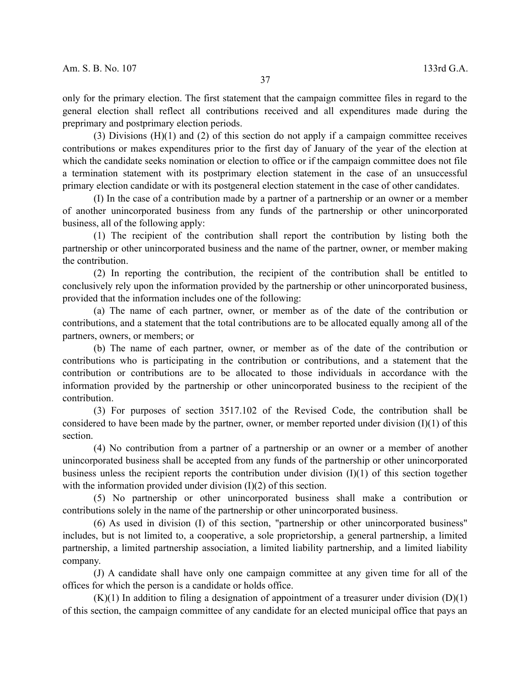only for the primary election. The first statement that the campaign committee files in regard to the general election shall reflect all contributions received and all expenditures made during the preprimary and postprimary election periods.

(3) Divisions (H)(1) and (2) of this section do not apply if a campaign committee receives contributions or makes expenditures prior to the first day of January of the year of the election at which the candidate seeks nomination or election to office or if the campaign committee does not file a termination statement with its postprimary election statement in the case of an unsuccessful primary election candidate or with its postgeneral election statement in the case of other candidates.

(I) In the case of a contribution made by a partner of a partnership or an owner or a member of another unincorporated business from any funds of the partnership or other unincorporated business, all of the following apply:

(1) The recipient of the contribution shall report the contribution by listing both the partnership or other unincorporated business and the name of the partner, owner, or member making the contribution.

(2) In reporting the contribution, the recipient of the contribution shall be entitled to conclusively rely upon the information provided by the partnership or other unincorporated business, provided that the information includes one of the following:

(a) The name of each partner, owner, or member as of the date of the contribution or contributions, and a statement that the total contributions are to be allocated equally among all of the partners, owners, or members; or

(b) The name of each partner, owner, or member as of the date of the contribution or contributions who is participating in the contribution or contributions, and a statement that the contribution or contributions are to be allocated to those individuals in accordance with the information provided by the partnership or other unincorporated business to the recipient of the contribution.

(3) For purposes of section 3517.102 of the Revised Code, the contribution shall be considered to have been made by the partner, owner, or member reported under division  $(I)(1)$  of this section.

(4) No contribution from a partner of a partnership or an owner or a member of another unincorporated business shall be accepted from any funds of the partnership or other unincorporated business unless the recipient reports the contribution under division (I)(1) of this section together with the information provided under division (I)(2) of this section.

(5) No partnership or other unincorporated business shall make a contribution or contributions solely in the name of the partnership or other unincorporated business.

(6) As used in division (I) of this section, "partnership or other unincorporated business" includes, but is not limited to, a cooperative, a sole proprietorship, a general partnership, a limited partnership, a limited partnership association, a limited liability partnership, and a limited liability company.

(J) A candidate shall have only one campaign committee at any given time for all of the offices for which the person is a candidate or holds office.

 $(K)(1)$  In addition to filing a designation of appointment of a treasurer under division  $(D)(1)$ of this section, the campaign committee of any candidate for an elected municipal office that pays an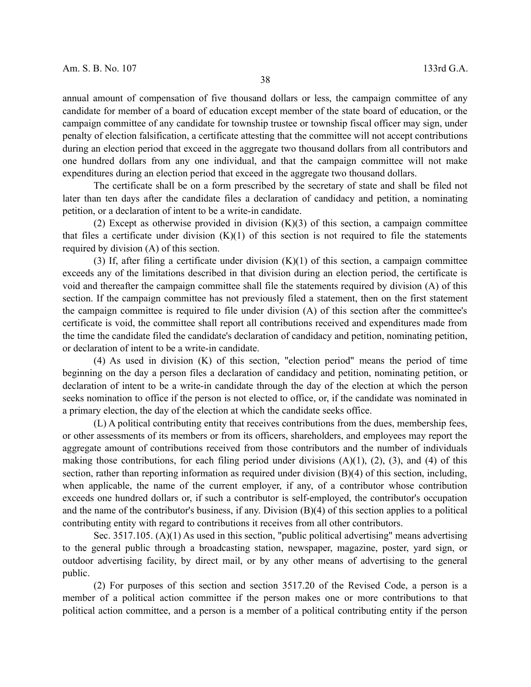annual amount of compensation of five thousand dollars or less, the campaign committee of any candidate for member of a board of education except member of the state board of education, or the campaign committee of any candidate for township trustee or township fiscal officer may sign, under penalty of election falsification, a certificate attesting that the committee will not accept contributions during an election period that exceed in the aggregate two thousand dollars from all contributors and one hundred dollars from any one individual, and that the campaign committee will not make expenditures during an election period that exceed in the aggregate two thousand dollars.

The certificate shall be on a form prescribed by the secretary of state and shall be filed not later than ten days after the candidate files a declaration of candidacy and petition, a nominating petition, or a declaration of intent to be a write-in candidate.

(2) Except as otherwise provided in division  $(K)(3)$  of this section, a campaign committee that files a certificate under division  $(K)(1)$  of this section is not required to file the statements required by division (A) of this section.

(3) If, after filing a certificate under division  $(K)(1)$  of this section, a campaign committee exceeds any of the limitations described in that division during an election period, the certificate is void and thereafter the campaign committee shall file the statements required by division (A) of this section. If the campaign committee has not previously filed a statement, then on the first statement the campaign committee is required to file under division (A) of this section after the committee's certificate is void, the committee shall report all contributions received and expenditures made from the time the candidate filed the candidate's declaration of candidacy and petition, nominating petition, or declaration of intent to be a write-in candidate.

(4) As used in division (K) of this section, "election period" means the period of time beginning on the day a person files a declaration of candidacy and petition, nominating petition, or declaration of intent to be a write-in candidate through the day of the election at which the person seeks nomination to office if the person is not elected to office, or, if the candidate was nominated in a primary election, the day of the election at which the candidate seeks office.

(L) A political contributing entity that receives contributions from the dues, membership fees, or other assessments of its members or from its officers, shareholders, and employees may report the aggregate amount of contributions received from those contributors and the number of individuals making those contributions, for each filing period under divisions  $(A)(1)$ ,  $(2)$ ,  $(3)$ , and  $(4)$  of this section, rather than reporting information as required under division (B)(4) of this section, including, when applicable, the name of the current employer, if any, of a contributor whose contribution exceeds one hundred dollars or, if such a contributor is self-employed, the contributor's occupation and the name of the contributor's business, if any. Division (B)(4) of this section applies to a political contributing entity with regard to contributions it receives from all other contributors.

Sec. 3517.105. (A)(1) As used in this section, "public political advertising" means advertising to the general public through a broadcasting station, newspaper, magazine, poster, yard sign, or outdoor advertising facility, by direct mail, or by any other means of advertising to the general public.

(2) For purposes of this section and section 3517.20 of the Revised Code, a person is a member of a political action committee if the person makes one or more contributions to that political action committee, and a person is a member of a political contributing entity if the person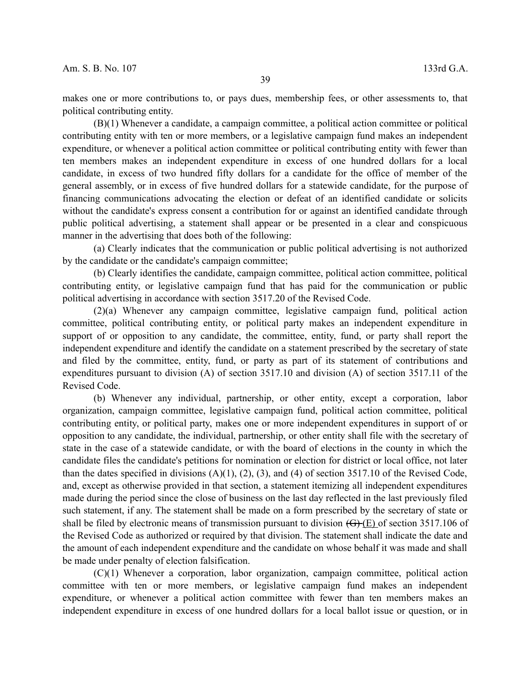makes one or more contributions to, or pays dues, membership fees, or other assessments to, that political contributing entity.

(B)(1) Whenever a candidate, a campaign committee, a political action committee or political contributing entity with ten or more members, or a legislative campaign fund makes an independent expenditure, or whenever a political action committee or political contributing entity with fewer than ten members makes an independent expenditure in excess of one hundred dollars for a local candidate, in excess of two hundred fifty dollars for a candidate for the office of member of the general assembly, or in excess of five hundred dollars for a statewide candidate, for the purpose of financing communications advocating the election or defeat of an identified candidate or solicits without the candidate's express consent a contribution for or against an identified candidate through public political advertising, a statement shall appear or be presented in a clear and conspicuous manner in the advertising that does both of the following:

(a) Clearly indicates that the communication or public political advertising is not authorized by the candidate or the candidate's campaign committee;

(b) Clearly identifies the candidate, campaign committee, political action committee, political contributing entity, or legislative campaign fund that has paid for the communication or public political advertising in accordance with section 3517.20 of the Revised Code.

(2)(a) Whenever any campaign committee, legislative campaign fund, political action committee, political contributing entity, or political party makes an independent expenditure in support of or opposition to any candidate, the committee, entity, fund, or party shall report the independent expenditure and identify the candidate on a statement prescribed by the secretary of state and filed by the committee, entity, fund, or party as part of its statement of contributions and expenditures pursuant to division (A) of section 3517.10 and division (A) of section 3517.11 of the Revised Code.

(b) Whenever any individual, partnership, or other entity, except a corporation, labor organization, campaign committee, legislative campaign fund, political action committee, political contributing entity, or political party, makes one or more independent expenditures in support of or opposition to any candidate, the individual, partnership, or other entity shall file with the secretary of state in the case of a statewide candidate, or with the board of elections in the county in which the candidate files the candidate's petitions for nomination or election for district or local office, not later than the dates specified in divisions  $(A)(1)$ ,  $(2)$ ,  $(3)$ , and  $(4)$  of section 3517.10 of the Revised Code, and, except as otherwise provided in that section, a statement itemizing all independent expenditures made during the period since the close of business on the last day reflected in the last previously filed such statement, if any. The statement shall be made on a form prescribed by the secretary of state or shall be filed by electronic means of transmission pursuant to division  $(\overline{G})(E)$  of section 3517.106 of the Revised Code as authorized or required by that division. The statement shall indicate the date and the amount of each independent expenditure and the candidate on whose behalf it was made and shall be made under penalty of election falsification.

(C)(1) Whenever a corporation, labor organization, campaign committee, political action committee with ten or more members, or legislative campaign fund makes an independent expenditure, or whenever a political action committee with fewer than ten members makes an independent expenditure in excess of one hundred dollars for a local ballot issue or question, or in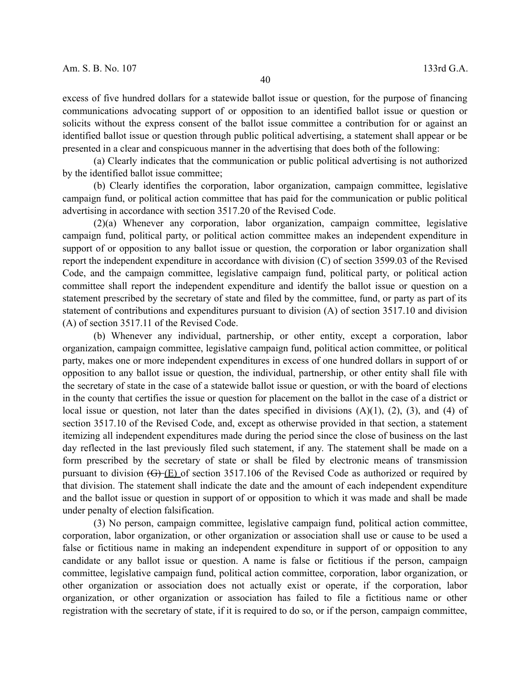excess of five hundred dollars for a statewide ballot issue or question, for the purpose of financing communications advocating support of or opposition to an identified ballot issue or question or solicits without the express consent of the ballot issue committee a contribution for or against an identified ballot issue or question through public political advertising, a statement shall appear or be

(a) Clearly indicates that the communication or public political advertising is not authorized by the identified ballot issue committee;

presented in a clear and conspicuous manner in the advertising that does both of the following:

(b) Clearly identifies the corporation, labor organization, campaign committee, legislative campaign fund, or political action committee that has paid for the communication or public political advertising in accordance with section 3517.20 of the Revised Code.

(2)(a) Whenever any corporation, labor organization, campaign committee, legislative campaign fund, political party, or political action committee makes an independent expenditure in support of or opposition to any ballot issue or question, the corporation or labor organization shall report the independent expenditure in accordance with division (C) of section 3599.03 of the Revised Code, and the campaign committee, legislative campaign fund, political party, or political action committee shall report the independent expenditure and identify the ballot issue or question on a statement prescribed by the secretary of state and filed by the committee, fund, or party as part of its statement of contributions and expenditures pursuant to division (A) of section 3517.10 and division (A) of section 3517.11 of the Revised Code.

(b) Whenever any individual, partnership, or other entity, except a corporation, labor organization, campaign committee, legislative campaign fund, political action committee, or political party, makes one or more independent expenditures in excess of one hundred dollars in support of or opposition to any ballot issue or question, the individual, partnership, or other entity shall file with the secretary of state in the case of a statewide ballot issue or question, or with the board of elections in the county that certifies the issue or question for placement on the ballot in the case of a district or local issue or question, not later than the dates specified in divisions  $(A)(1)$ ,  $(2)$ ,  $(3)$ , and  $(4)$  of section 3517.10 of the Revised Code, and, except as otherwise provided in that section, a statement itemizing all independent expenditures made during the period since the close of business on the last day reflected in the last previously filed such statement, if any. The statement shall be made on a form prescribed by the secretary of state or shall be filed by electronic means of transmission pursuant to division (G) (E) of section 3517.106 of the Revised Code as authorized or required by that division. The statement shall indicate the date and the amount of each independent expenditure and the ballot issue or question in support of or opposition to which it was made and shall be made under penalty of election falsification.

(3) No person, campaign committee, legislative campaign fund, political action committee, corporation, labor organization, or other organization or association shall use or cause to be used a false or fictitious name in making an independent expenditure in support of or opposition to any candidate or any ballot issue or question. A name is false or fictitious if the person, campaign committee, legislative campaign fund, political action committee, corporation, labor organization, or other organization or association does not actually exist or operate, if the corporation, labor organization, or other organization or association has failed to file a fictitious name or other registration with the secretary of state, if it is required to do so, or if the person, campaign committee,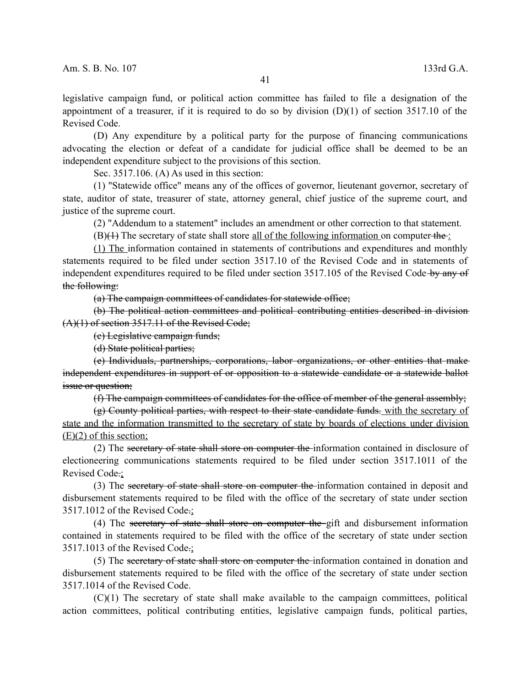legislative campaign fund, or political action committee has failed to file a designation of the appointment of a treasurer, if it is required to do so by division  $(D)(1)$  of section 3517.10 of the Revised Code.

(D) Any expenditure by a political party for the purpose of financing communications advocating the election or defeat of a candidate for judicial office shall be deemed to be an independent expenditure subject to the provisions of this section.

Sec. 3517.106. (A) As used in this section:

(1) "Statewide office" means any of the offices of governor, lieutenant governor, secretary of state, auditor of state, treasurer of state, attorney general, chief justice of the supreme court, and justice of the supreme court.

(2) "Addendum to a statement" includes an amendment or other correction to that statement.

 $(B)(H)$  The secretary of state shall store <u>all of the following information</u> on computer the :

(1) The information contained in statements of contributions and expenditures and monthly statements required to be filed under section 3517.10 of the Revised Code and in statements of independent expenditures required to be filed under section 3517.105 of the Revised Code-by any of the following:

(a) The campaign committees of candidates for statewide office;

(b) The political action committees and political contributing entities described in division (A)(1) of section 3517.11 of the Revised Code;

(c) Legislative campaign funds;

(d) State political parties;

(e) Individuals, partnerships, corporations, labor organizations, or other entities that make independent expenditures in support of or opposition to a statewide candidate or a statewide ballot issue or question;

(f) The campaign committees of candidates for the office of member of the general assembly;

(g) County political parties, with respect to their state candidate funds. with the secretary of state and the information transmitted to the secretary of state by boards of elections under division (E)(2) of this section;

(2) The secretary of state shall store on computer the information contained in disclosure of electioneering communications statements required to be filed under section 3517.1011 of the Revised Code.;

(3) The secretary of state shall store on computer the information contained in deposit and disbursement statements required to be filed with the office of the secretary of state under section 3517.1012 of the Revised Code.;

(4) The secretary of state shall store on computer the gift and disbursement information contained in statements required to be filed with the office of the secretary of state under section 3517.1013 of the Revised Code.;

(5) The secretary of state shall store on computer the information contained in donation and disbursement statements required to be filed with the office of the secretary of state under section 3517.1014 of the Revised Code.

(C)(1) The secretary of state shall make available to the campaign committees, political action committees, political contributing entities, legislative campaign funds, political parties,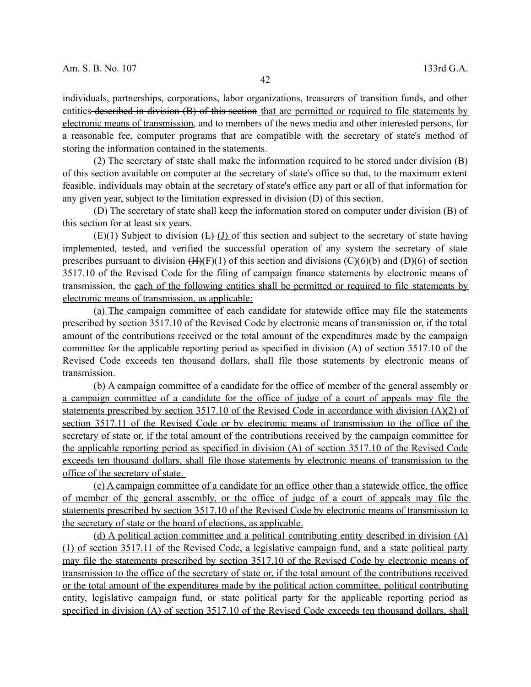individuals, partnerships, corporations, labor organizations, treasurers of transition funds, and other entities described in division (B) of this section that are permitted or required to file statements by electronic means of transmission, and to members of the news media and other interested persons, for a reasonable fee, computer programs that are compatible with the secretary of state's method of storing the information contained in the statements.

(2) The secretary of state shall make the information required to be stored under division (B) of this section available on computer at the secretary of state's office so that, to the maximum extent feasible, individuals may obtain at the secretary of state's office any part or all of that information for any given year, subject to the limitation expressed in division (D) of this section.

(D) The secretary of state shall keep the information stored on computer under division (B) of this section for at least six years.

 $(E)(1)$  Subject to division  $(L)$  (I) of this section and subject to the secretary of state having implemented, tested, and verified the successful operation of any system the secretary of state prescribes pursuant to division  $(H)(F)(1)$  of this section and divisions  $(C)(6)(b)$  and  $(D)(6)$  of section 3517.10 of the Revised Code for the filing of campaign finance statements by electronic means of transmission, the each of the following entities shall be permitted or required to file statements by electronic means of transmission, as applicable:

(a) The campaign committee of each candidate for statewide office may file the statements prescribed by section 3517.10 of the Revised Code by electronic means of transmission or, if the total amount of the contributions received or the total amount of the expenditures made by the campaign committee for the applicable reporting period as specified in division (A) of section 3517.10 of the Revised Code exceeds ten thousand dollars, shall file those statements by electronic means of transmission.

 (b) A campaign committee of a candidate for the office of member of the general assembly or a campaign committee of a candidate for the office of judge of a court of appeals may file the statements prescribed by section 3517.10 of the Revised Code in accordance with division (A)(2) of section 3517.11 of the Revised Code or by electronic means of transmission to the office of the secretary of state or, if the total amount of the contributions received by the campaign committee for the applicable reporting period as specified in division (A) of section 3517.10 of the Revised Code exceeds ten thousand dollars, shall file those statements by electronic means of transmission to the office of the secretary of state.

 (c) A campaign committee of a candidate for an office other than a statewide office, the office of member of the general assembly, or the office of judge of a court of appeals may file the statements prescribed by section 3517.10 of the Revised Code by electronic means of transmission to the secretary of state or the board of elections, as applicable.

 (d) A political action committee and a political contributing entity described in division (A) (1) of section 3517.11 of the Revised Code, a legislative campaign fund, and a state political party may file the statements prescribed by section 3517.10 of the Revised Code by electronic means of transmission to the office of the secretary of state or, if the total amount of the contributions received or the total amount of the expenditures made by the political action committee, political contributing entity, legislative campaign fund, or state political party for the applicable reporting period as specified in division (A) of section 3517.10 of the Revised Code exceeds ten thousand dollars, shall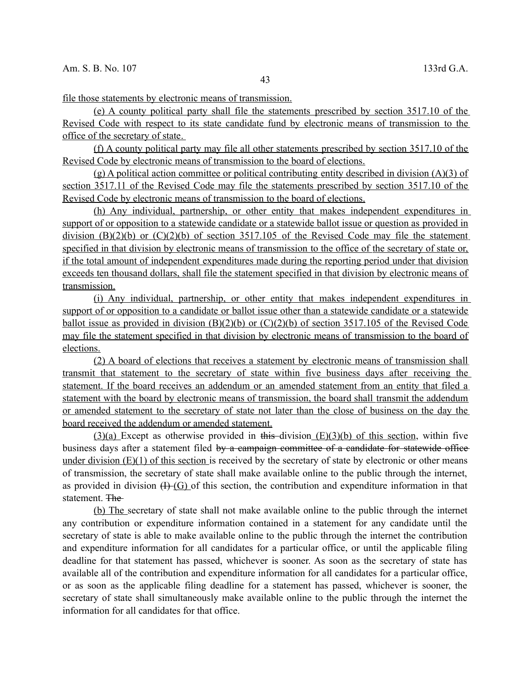file those statements by electronic means of transmission.

 (e) A county political party shall file the statements prescribed by section 3517.10 of the Revised Code with respect to its state candidate fund by electronic means of transmission to the office of the secretary of state .

 (f) A county political party may file all other statements prescribed by section 3517.10 of the Revised Code by electronic means of transmission to the board of elections.

 (g) A political action committee or political contributing entity described in division (A)(3) of section 3517.11 of the Revised Code may file the statements prescribed by section 3517.10 of the Revised Code by electronic means of transmission to the board of elections.

 (h) Any individual, partnership, or other entity that makes independent expenditures in support of or opposition to a statewide candidate or a statewide ballot issue or question as provided in division  $(B)(2)(b)$  or  $(C)(2)(b)$  of section 3517.105 of the Revised Code may file the statement specified in that division by electronic means of transmission to the office of the secretary of state or, if the total amount of independent expenditures made during the reporting period under that division exceeds ten thousand dollars, shall file the statement specified in that division by electronic means of transmission.

 (i) Any individual, partnership, or other entity that makes independent expenditures in support of or opposition to a candidate or ballot issue other than a statewide candidate or a statewide ballot issue as provided in division  $(B)(2)(b)$  or  $(C)(2)(b)$  of section 3517.105 of the Revised Code may file the statement specified in that division by electronic means of transmission to the board of elections.

 (2) A board of elections that receives a statement by electronic means of transmission shall transmit that statement to the secretary of state within five business days after receiving the statement. If the board receives an addendum or an amended statement from an entity that filed a statement with the board by electronic means of transmission, the board shall transmit the addendum or amended statement to the secretary of state not later than the close of business on the day the board received the addendum or amended statement.

 $(3)(a)$  Except as otherwise provided in this division  $(E)(3)(b)$  of this section, within five business days after a statement filed by a campaign committee of a candidate for statewide office under division  $(E)(1)$  of this section is received by the secretary of state by electronic or other means of transmission, the secretary of state shall make available online to the public through the internet, as provided in division  $(H-(G)$  of this section, the contribution and expenditure information in that statement. The

 (b) The secretary of state shall not make available online to the public through the internet any contribution or expenditure information contained in a statement for any candidate until the secretary of state is able to make available online to the public through the internet the contribution and expenditure information for all candidates for a particular office, or until the applicable filing deadline for that statement has passed, whichever is sooner. As soon as the secretary of state has available all of the contribution and expenditure information for all candidates for a particular office, or as soon as the applicable filing deadline for a statement has passed, whichever is sooner, the secretary of state shall simultaneously make available online to the public through the internet the information for all candidates for that office.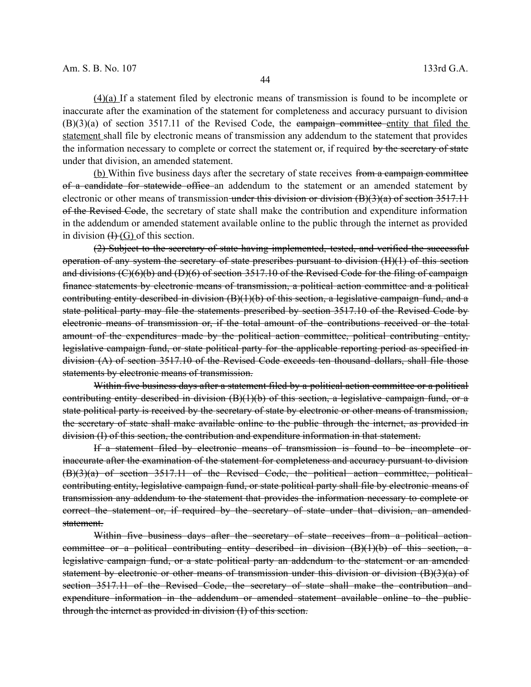(4)(a) If a statement filed by electronic means of transmission is found to be incomplete or inaccurate after the examination of the statement for completeness and accuracy pursuant to division  $(B)(3)(a)$  of section 3517.11 of the Revised Code, the eampaign committee entity that filed the statement shall file by electronic means of transmission any addendum to the statement that provides the information necessary to complete or correct the statement or, if required by the secretary of state under that division, an amended statement.

(b) Within five business days after the secretary of state receives from a campaign committee of a candidate for statewide office an addendum to the statement or an amended statement by electronic or other means of transmission under this division or division  $(B)(3)(a)$  of section 3517.11 of the Revised Code, the secretary of state shall make the contribution and expenditure information in the addendum or amended statement available online to the public through the internet as provided in division  $H(G)$  of this section.

(2) Subject to the secretary of state having implemented, tested, and verified the successful operation of any system the secretary of state prescribes pursuant to division (H)(1) of this section and divisions  $(C)(6)(b)$  and  $(D)(6)$  of section 3517.10 of the Revised Code for the filing of campaign finance statements by electronic means of transmission, a political action committee and a political contributing entity described in division  $(B)(1)(b)$  of this section, a legislative campaign fund, and a state political party may file the statements prescribed by section 3517.10 of the Revised Code by electronic means of transmission or, if the total amount of the contributions received or the total amount of the expenditures made by the political action committee, political contributing entity, legislative campaign fund, or state political party for the applicable reporting period as specified in division (A) of section 3517.10 of the Revised Code exceeds ten thousand dollars, shall file those statements by electronic means of transmission.

Within five business days after a statement filed by a political action committee or a political contributing entity described in division  $(B)(1)(b)$  of this section, a legislative campaign fund, or a state political party is received by the secretary of state by electronic or other means of transmission, the secretary of state shall make available online to the public through the internet, as provided in division (I) of this section, the contribution and expenditure information in that statement.

If a statement filed by electronic means of transmission is found to be incomplete or inaccurate after the examination of the statement for completeness and accuracy pursuant to division (B)(3)(a) of section 3517.11 of the Revised Code, the political action committee, political contributing entity, legislative campaign fund, or state political party shall file by electronic means of transmission any addendum to the statement that provides the information necessary to complete or correct the statement or, if required by the secretary of state under that division, an amended statement.

Within five business days after the secretary of state receives from a political actioncommittee or a political contributing entity described in division  $(B)(1)(b)$  of this section, a legislative campaign fund, or a state political party an addendum to the statement or an amended statement by electronic or other means of transmission under this division or division (B)(3)(a) of section 3517.11 of the Revised Code, the secretary of state shall make the contribution and expenditure information in the addendum or amended statement available online to the public through the internet as provided in division (I) of this section.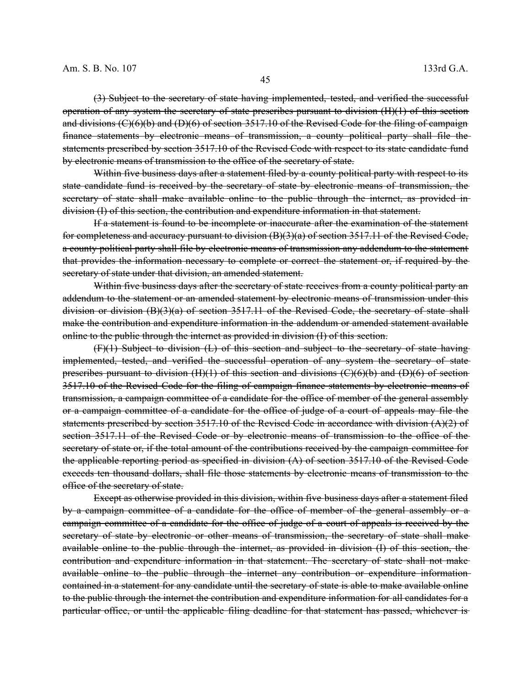(3) Subject to the secretary of state having implemented, tested, and verified the successful operation of any system the secretary of state prescribes pursuant to division (H)(1) of this section and divisions (C)(6)(b) and (D)(6) of section 3517.10 of the Revised Code for the filing of campaign finance statements by electronic means of transmission, a county political party shall file the statements prescribed by section 3517.10 of the Revised Code with respect to its state candidate fund by electronic means of transmission to the office of the secretary of state.

Within five business days after a statement filed by a county political party with respect to its state candidate fund is received by the secretary of state by electronic means of transmission, the secretary of state shall make available online to the public through the internet, as provided indivision (I) of this section, the contribution and expenditure information in that statement.

If a statement is found to be incomplete or inaccurate after the examination of the statement for completeness and accuracy pursuant to division (B)(3)(a) of section 3517.11 of the Revised Code, a county political party shall file by electronic means of transmission any addendum to the statement that provides the information necessary to complete or correct the statement or, if required by the secretary of state under that division, an amended statement.

Within five business days after the secretary of state receives from a county political party an addendum to the statement or an amended statement by electronic means of transmission under this division or division  $(B)(3)(a)$  of section 3517.11 of the Revised Code, the secretary of state shall make the contribution and expenditure information in the addendum or amended statement available online to the public through the internet as provided in division (I) of this section.

(F)(1) Subject to division (L) of this section and subject to the secretary of state having implemented, tested, and verified the successful operation of any system the secretary of state prescribes pursuant to division  $(H)(1)$  of this section and divisions  $(C)(6)(b)$  and  $(D)(6)$  of section 3517.10 of the Revised Code for the filing of campaign finance statements by electronic means of transmission, a campaign committee of a candidate for the office of member of the general assembly or a campaign committee of a candidate for the office of judge of a court of appeals may file the statements prescribed by section 3517.10 of the Revised Code in accordance with division  $(A)(2)$  of section 3517.11 of the Revised Code or by electronic means of transmission to the office of the secretary of state or, if the total amount of the contributions received by the campaign committee for the applicable reporting period as specified in division (A) of section 3517.10 of the Revised Code exceeds ten thousand dollars, shall file those statements by electronic means of transmission to the office of the secretary of state.

Except as otherwise provided in this division, within five business days after a statement filed by a campaign committee of a candidate for the office of member of the general assembly or a campaign committee of a candidate for the office of judge of a court of appeals is received by the secretary of state by electronic or other means of transmission, the secretary of state shall make available online to the public through the internet, as provided in division (I) of this section, the contribution and expenditure information in that statement. The secretary of state shall not make available online to the public through the internet any contribution or expenditure information contained in a statement for any candidate until the secretary of state is able to make available online to the public through the internet the contribution and expenditure information for all candidates for a particular office, or until the applicable filing deadline for that statement has passed, whichever is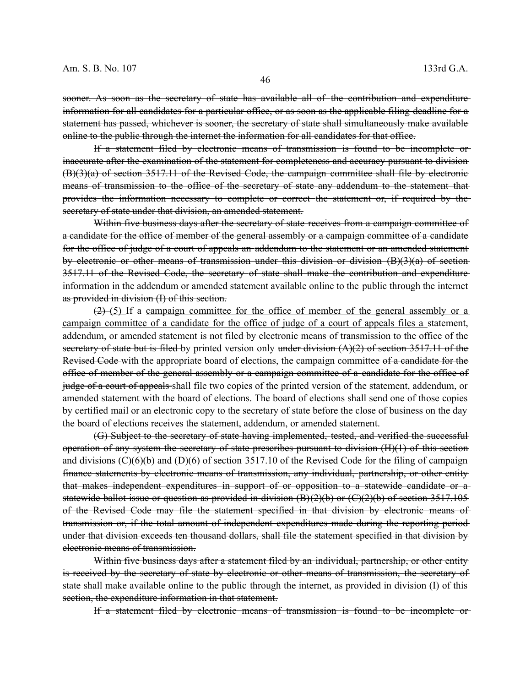sooner. As soon as the secretary of state has available all of the contribution and expenditure information for all candidates for a particular office, or as soon as the applicable filing deadline for a statement has passed, whichever is sooner, the secretary of state shall simultaneously make available online to the public through the internet the information for all candidates for that office.

If a statement filed by electronic means of transmission is found to be incomplete or inaccurate after the examination of the statement for completeness and accuracy pursuant to division (B)(3)(a) of section 3517.11 of the Revised Code, the campaign committee shall file by electronic means of transmission to the office of the secretary of state any addendum to the statement that provides the information necessary to complete or correct the statement or, if required by the secretary of state under that division, an amended statement.

Within five business days after the secretary of state receives from a campaign committee of a candidate for the office of member of the general assembly or a campaign committee of a candidate for the office of judge of a court of appeals an addendum to the statement or an amended statement by electronic or other means of transmission under this division or division (B)(3)(a) of section 3517.11 of the Revised Code, the secretary of state shall make the contribution and expenditure information in the addendum or amended statement available online to the public through the internet as provided in division (I) of this section.

 $(2)$  (5) If a campaign committee for the office of member of the general assembly or a campaign committee of a candidate for the office of judge of a court of appeals files a statement, addendum, or amended statement is not filed by electronic means of transmission to the office of the secretary of state but is filed by printed version only under division  $(A)(2)$  of section 3517.11 of the Revised Code with the appropriate board of elections, the campaign committee of a candidate for the office of member of the general assembly or a campaign committee of a candidate for the office of judge of a court of appeals shall file two copies of the printed version of the statement, addendum, or amended statement with the board of elections. The board of elections shall send one of those copies by certified mail or an electronic copy to the secretary of state before the close of business on the day the board of elections receives the statement, addendum, or amended statement.

(G) Subject to the secretary of state having implemented, tested, and verified the successful operation of any system the secretary of state prescribes pursuant to division (H)(1) of this section and divisions  $(C)(6)(b)$  and  $(D)(6)$  of section 3517.10 of the Revised Code for the filing of campaign finance statements by electronic means of transmission, any individual, partnership, or other entity that makes independent expenditures in support of or opposition to a statewide candidate or a statewide ballot issue or question as provided in division  $(B)(2)(b)$  or  $(C)(2)(b)$  of section 3517.105 of the Revised Code may file the statement specified in that division by electronic means of transmission or, if the total amount of independent expenditures made during the reporting period under that division exceeds ten thousand dollars, shall file the statement specified in that division by electronic means of transmission.

Within five business days after a statement filed by an individual, partnership, or other entity is received by the secretary of state by electronic or other means of transmission, the secretary of state shall make available online to the public through the internet, as provided in division (I) of this section, the expenditure information in that statement.

If a statement filed by electronic means of transmission is found to be incomplete or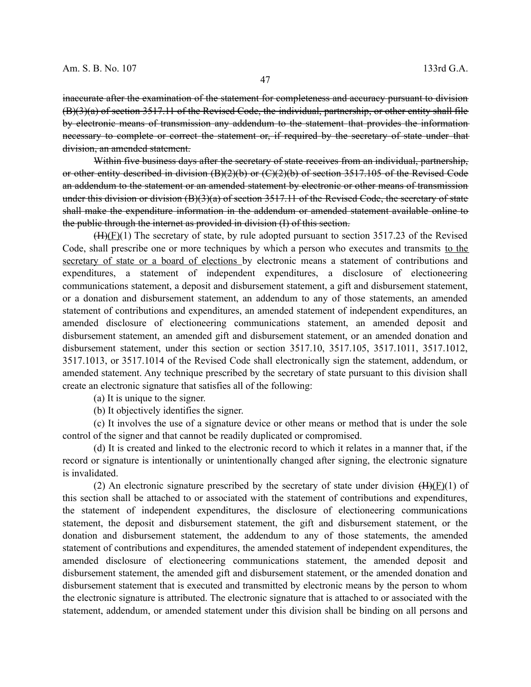inaccurate after the examination of the statement for completeness and accuracy pursuant to division (B)(3)(a) of section 3517.11 of the Revised Code, the individual, partnership, or other entity shall file by electronic means of transmission any addendum to the statement that provides the information necessary to complete or correct the statement or, if required by the secretary of state under that division, an amended statement.

Within five business days after the secretary of state receives from an individual, partnership, or other entity described in division (B)(2)(b) or (C)(2)(b) of section 3517.105 of the Revised Code an addendum to the statement or an amended statement by electronic or other means of transmission under this division or division (B)(3)(a) of section 3517.11 of the Revised Code, the secretary of state shall make the expenditure information in the addendum or amended statement available online to the public through the internet as provided in division (I) of this section.

 $(H)(F)(1)$  The secretary of state, by rule adopted pursuant to section 3517.23 of the Revised Code, shall prescribe one or more techniques by which a person who executes and transmits to the secretary of state or a board of elections by electronic means a statement of contributions and expenditures, a statement of independent expenditures, a disclosure of electioneering communications statement, a deposit and disbursement statement, a gift and disbursement statement, or a donation and disbursement statement, an addendum to any of those statements, an amended statement of contributions and expenditures, an amended statement of independent expenditures, an amended disclosure of electioneering communications statement, an amended deposit and disbursement statement, an amended gift and disbursement statement, or an amended donation and disbursement statement, under this section or section 3517.10, 3517.105, 3517.1011, 3517.1012, 3517.1013, or 3517.1014 of the Revised Code shall electronically sign the statement, addendum, or amended statement. Any technique prescribed by the secretary of state pursuant to this division shall create an electronic signature that satisfies all of the following:

(a) It is unique to the signer.

(b) It objectively identifies the signer.

(c) It involves the use of a signature device or other means or method that is under the sole control of the signer and that cannot be readily duplicated or compromised.

(d) It is created and linked to the electronic record to which it relates in a manner that, if the record or signature is intentionally or unintentionally changed after signing, the electronic signature is invalidated.

(2) An electronic signature prescribed by the secretary of state under division  $(H)(F)(1)$  of this section shall be attached to or associated with the statement of contributions and expenditures, the statement of independent expenditures, the disclosure of electioneering communications statement, the deposit and disbursement statement, the gift and disbursement statement, or the donation and disbursement statement, the addendum to any of those statements, the amended statement of contributions and expenditures, the amended statement of independent expenditures, the amended disclosure of electioneering communications statement, the amended deposit and disbursement statement, the amended gift and disbursement statement, or the amended donation and disbursement statement that is executed and transmitted by electronic means by the person to whom the electronic signature is attributed. The electronic signature that is attached to or associated with the statement, addendum, or amended statement under this division shall be binding on all persons and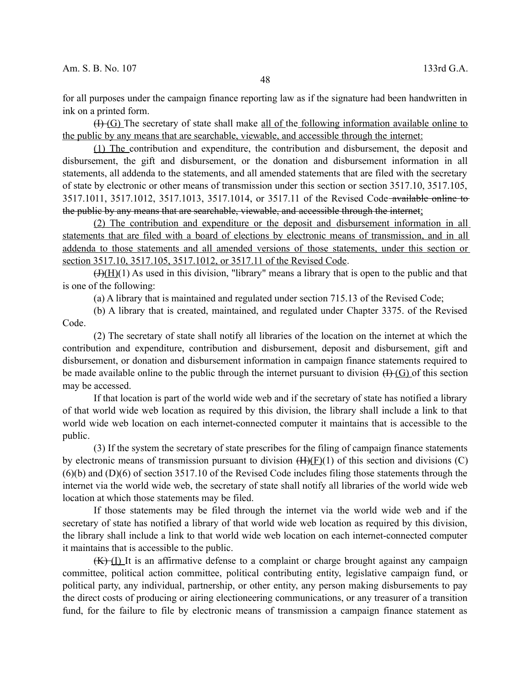for all purposes under the campaign finance reporting law as if the signature had been handwritten in ink on a printed form.

(I) (G) The secretary of state shall make all of the following information available online to the public by any means that are searchable, viewable, and accessible through the internet:

 (1) The contribution and expenditure, the contribution and disbursement, the deposit and disbursement, the gift and disbursement, or the donation and disbursement information in all statements, all addenda to the statements, and all amended statements that are filed with the secretary of state by electronic or other means of transmission under this section or section 3517.10, 3517.105, 3517.1011, 3517.1012, 3517.1013, 3517.1014, or 3517.11 of the Revised Code available online to the public by any means that are searchable, viewable, and accessible through the internet;

 (2) The contribution and expenditure or the deposit and disbursement information in all statements that are filed with a board of elections by electronic means of transmission, and in all addenda to those statements and all amended versions of those statements, under this section or section 3517.10, 3517.105, 3517.1012, or 3517.11 of the Revised Code.

 $(H)(1)$  As used in this division, "library" means a library that is open to the public and that is one of the following:

(a) A library that is maintained and regulated under section 715.13 of the Revised Code;

(b) A library that is created, maintained, and regulated under Chapter 3375. of the Revised Code.

(2) The secretary of state shall notify all libraries of the location on the internet at which the contribution and expenditure, contribution and disbursement, deposit and disbursement, gift and disbursement, or donation and disbursement information in campaign finance statements required to be made available online to the public through the internet pursuant to division  $(H)(G)$  of this section may be accessed.

If that location is part of the world wide web and if the secretary of state has notified a library of that world wide web location as required by this division, the library shall include a link to that world wide web location on each internet-connected computer it maintains that is accessible to the public.

(3) If the system the secretary of state prescribes for the filing of campaign finance statements by electronic means of transmission pursuant to division  $(H)(F)(1)$  of this section and divisions (C) (6)(b) and (D)(6) of section 3517.10 of the Revised Code includes filing those statements through the internet via the world wide web, the secretary of state shall notify all libraries of the world wide web location at which those statements may be filed.

If those statements may be filed through the internet via the world wide web and if the secretary of state has notified a library of that world wide web location as required by this division, the library shall include a link to that world wide web location on each internet-connected computer it maintains that is accessible to the public.

 $(K)$  (I) It is an affirmative defense to a complaint or charge brought against any campaign committee, political action committee, political contributing entity, legislative campaign fund, or political party, any individual, partnership, or other entity, any person making disbursements to pay the direct costs of producing or airing electioneering communications, or any treasurer of a transition fund, for the failure to file by electronic means of transmission a campaign finance statement as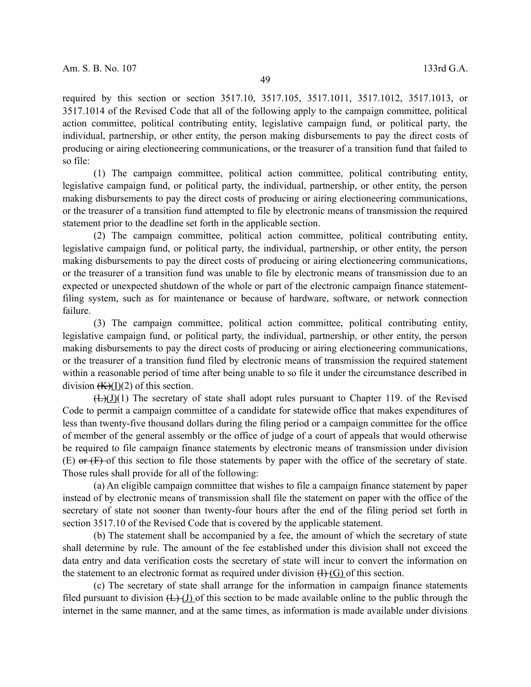required by this section or section 3517.10, 3517.105, 3517.1011, 3517.1012, 3517.1013, or 3517.1014 of the Revised Code that all of the following apply to the campaign committee, political action committee, political contributing entity, legislative campaign fund, or political party, the individual, partnership, or other entity, the person making disbursements to pay the direct costs of producing or airing electioneering communications, or the treasurer of a transition fund that failed to so file:

(1) The campaign committee, political action committee, political contributing entity, legislative campaign fund, or political party, the individual, partnership, or other entity, the person making disbursements to pay the direct costs of producing or airing electioneering communications, or the treasurer of a transition fund attempted to file by electronic means of transmission the required statement prior to the deadline set forth in the applicable section.

(2) The campaign committee, political action committee, political contributing entity, legislative campaign fund, or political party, the individual, partnership, or other entity, the person making disbursements to pay the direct costs of producing or airing electioneering communications, or the treasurer of a transition fund was unable to file by electronic means of transmission due to an expected or unexpected shutdown of the whole or part of the electronic campaign finance statementfiling system, such as for maintenance or because of hardware, software, or network connection failure.

(3) The campaign committee, political action committee, political contributing entity, legislative campaign fund, or political party, the individual, partnership, or other entity, the person making disbursements to pay the direct costs of producing or airing electioneering communications, or the treasurer of a transition fund filed by electronic means of transmission the required statement within a reasonable period of time after being unable to so file it under the circumstance described in division  $(K)(I)(2)$  of this section.

 $(\pm)(J)(1)$  The secretary of state shall adopt rules pursuant to Chapter 119. of the Revised Code to permit a campaign committee of a candidate for statewide office that makes expenditures of less than twenty-five thousand dollars during the filing period or a campaign committee for the office of member of the general assembly or the office of judge of a court of appeals that would otherwise be required to file campaign finance statements by electronic means of transmission under division  $(E)$  or  $(F)$  of this section to file those statements by paper with the office of the secretary of state. Those rules shall provide for all of the following:

(a) An eligible campaign committee that wishes to file a campaign finance statement by paper instead of by electronic means of transmission shall file the statement on paper with the office of the secretary of state not sooner than twenty-four hours after the end of the filing period set forth in section 3517.10 of the Revised Code that is covered by the applicable statement.

(b) The statement shall be accompanied by a fee, the amount of which the secretary of state shall determine by rule. The amount of the fee established under this division shall not exceed the data entry and data verification costs the secretary of state will incur to convert the information on the statement to an electronic format as required under division  $(H)(G)$  of this section.

(c) The secretary of state shall arrange for the information in campaign finance statements filed pursuant to division  $(1)$  (H) of this section to be made available online to the public through the internet in the same manner, and at the same times, as information is made available under divisions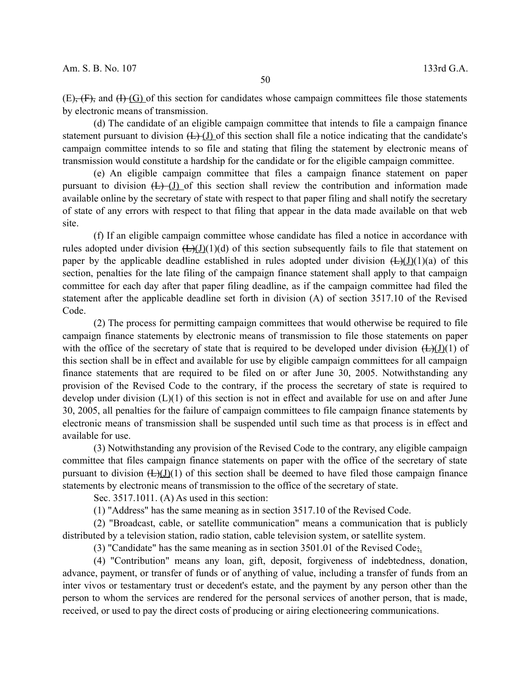$(E)$ ,  $(F)$ , and  $(H)$  (G) of this section for candidates whose campaign committees file those statements by electronic means of transmission.

(d) The candidate of an eligible campaign committee that intends to file a campaign finance statement pursuant to division  $(L)$  (J) of this section shall file a notice indicating that the candidate's campaign committee intends to so file and stating that filing the statement by electronic means of transmission would constitute a hardship for the candidate or for the eligible campaign committee.

(e) An eligible campaign committee that files a campaign finance statement on paper pursuant to division  $(L)$  (J) of this section shall review the contribution and information made available online by the secretary of state with respect to that paper filing and shall notify the secretary of state of any errors with respect to that filing that appear in the data made available on that web site.

(f) If an eligible campaign committee whose candidate has filed a notice in accordance with rules adopted under division  $(L)(J)(d)$  of this section subsequently fails to file that statement on paper by the applicable deadline established in rules adopted under division  $(\pm)(J)(1)(a)$  of this section, penalties for the late filing of the campaign finance statement shall apply to that campaign committee for each day after that paper filing deadline, as if the campaign committee had filed the statement after the applicable deadline set forth in division (A) of section 3517.10 of the Revised Code.

(2) The process for permitting campaign committees that would otherwise be required to file campaign finance statements by electronic means of transmission to file those statements on paper with the office of the secretary of state that is required to be developed under division  $(\pm)(J)(1)$  of this section shall be in effect and available for use by eligible campaign committees for all campaign finance statements that are required to be filed on or after June 30, 2005. Notwithstanding any provision of the Revised Code to the contrary, if the process the secretary of state is required to develop under division (L)(1) of this section is not in effect and available for use on and after June 30, 2005, all penalties for the failure of campaign committees to file campaign finance statements by electronic means of transmission shall be suspended until such time as that process is in effect and available for use.

(3) Notwithstanding any provision of the Revised Code to the contrary, any eligible campaign committee that files campaign finance statements on paper with the office of the secretary of state pursuant to division  $(\pm)(J)(1)$  of this section shall be deemed to have filed those campaign finance statements by electronic means of transmission to the office of the secretary of state.

Sec. 3517.1011. (A) As used in this section:

(1) "Address" has the same meaning as in section 3517.10 of the Revised Code.

(2) "Broadcast, cable, or satellite communication" means a communication that is publicly distributed by a television station, radio station, cable television system, or satellite system.

(3) "Candidate" has the same meaning as in section 3501.01 of the Revised Code;.

(4) "Contribution" means any loan, gift, deposit, forgiveness of indebtedness, donation, advance, payment, or transfer of funds or of anything of value, including a transfer of funds from an inter vivos or testamentary trust or decedent's estate, and the payment by any person other than the person to whom the services are rendered for the personal services of another person, that is made, received, or used to pay the direct costs of producing or airing electioneering communications.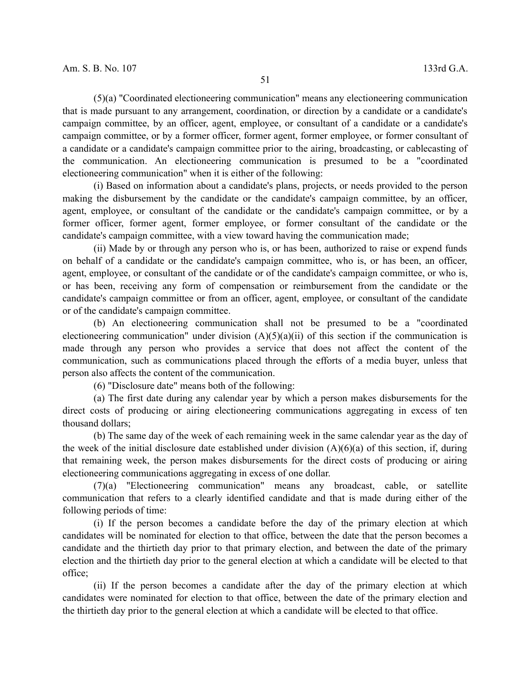(5)(a) "Coordinated electioneering communication" means any electioneering communication that is made pursuant to any arrangement, coordination, or direction by a candidate or a candidate's campaign committee, by an officer, agent, employee, or consultant of a candidate or a candidate's campaign committee, or by a former officer, former agent, former employee, or former consultant of a candidate or a candidate's campaign committee prior to the airing, broadcasting, or cablecasting of the communication. An electioneering communication is presumed to be a "coordinated electioneering communication" when it is either of the following:

(i) Based on information about a candidate's plans, projects, or needs provided to the person making the disbursement by the candidate or the candidate's campaign committee, by an officer, agent, employee, or consultant of the candidate or the candidate's campaign committee, or by a former officer, former agent, former employee, or former consultant of the candidate or the candidate's campaign committee, with a view toward having the communication made;

(ii) Made by or through any person who is, or has been, authorized to raise or expend funds on behalf of a candidate or the candidate's campaign committee, who is, or has been, an officer, agent, employee, or consultant of the candidate or of the candidate's campaign committee, or who is, or has been, receiving any form of compensation or reimbursement from the candidate or the candidate's campaign committee or from an officer, agent, employee, or consultant of the candidate or of the candidate's campaign committee.

(b) An electioneering communication shall not be presumed to be a "coordinated electioneering communication" under division  $(A)(5)(a)(ii)$  of this section if the communication is made through any person who provides a service that does not affect the content of the communication, such as communications placed through the efforts of a media buyer, unless that person also affects the content of the communication.

(6) "Disclosure date" means both of the following:

(a) The first date during any calendar year by which a person makes disbursements for the direct costs of producing or airing electioneering communications aggregating in excess of ten thousand dollars;

(b) The same day of the week of each remaining week in the same calendar year as the day of the week of the initial disclosure date established under division  $(A)(6)(a)$  of this section, if, during that remaining week, the person makes disbursements for the direct costs of producing or airing electioneering communications aggregating in excess of one dollar.

(7)(a) "Electioneering communication" means any broadcast, cable, or satellite communication that refers to a clearly identified candidate and that is made during either of the following periods of time:

(i) If the person becomes a candidate before the day of the primary election at which candidates will be nominated for election to that office, between the date that the person becomes a candidate and the thirtieth day prior to that primary election, and between the date of the primary election and the thirtieth day prior to the general election at which a candidate will be elected to that office;

(ii) If the person becomes a candidate after the day of the primary election at which candidates were nominated for election to that office, between the date of the primary election and the thirtieth day prior to the general election at which a candidate will be elected to that office.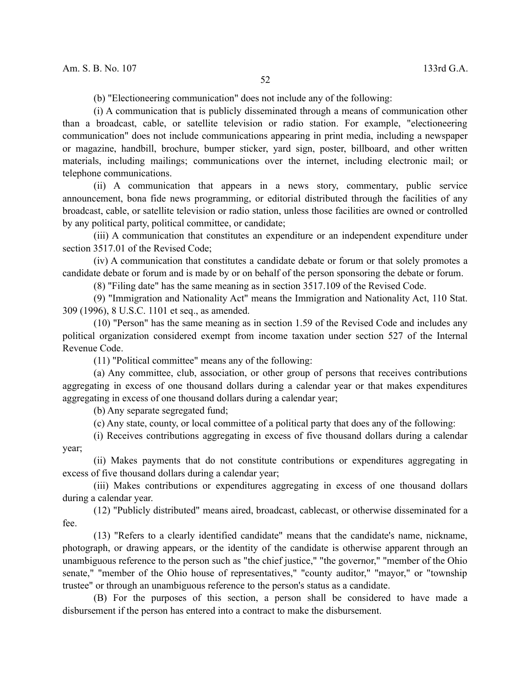(b) "Electioneering communication" does not include any of the following:

(i) A communication that is publicly disseminated through a means of communication other than a broadcast, cable, or satellite television or radio station. For example, "electioneering communication" does not include communications appearing in print media, including a newspaper or magazine, handbill, brochure, bumper sticker, yard sign, poster, billboard, and other written materials, including mailings; communications over the internet, including electronic mail; or telephone communications.

(ii) A communication that appears in a news story, commentary, public service announcement, bona fide news programming, or editorial distributed through the facilities of any broadcast, cable, or satellite television or radio station, unless those facilities are owned or controlled by any political party, political committee, or candidate;

(iii) A communication that constitutes an expenditure or an independent expenditure under section 3517.01 of the Revised Code;

(iv) A communication that constitutes a candidate debate or forum or that solely promotes a candidate debate or forum and is made by or on behalf of the person sponsoring the debate or forum.

(8) "Filing date" has the same meaning as in section 3517.109 of the Revised Code.

(9) "Immigration and Nationality Act" means the Immigration and Nationality Act, 110 Stat. 309 (1996), 8 U.S.C. 1101 et seq., as amended.

(10) "Person" has the same meaning as in section 1.59 of the Revised Code and includes any political organization considered exempt from income taxation under section 527 of the Internal Revenue Code.

(11) "Political committee" means any of the following:

(a) Any committee, club, association, or other group of persons that receives contributions aggregating in excess of one thousand dollars during a calendar year or that makes expenditures aggregating in excess of one thousand dollars during a calendar year;

(b) Any separate segregated fund;

(c) Any state, county, or local committee of a political party that does any of the following:

(i) Receives contributions aggregating in excess of five thousand dollars during a calendar year;

(ii) Makes payments that do not constitute contributions or expenditures aggregating in excess of five thousand dollars during a calendar year;

(iii) Makes contributions or expenditures aggregating in excess of one thousand dollars during a calendar year.

(12) "Publicly distributed" means aired, broadcast, cablecast, or otherwise disseminated for a fee.

(13) "Refers to a clearly identified candidate" means that the candidate's name, nickname, photograph, or drawing appears, or the identity of the candidate is otherwise apparent through an unambiguous reference to the person such as "the chief justice," "the governor," "member of the Ohio senate," "member of the Ohio house of representatives," "county auditor," "mayor," or "township trustee" or through an unambiguous reference to the person's status as a candidate.

(B) For the purposes of this section, a person shall be considered to have made a disbursement if the person has entered into a contract to make the disbursement.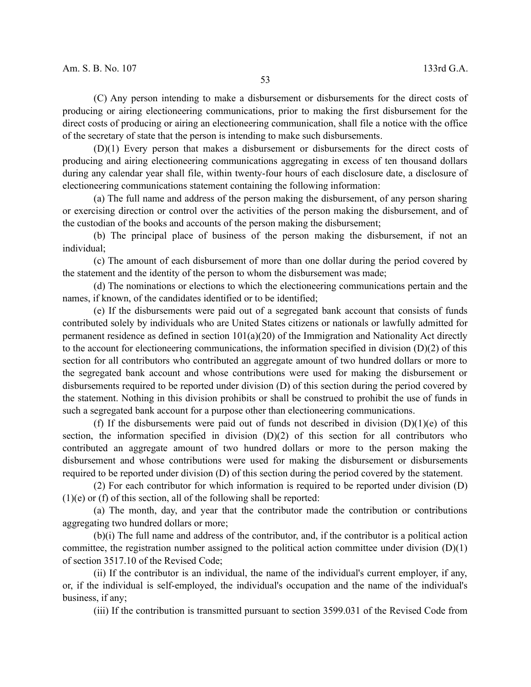(C) Any person intending to make a disbursement or disbursements for the direct costs of producing or airing electioneering communications, prior to making the first disbursement for the direct costs of producing or airing an electioneering communication, shall file a notice with the office of the secretary of state that the person is intending to make such disbursements.

(D)(1) Every person that makes a disbursement or disbursements for the direct costs of producing and airing electioneering communications aggregating in excess of ten thousand dollars during any calendar year shall file, within twenty-four hours of each disclosure date, a disclosure of electioneering communications statement containing the following information:

(a) The full name and address of the person making the disbursement, of any person sharing or exercising direction or control over the activities of the person making the disbursement, and of the custodian of the books and accounts of the person making the disbursement;

(b) The principal place of business of the person making the disbursement, if not an individual;

(c) The amount of each disbursement of more than one dollar during the period covered by the statement and the identity of the person to whom the disbursement was made;

(d) The nominations or elections to which the electioneering communications pertain and the names, if known, of the candidates identified or to be identified;

(e) If the disbursements were paid out of a segregated bank account that consists of funds contributed solely by individuals who are United States citizens or nationals or lawfully admitted for permanent residence as defined in section  $101(a)(20)$  of the Immigration and Nationality Act directly to the account for electioneering communications, the information specified in division (D)(2) of this section for all contributors who contributed an aggregate amount of two hundred dollars or more to the segregated bank account and whose contributions were used for making the disbursement or disbursements required to be reported under division (D) of this section during the period covered by the statement. Nothing in this division prohibits or shall be construed to prohibit the use of funds in such a segregated bank account for a purpose other than electioneering communications.

(f) If the disbursements were paid out of funds not described in division  $(D)(1)(e)$  of this section, the information specified in division (D)(2) of this section for all contributors who contributed an aggregate amount of two hundred dollars or more to the person making the disbursement and whose contributions were used for making the disbursement or disbursements required to be reported under division (D) of this section during the period covered by the statement.

(2) For each contributor for which information is required to be reported under division (D) (1)(e) or (f) of this section, all of the following shall be reported:

(a) The month, day, and year that the contributor made the contribution or contributions aggregating two hundred dollars or more;

(b)(i) The full name and address of the contributor, and, if the contributor is a political action committee, the registration number assigned to the political action committee under division (D)(1) of section 3517.10 of the Revised Code;

(ii) If the contributor is an individual, the name of the individual's current employer, if any, or, if the individual is self-employed, the individual's occupation and the name of the individual's business, if any;

(iii) If the contribution is transmitted pursuant to section 3599.031 of the Revised Code from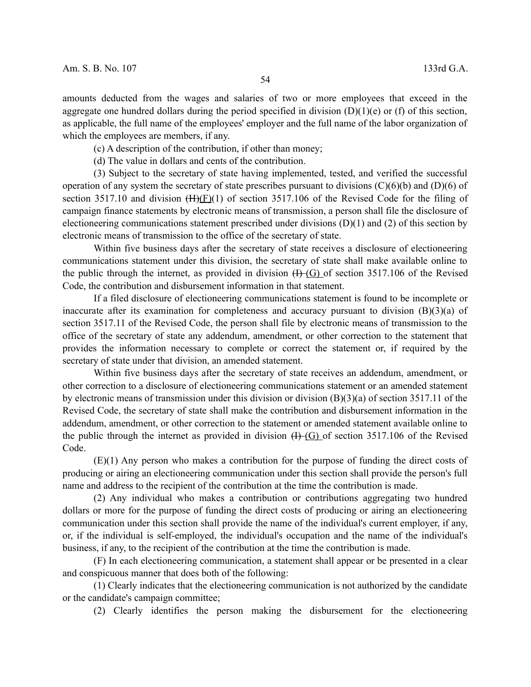amounts deducted from the wages and salaries of two or more employees that exceed in the aggregate one hundred dollars during the period specified in division  $(D)(1)(e)$  or (f) of this section, as applicable, the full name of the employees' employer and the full name of the labor organization of which the employees are members, if any.

(c) A description of the contribution, if other than money;

(d) The value in dollars and cents of the contribution.

(3) Subject to the secretary of state having implemented, tested, and verified the successful operation of any system the secretary of state prescribes pursuant to divisions  $(C)(6)(b)$  and  $(D)(6)$  of section 3517.10 and division  $(H)(F)(1)$  of section 3517.106 of the Revised Code for the filing of campaign finance statements by electronic means of transmission, a person shall file the disclosure of electioneering communications statement prescribed under divisions (D)(1) and (2) of this section by electronic means of transmission to the office of the secretary of state.

Within five business days after the secretary of state receives a disclosure of electioneering communications statement under this division, the secretary of state shall make available online to the public through the internet, as provided in division  $(H-(G))$  of section 3517.106 of the Revised Code, the contribution and disbursement information in that statement.

If a filed disclosure of electioneering communications statement is found to be incomplete or inaccurate after its examination for completeness and accuracy pursuant to division (B)(3)(a) of section 3517.11 of the Revised Code, the person shall file by electronic means of transmission to the office of the secretary of state any addendum, amendment, or other correction to the statement that provides the information necessary to complete or correct the statement or, if required by the secretary of state under that division, an amended statement.

Within five business days after the secretary of state receives an addendum, amendment, or other correction to a disclosure of electioneering communications statement or an amended statement by electronic means of transmission under this division or division  $(B)(3)(a)$  of section 3517.11 of the Revised Code, the secretary of state shall make the contribution and disbursement information in the addendum, amendment, or other correction to the statement or amended statement available online to the public through the internet as provided in division  $(H-(G))$  of section 3517.106 of the Revised Code.

(E)(1) Any person who makes a contribution for the purpose of funding the direct costs of producing or airing an electioneering communication under this section shall provide the person's full name and address to the recipient of the contribution at the time the contribution is made.

(2) Any individual who makes a contribution or contributions aggregating two hundred dollars or more for the purpose of funding the direct costs of producing or airing an electioneering communication under this section shall provide the name of the individual's current employer, if any, or, if the individual is self-employed, the individual's occupation and the name of the individual's business, if any, to the recipient of the contribution at the time the contribution is made.

(F) In each electioneering communication, a statement shall appear or be presented in a clear and conspicuous manner that does both of the following:

(1) Clearly indicates that the electioneering communication is not authorized by the candidate or the candidate's campaign committee;

(2) Clearly identifies the person making the disbursement for the electioneering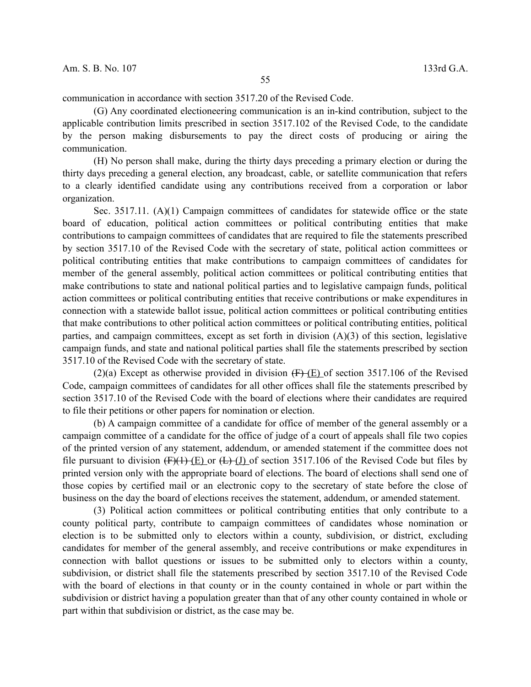communication in accordance with section 3517.20 of the Revised Code.

(G) Any coordinated electioneering communication is an in-kind contribution, subject to the applicable contribution limits prescribed in section 3517.102 of the Revised Code, to the candidate by the person making disbursements to pay the direct costs of producing or airing the communication.

(H) No person shall make, during the thirty days preceding a primary election or during the thirty days preceding a general election, any broadcast, cable, or satellite communication that refers to a clearly identified candidate using any contributions received from a corporation or labor organization.

Sec. 3517.11. (A)(1) Campaign committees of candidates for statewide office or the state board of education, political action committees or political contributing entities that make contributions to campaign committees of candidates that are required to file the statements prescribed by section 3517.10 of the Revised Code with the secretary of state, political action committees or political contributing entities that make contributions to campaign committees of candidates for member of the general assembly, political action committees or political contributing entities that make contributions to state and national political parties and to legislative campaign funds, political action committees or political contributing entities that receive contributions or make expenditures in connection with a statewide ballot issue, political action committees or political contributing entities that make contributions to other political action committees or political contributing entities, political parties, and campaign committees, except as set forth in division (A)(3) of this section, legislative campaign funds, and state and national political parties shall file the statements prescribed by section 3517.10 of the Revised Code with the secretary of state.

(2)(a) Except as otherwise provided in division  $(F)(E)$  of section 3517.106 of the Revised Code, campaign committees of candidates for all other offices shall file the statements prescribed by section 3517.10 of the Revised Code with the board of elections where their candidates are required to file their petitions or other papers for nomination or election.

(b) A campaign committee of a candidate for office of member of the general assembly or a campaign committee of a candidate for the office of judge of a court of appeals shall file two copies of the printed version of any statement, addendum, or amended statement if the committee does not file pursuant to division  $(F)(1)$  (E) or  $(L)$  (J) of section 3517.106 of the Revised Code but files by printed version only with the appropriate board of elections. The board of elections shall send one of those copies by certified mail or an electronic copy to the secretary of state before the close of business on the day the board of elections receives the statement, addendum, or amended statement.

(3) Political action committees or political contributing entities that only contribute to a county political party, contribute to campaign committees of candidates whose nomination or election is to be submitted only to electors within a county, subdivision, or district, excluding candidates for member of the general assembly, and receive contributions or make expenditures in connection with ballot questions or issues to be submitted only to electors within a county, subdivision, or district shall file the statements prescribed by section 3517.10 of the Revised Code with the board of elections in that county or in the county contained in whole or part within the subdivision or district having a population greater than that of any other county contained in whole or part within that subdivision or district, as the case may be.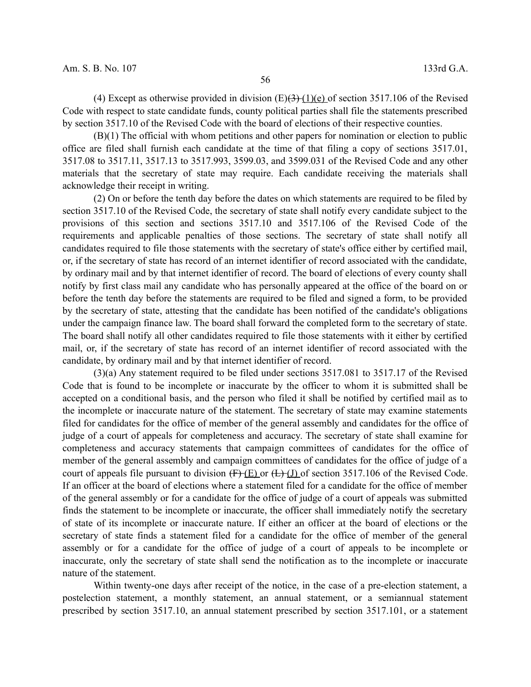(4) Except as otherwise provided in division  $(E)(3)(1)(e)$  of section 3517.106 of the Revised Code with respect to state candidate funds, county political parties shall file the statements prescribed by section 3517.10 of the Revised Code with the board of elections of their respective counties.

(B)(1) The official with whom petitions and other papers for nomination or election to public office are filed shall furnish each candidate at the time of that filing a copy of sections 3517.01, 3517.08 to 3517.11, 3517.13 to 3517.993, 3599.03, and 3599.031 of the Revised Code and any other materials that the secretary of state may require. Each candidate receiving the materials shall acknowledge their receipt in writing.

(2) On or before the tenth day before the dates on which statements are required to be filed by section 3517.10 of the Revised Code, the secretary of state shall notify every candidate subject to the provisions of this section and sections 3517.10 and 3517.106 of the Revised Code of the requirements and applicable penalties of those sections. The secretary of state shall notify all candidates required to file those statements with the secretary of state's office either by certified mail, or, if the secretary of state has record of an internet identifier of record associated with the candidate, by ordinary mail and by that internet identifier of record. The board of elections of every county shall notify by first class mail any candidate who has personally appeared at the office of the board on or before the tenth day before the statements are required to be filed and signed a form, to be provided by the secretary of state, attesting that the candidate has been notified of the candidate's obligations under the campaign finance law. The board shall forward the completed form to the secretary of state. The board shall notify all other candidates required to file those statements with it either by certified mail, or, if the secretary of state has record of an internet identifier of record associated with the candidate, by ordinary mail and by that internet identifier of record.

(3)(a) Any statement required to be filed under sections 3517.081 to 3517.17 of the Revised Code that is found to be incomplete or inaccurate by the officer to whom it is submitted shall be accepted on a conditional basis, and the person who filed it shall be notified by certified mail as to the incomplete or inaccurate nature of the statement. The secretary of state may examine statements filed for candidates for the office of member of the general assembly and candidates for the office of judge of a court of appeals for completeness and accuracy. The secretary of state shall examine for completeness and accuracy statements that campaign committees of candidates for the office of member of the general assembly and campaign committees of candidates for the office of judge of a court of appeals file pursuant to division  $(F)(E)$  or  $(E)(J)$  of section 3517.106 of the Revised Code. If an officer at the board of elections where a statement filed for a candidate for the office of member of the general assembly or for a candidate for the office of judge of a court of appeals was submitted finds the statement to be incomplete or inaccurate, the officer shall immediately notify the secretary of state of its incomplete or inaccurate nature. If either an officer at the board of elections or the secretary of state finds a statement filed for a candidate for the office of member of the general assembly or for a candidate for the office of judge of a court of appeals to be incomplete or inaccurate, only the secretary of state shall send the notification as to the incomplete or inaccurate nature of the statement.

Within twenty-one days after receipt of the notice, in the case of a pre-election statement, a postelection statement, a monthly statement, an annual statement, or a semiannual statement prescribed by section 3517.10, an annual statement prescribed by section 3517.101, or a statement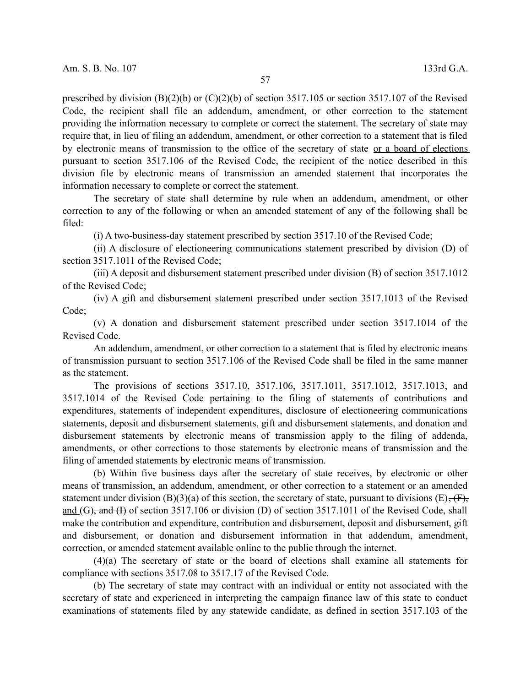prescribed by division  $(B)(2)(b)$  or  $(C)(2)(b)$  of section 3517.105 or section 3517.107 of the Revised Code, the recipient shall file an addendum, amendment, or other correction to the statement providing the information necessary to complete or correct the statement. The secretary of state may require that, in lieu of filing an addendum, amendment, or other correction to a statement that is filed by electronic means of transmission to the office of the secretary of state or a board of elections pursuant to section 3517.106 of the Revised Code, the recipient of the notice described in this division file by electronic means of transmission an amended statement that incorporates the information necessary to complete or correct the statement.

The secretary of state shall determine by rule when an addendum, amendment, or other correction to any of the following or when an amended statement of any of the following shall be filed:

(i) A two-business-day statement prescribed by section 3517.10 of the Revised Code;

(ii) A disclosure of electioneering communications statement prescribed by division (D) of section 3517.1011 of the Revised Code;

(iii) A deposit and disbursement statement prescribed under division (B) of section 3517.1012 of the Revised Code;

(iv) A gift and disbursement statement prescribed under section 3517.1013 of the Revised Code;

(v) A donation and disbursement statement prescribed under section 3517.1014 of the Revised Code.

An addendum, amendment, or other correction to a statement that is filed by electronic means of transmission pursuant to section 3517.106 of the Revised Code shall be filed in the same manner as the statement.

The provisions of sections 3517.10, 3517.106, 3517.1011, 3517.1012, 3517.1013, and 3517.1014 of the Revised Code pertaining to the filing of statements of contributions and expenditures, statements of independent expenditures, disclosure of electioneering communications statements, deposit and disbursement statements, gift and disbursement statements, and donation and disbursement statements by electronic means of transmission apply to the filing of addenda, amendments, or other corrections to those statements by electronic means of transmission and the filing of amended statements by electronic means of transmission.

(b) Within five business days after the secretary of state receives, by electronic or other means of transmission, an addendum, amendment, or other correction to a statement or an amended statement under division (B)(3)(a) of this section, the secretary of state, pursuant to divisions (E),  $(F)$ , and (G), and (I) of section 3517.106 or division (D) of section 3517.1011 of the Revised Code, shall make the contribution and expenditure, contribution and disbursement, deposit and disbursement, gift and disbursement, or donation and disbursement information in that addendum, amendment, correction, or amended statement available online to the public through the internet.

(4)(a) The secretary of state or the board of elections shall examine all statements for compliance with sections 3517.08 to 3517.17 of the Revised Code.

(b) The secretary of state may contract with an individual or entity not associated with the secretary of state and experienced in interpreting the campaign finance law of this state to conduct examinations of statements filed by any statewide candidate, as defined in section 3517.103 of the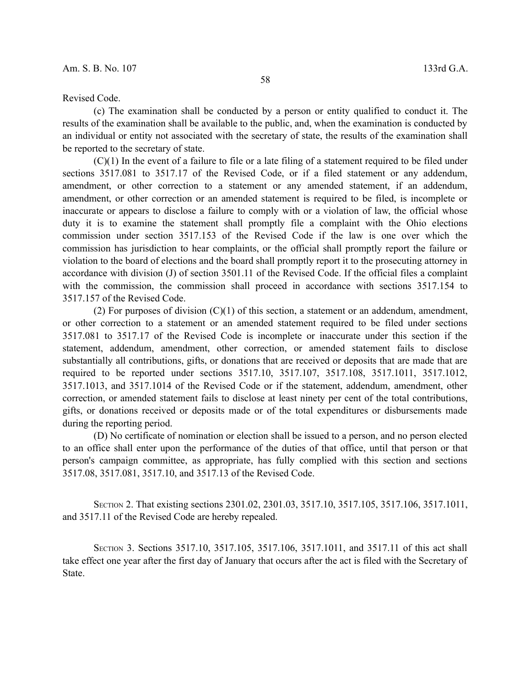## Revised Code.

(c) The examination shall be conducted by a person or entity qualified to conduct it. The results of the examination shall be available to the public, and, when the examination is conducted by an individual or entity not associated with the secretary of state, the results of the examination shall be reported to the secretary of state.

 $(C)(1)$  In the event of a failure to file or a late filing of a statement required to be filed under sections 3517.081 to 3517.17 of the Revised Code, or if a filed statement or any addendum, amendment, or other correction to a statement or any amended statement, if an addendum, amendment, or other correction or an amended statement is required to be filed, is incomplete or inaccurate or appears to disclose a failure to comply with or a violation of law, the official whose duty it is to examine the statement shall promptly file a complaint with the Ohio elections commission under section 3517.153 of the Revised Code if the law is one over which the commission has jurisdiction to hear complaints, or the official shall promptly report the failure or violation to the board of elections and the board shall promptly report it to the prosecuting attorney in accordance with division (J) of section 3501.11 of the Revised Code. If the official files a complaint with the commission, the commission shall proceed in accordance with sections 3517.154 to 3517.157 of the Revised Code.

(2) For purposes of division  $(C)(1)$  of this section, a statement or an addendum, amendment, or other correction to a statement or an amended statement required to be filed under sections 3517.081 to 3517.17 of the Revised Code is incomplete or inaccurate under this section if the statement, addendum, amendment, other correction, or amended statement fails to disclose substantially all contributions, gifts, or donations that are received or deposits that are made that are required to be reported under sections 3517.10, 3517.107, 3517.108, 3517.1011, 3517.1012, 3517.1013, and 3517.1014 of the Revised Code or if the statement, addendum, amendment, other correction, or amended statement fails to disclose at least ninety per cent of the total contributions, gifts, or donations received or deposits made or of the total expenditures or disbursements made during the reporting period.

(D) No certificate of nomination or election shall be issued to a person, and no person elected to an office shall enter upon the performance of the duties of that office, until that person or that person's campaign committee, as appropriate, has fully complied with this section and sections 3517.08, 3517.081, 3517.10, and 3517.13 of the Revised Code.

SECTION 2. That existing sections 2301.02, 2301.03, 3517.10, 3517.105, 3517.106, 3517.1011, and 3517.11 of the Revised Code are hereby repealed.

SECTION 3. Sections 3517.10, 3517.105, 3517.106, 3517.1011, and 3517.11 of this act shall take effect one year after the first day of January that occurs after the act is filed with the Secretary of State.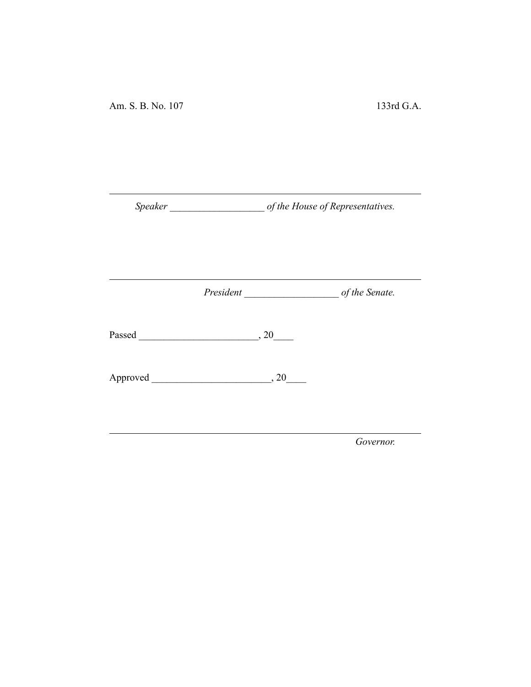|  | Passed 20                                    |           |
|--|----------------------------------------------|-----------|
|  | $\text{Approved}$ $\qquad \qquad \qquad .20$ |           |
|  |                                              | Governor. |